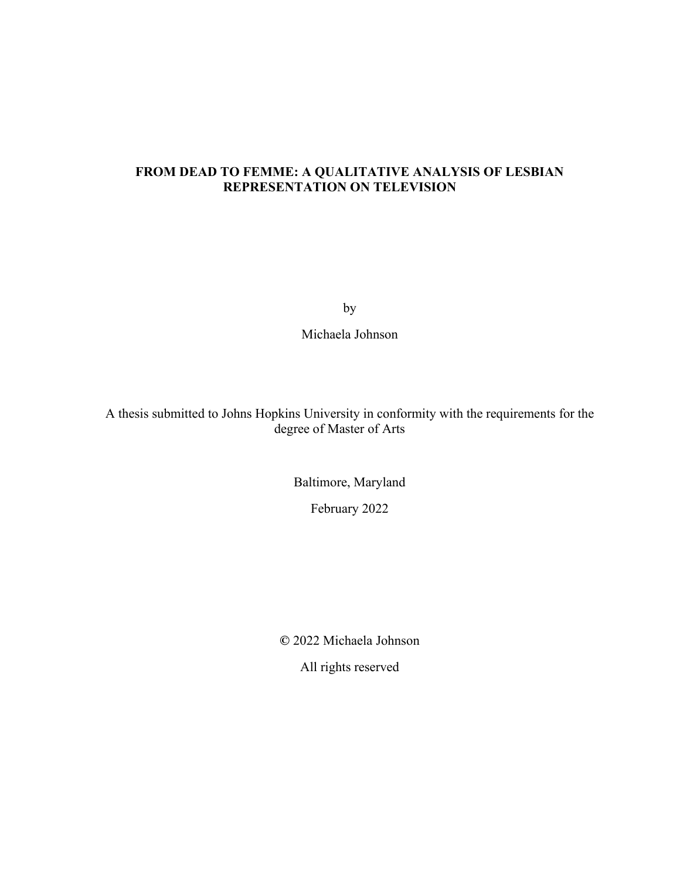# **FROM DEAD TO FEMME: A QUALITATIVE ANALYSIS OF LESBIAN REPRESENTATION ON TELEVISION**

by

Michaela Johnson

A thesis submitted to Johns Hopkins University in conformity with the requirements for the degree of Master of Arts

> Baltimore, Maryland February 2022

**©** 2022 Michaela Johnson

All rights reserved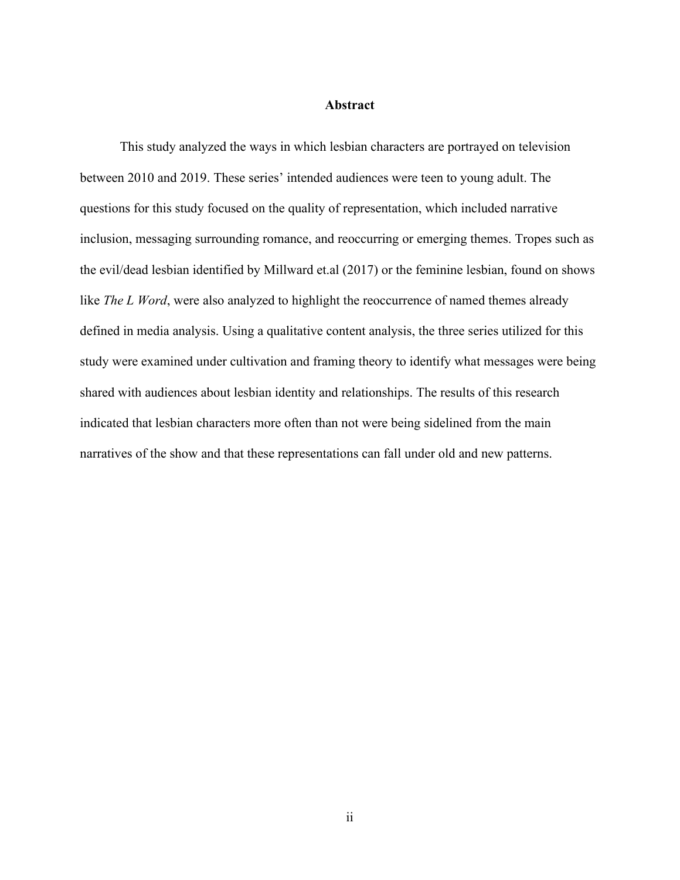## **Abstract**

<span id="page-1-0"></span>This study analyzed the ways in which lesbian characters are portrayed on television between 2010 and 2019. These series' intended audiences were teen to young adult. The questions for this study focused on the quality of representation, which included narrative inclusion, messaging surrounding romance, and reoccurring or emerging themes. Tropes such as the evil/dead lesbian identified by Millward et.al (2017) or the feminine lesbian, found on shows like *The L Word*, were also analyzed to highlight the reoccurrence of named themes already defined in media analysis. Using a qualitative content analysis, the three series utilized for this study were examined under cultivation and framing theory to identify what messages were being shared with audiences about lesbian identity and relationships. The results of this research indicated that lesbian characters more often than not were being sidelined from the main narratives of the show and that these representations can fall under old and new patterns.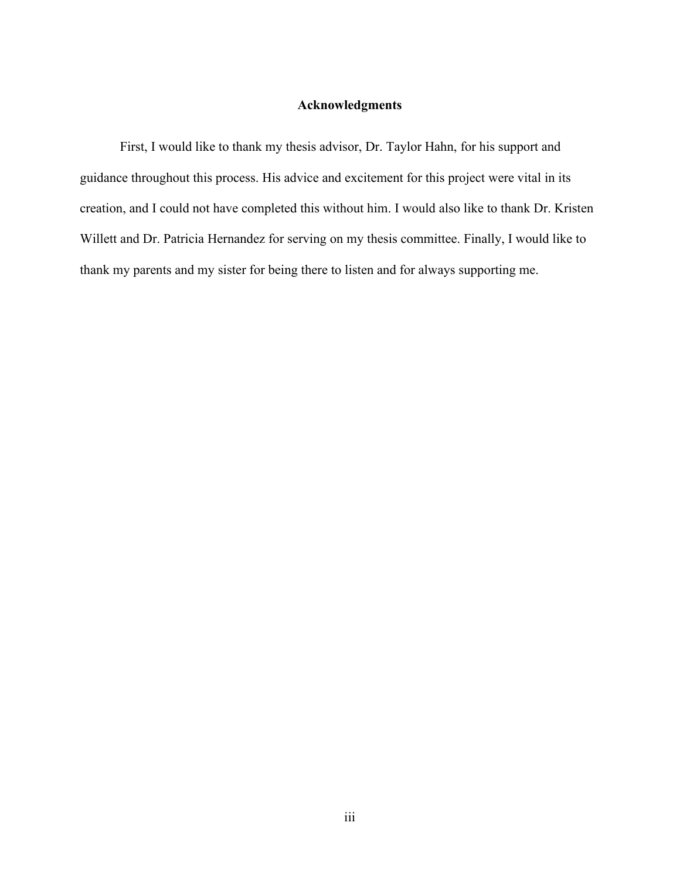## **Acknowledgments**

<span id="page-2-0"></span>First, I would like to thank my thesis advisor, Dr. Taylor Hahn, for his support and guidance throughout this process. His advice and excitement for this project were vital in its creation, and I could not have completed this without him. I would also like to thank Dr. Kristen Willett and Dr. Patricia Hernandez for serving on my thesis committee. Finally, I would like to thank my parents and my sister for being there to listen and for always supporting me.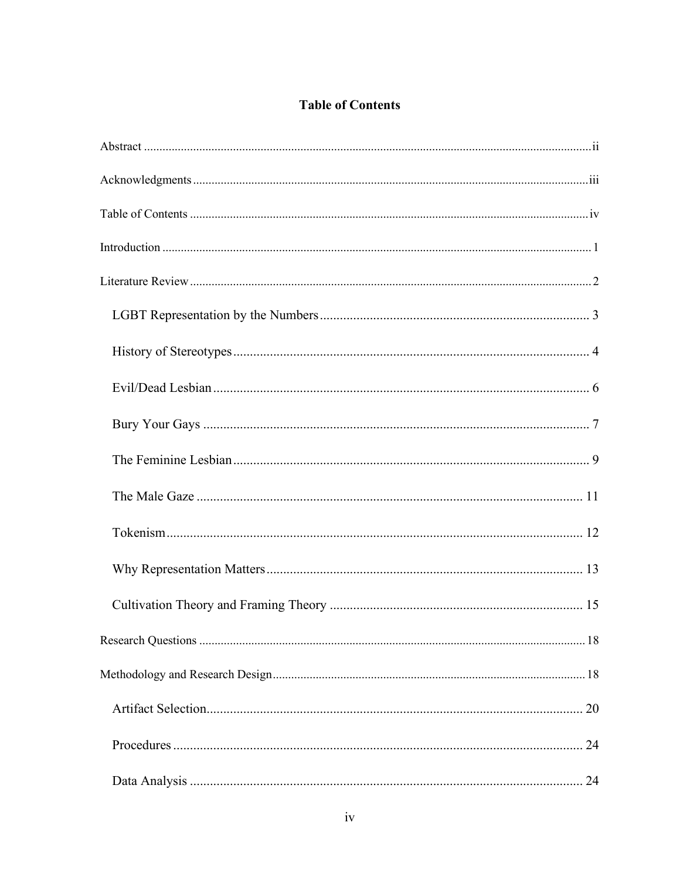# **Table of Contents**

<span id="page-3-0"></span>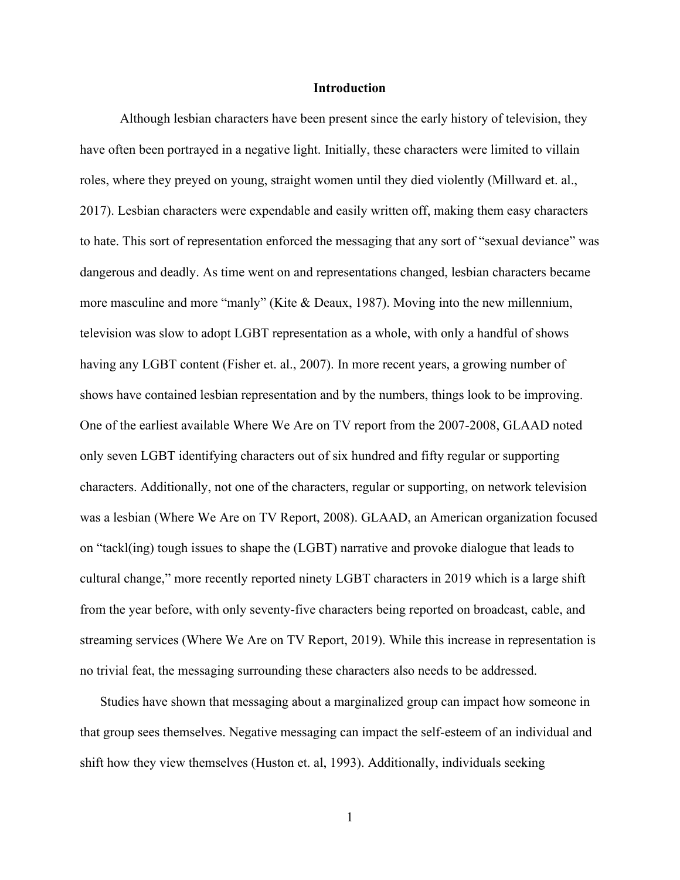#### **Introduction**

<span id="page-5-0"></span>Although lesbian characters have been present since the early history of television, they have often been portrayed in a negative light. Initially, these characters were limited to villain roles, where they preyed on young, straight women until they died violently (Millward et. al., 2017). Lesbian characters were expendable and easily written off, making them easy characters to hate. This sort of representation enforced the messaging that any sort of "sexual deviance" was dangerous and deadly. As time went on and representations changed, lesbian characters became more masculine and more "manly" (Kite & Deaux, 1987). Moving into the new millennium, television was slow to adopt LGBT representation as a whole, with only a handful of shows having any LGBT content (Fisher et. al., 2007). In more recent years, a growing number of shows have contained lesbian representation and by the numbers, things look to be improving. One of the earliest available Where We Are on TV report from the 2007-2008, GLAAD noted only seven LGBT identifying characters out of six hundred and fifty regular or supporting characters. Additionally, not one of the characters, regular or supporting, on network television was a lesbian (Where We Are on TV Report, 2008). GLAAD, an American organization focused on "tackl(ing) tough issues to shape the (LGBT) narrative and provoke dialogue that leads to cultural change," more recently reported ninety LGBT characters in 2019 which is a large shift from the year before, with only seventy-five characters being reported on broadcast, cable, and streaming services (Where We Are on TV Report, 2019). While this increase in representation is no trivial feat, the messaging surrounding these characters also needs to be addressed.

Studies have shown that messaging about a marginalized group can impact how someone in that group sees themselves. Negative messaging can impact the self-esteem of an individual and shift how they view themselves (Huston et. al, 1993). Additionally, individuals seeking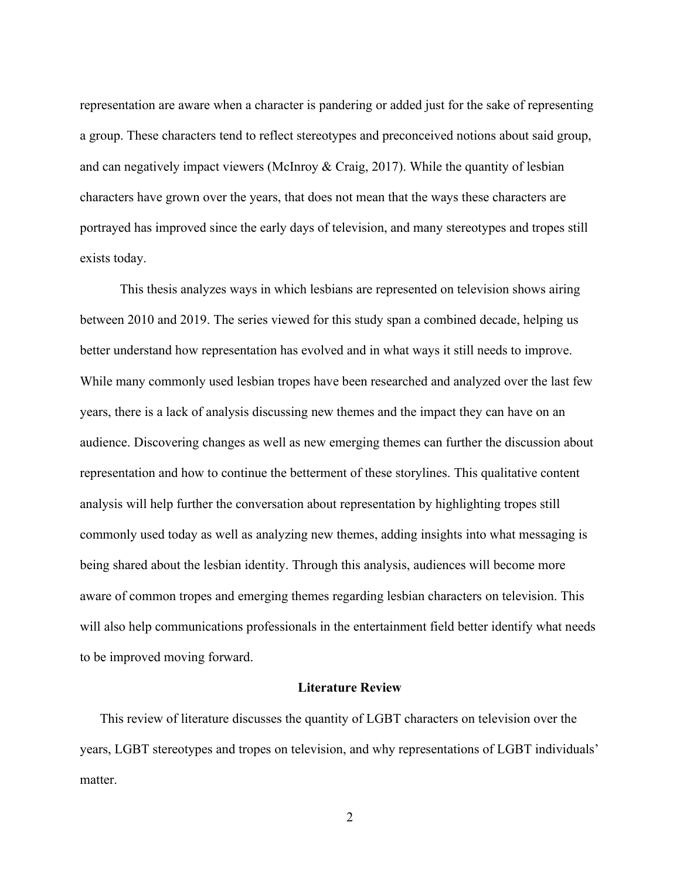representation are aware when a character is pandering or added just for the sake of representing a group. These characters tend to reflect stereotypes and preconceived notions about said group, and can negatively impact viewers (McInroy & Craig, 2017). While the quantity of lesbian characters have grown over the years, that does not mean that the ways these characters are portrayed has improved since the early days of television, and many stereotypes and tropes still exists today.

This thesis analyzes ways in which lesbians are represented on television shows airing between 2010 and 2019. The series viewed for this study span a combined decade, helping us better understand how representation has evolved and in what ways it still needs to improve. While many commonly used lesbian tropes have been researched and analyzed over the last few years, there is a lack of analysis discussing new themes and the impact they can have on an audience. Discovering changes as well as new emerging themes can further the discussion about representation and how to continue the betterment of these storylines. This qualitative content analysis will help further the conversation about representation by highlighting tropes still commonly used today as well as analyzing new themes, adding insights into what messaging is being shared about the lesbian identity. Through this analysis, audiences will become more aware of common tropes and emerging themes regarding lesbian characters on television. This will also help communications professionals in the entertainment field better identify what needs to be improved moving forward.

## **Literature Review**

<span id="page-6-0"></span>This review of literature discusses the quantity of LGBT characters on television over the years, LGBT stereotypes and tropes on television, and why representations of LGBT individuals' matter.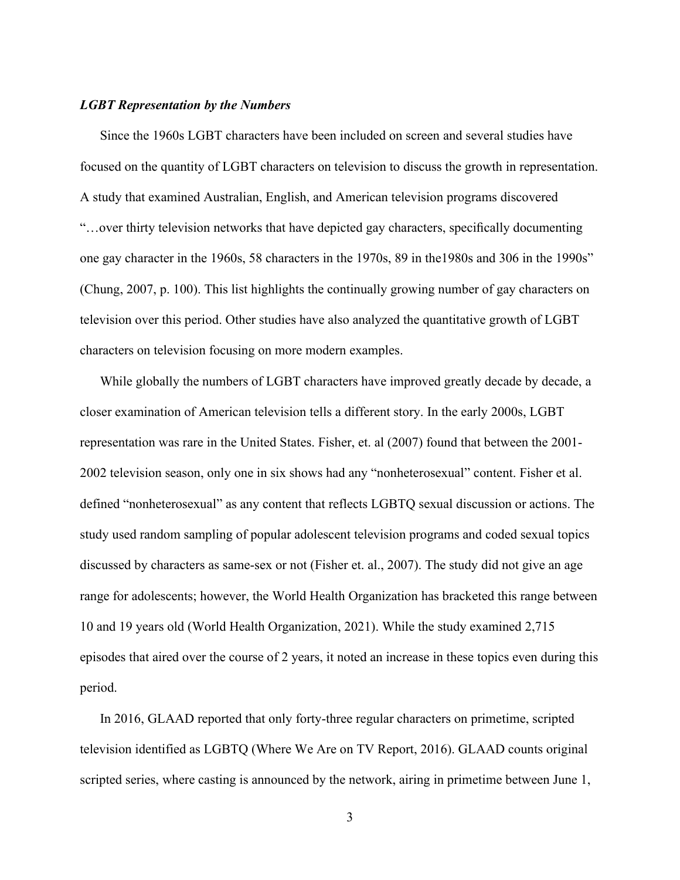#### <span id="page-7-0"></span>*LGBT Representation by the Numbers*

Since the 1960s LGBT characters have been included on screen and several studies have focused on the quantity of LGBT characters on television to discuss the growth in representation. A study that examined Australian, English, and American television programs discovered "…over thirty television networks that have depicted gay characters, specifically documenting one gay character in the 1960s, 58 characters in the 1970s, 89 in the1980s and 306 in the 1990s" (Chung, 2007, p. 100). This list highlights the continually growing number of gay characters on television over this period. Other studies have also analyzed the quantitative growth of LGBT characters on television focusing on more modern examples.

While globally the numbers of LGBT characters have improved greatly decade by decade, a closer examination of American television tells a different story. In the early 2000s, LGBT representation was rare in the United States. Fisher, et. al (2007) found that between the 2001- 2002 television season, only one in six shows had any "nonheterosexual" content. Fisher et al. defined "nonheterosexual" as any content that reflects LGBTQ sexual discussion or actions. The study used random sampling of popular adolescent television programs and coded sexual topics discussed by characters as same-sex or not (Fisher et. al., 2007). The study did not give an age range for adolescents; however, the World Health Organization has bracketed this range between 10 and 19 years old (World Health Organization, 2021). While the study examined 2,715 episodes that aired over the course of 2 years, it noted an increase in these topics even during this period.

In 2016, GLAAD reported that only forty-three regular characters on primetime, scripted television identified as LGBTQ (Where We Are on TV Report, 2016). GLAAD counts original scripted series, where casting is announced by the network, airing in primetime between June 1,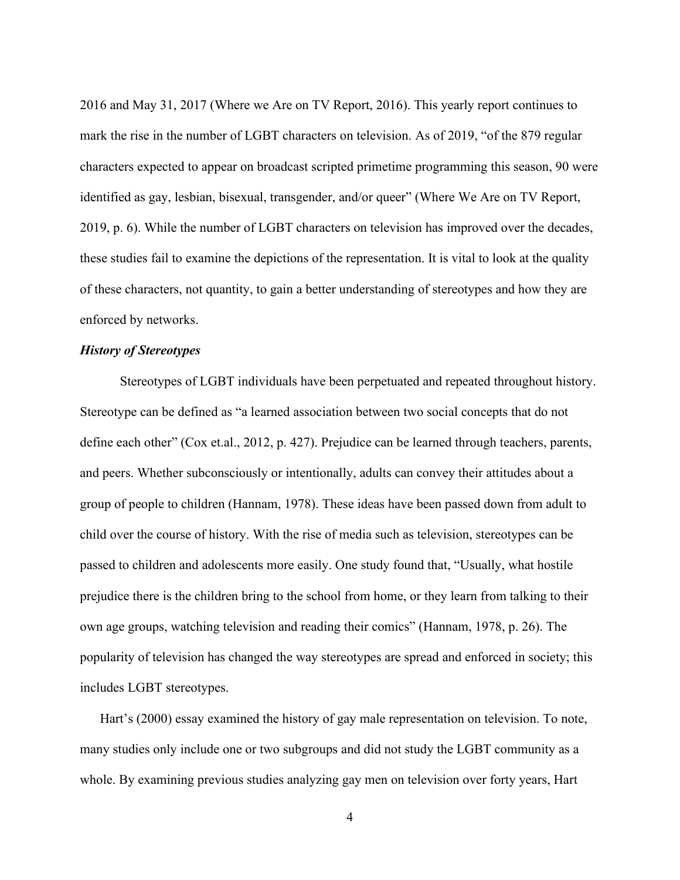2016 and May 31, 2017 (Where we Are on TV Report, 2016). This yearly report continues to mark the rise in the number of LGBT characters on television. As of 2019, "of the 879 regular characters expected to appear on broadcast scripted primetime programming this season, 90 were identified as gay, lesbian, bisexual, transgender, and/or queer" (Where We Are on TV Report, 2019, p. 6). While the number of LGBT characters on television has improved over the decades, these studies fail to examine the depictions of the representation. It is vital to look at the quality of these characters, not quantity, to gain a better understanding of stereotypes and how they are enforced by networks.

## <span id="page-8-0"></span>*History of Stereotypes*

Stereotypes of LGBT individuals have been perpetuated and repeated throughout history. Stereotype can be defined as "a learned association between two social concepts that do not define each other" (Cox et.al., 2012, p. 427). Prejudice can be learned through teachers, parents, and peers. Whether subconsciously or intentionally, adults can convey their attitudes about a group of people to children (Hannam, 1978). These ideas have been passed down from adult to child over the course of history. With the rise of media such as television, stereotypes can be passed to children and adolescents more easily. One study found that, "Usually, what hostile prejudice there is the children bring to the school from home, or they learn from talking to their own age groups, watching television and reading their comics" (Hannam, 1978, p. 26). The popularity of television has changed the way stereotypes are spread and enforced in society; this includes LGBT stereotypes.

Hart's (2000) essay examined the history of gay male representation on television. To note, many studies only include one or two subgroups and did not study the LGBT community as a whole. By examining previous studies analyzing gay men on television over forty years, Hart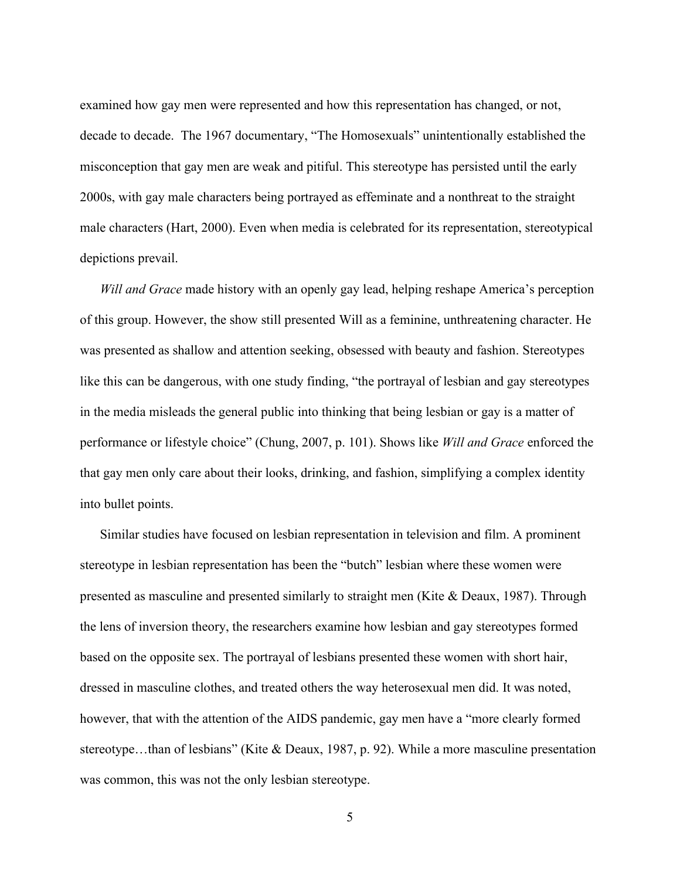examined how gay men were represented and how this representation has changed, or not, decade to decade. The 1967 documentary, "The Homosexuals" unintentionally established the misconception that gay men are weak and pitiful. This stereotype has persisted until the early 2000s, with gay male characters being portrayed as effeminate and a nonthreat to the straight male characters (Hart, 2000). Even when media is celebrated for its representation, stereotypical depictions prevail.

*Will and Grace* made history with an openly gay lead, helping reshape America's perception of this group. However, the show still presented Will as a feminine, unthreatening character. He was presented as shallow and attention seeking, obsessed with beauty and fashion. Stereotypes like this can be dangerous, with one study finding, "the portrayal of lesbian and gay stereotypes in the media misleads the general public into thinking that being lesbian or gay is a matter of performance or lifestyle choice" (Chung, 2007, p. 101). Shows like *Will and Grace* enforced the that gay men only care about their looks, drinking, and fashion, simplifying a complex identity into bullet points.

Similar studies have focused on lesbian representation in television and film. A prominent stereotype in lesbian representation has been the "butch" lesbian where these women were presented as masculine and presented similarly to straight men (Kite & Deaux, 1987). Through the lens of inversion theory, the researchers examine how lesbian and gay stereotypes formed based on the opposite sex. The portrayal of lesbians presented these women with short hair, dressed in masculine clothes, and treated others the way heterosexual men did. It was noted, however, that with the attention of the AIDS pandemic, gay men have a "more clearly formed stereotype…than of lesbians" (Kite & Deaux, 1987, p. 92). While a more masculine presentation was common, this was not the only lesbian stereotype.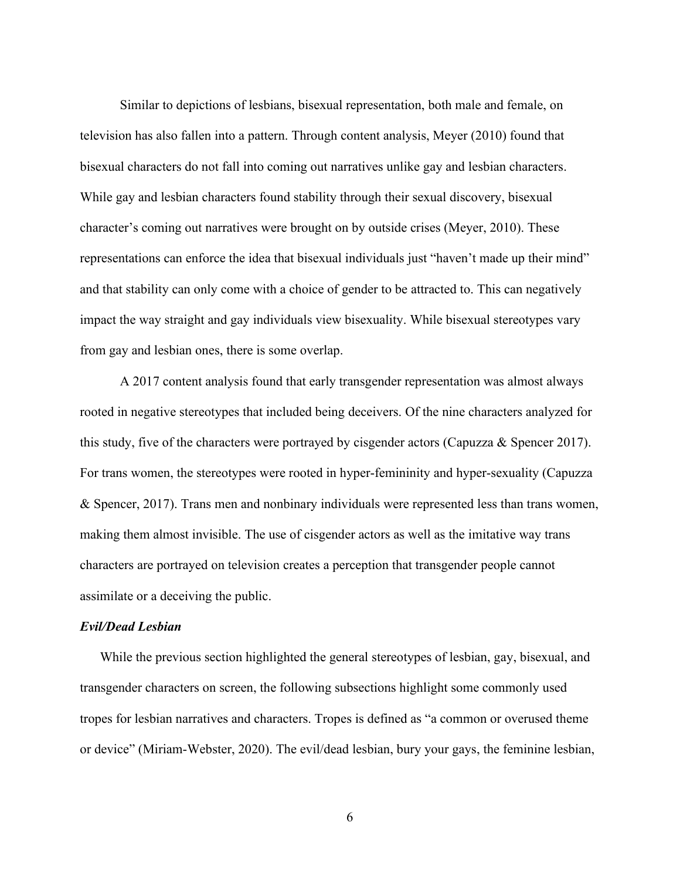Similar to depictions of lesbians, bisexual representation, both male and female, on television has also fallen into a pattern. Through content analysis, Meyer (2010) found that bisexual characters do not fall into coming out narratives unlike gay and lesbian characters. While gay and lesbian characters found stability through their sexual discovery, bisexual character's coming out narratives were brought on by outside crises (Meyer, 2010). These representations can enforce the idea that bisexual individuals just "haven't made up their mind" and that stability can only come with a choice of gender to be attracted to. This can negatively impact the way straight and gay individuals view bisexuality. While bisexual stereotypes vary from gay and lesbian ones, there is some overlap.

A 2017 content analysis found that early transgender representation was almost always rooted in negative stereotypes that included being deceivers. Of the nine characters analyzed for this study, five of the characters were portrayed by cisgender actors (Capuzza & Spencer 2017). For trans women, the stereotypes were rooted in hyper-femininity and hyper-sexuality (Capuzza & Spencer, 2017). Trans men and nonbinary individuals were represented less than trans women, making them almost invisible. The use of cisgender actors as well as the imitative way trans characters are portrayed on television creates a perception that transgender people cannot assimilate or a deceiving the public.

## <span id="page-10-0"></span>*Evil/Dead Lesbian*

While the previous section highlighted the general stereotypes of lesbian, gay, bisexual, and transgender characters on screen, the following subsections highlight some commonly used tropes for lesbian narratives and characters. Tropes is defined as "a common or overused theme or device" (Miriam-Webster, 2020). The evil/dead lesbian, bury your gays, the feminine lesbian,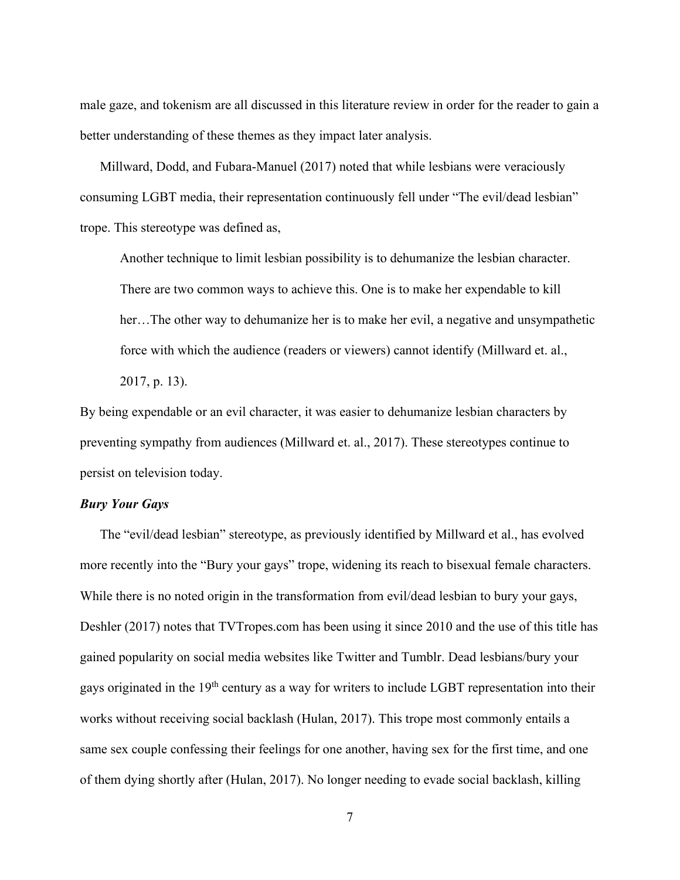male gaze, and tokenism are all discussed in this literature review in order for the reader to gain a better understanding of these themes as they impact later analysis.

Millward, Dodd, and Fubara-Manuel (2017) noted that while lesbians were veraciously consuming LGBT media, their representation continuously fell under "The evil/dead lesbian" trope. This stereotype was defined as,

Another technique to limit lesbian possibility is to dehumanize the lesbian character. There are two common ways to achieve this. One is to make her expendable to kill her…The other way to dehumanize her is to make her evil, a negative and unsympathetic force with which the audience (readers or viewers) cannot identify (Millward et. al., 2017, p. 13).

By being expendable or an evil character, it was easier to dehumanize lesbian characters by preventing sympathy from audiences (Millward et. al., 2017). These stereotypes continue to persist on television today.

## <span id="page-11-0"></span>*Bury Your Gays*

The "evil/dead lesbian" stereotype, as previously identified by Millward et al., has evolved more recently into the "Bury your gays" trope, widening its reach to bisexual female characters. While there is no noted origin in the transformation from evil/dead lesbian to bury your gays, Deshler (2017) notes that TVTropes.com has been using it since 2010 and the use of this title has gained popularity on social media websites like Twitter and Tumblr. Dead lesbians/bury your gays originated in the 19<sup>th</sup> century as a way for writers to include LGBT representation into their works without receiving social backlash (Hulan, 2017). This trope most commonly entails a same sex couple confessing their feelings for one another, having sex for the first time, and one of them dying shortly after (Hulan, 2017). No longer needing to evade social backlash, killing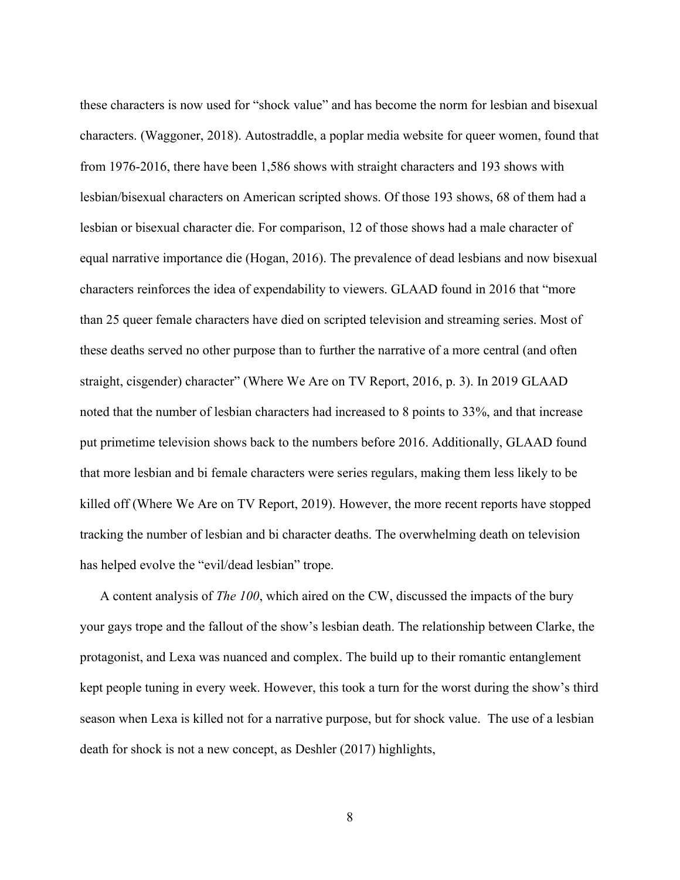these characters is now used for "shock value" and has become the norm for lesbian and bisexual characters. (Waggoner, 2018). Autostraddle, a poplar media website for queer women, found that from 1976-2016, there have been 1,586 shows with straight characters and 193 shows with lesbian/bisexual characters on American scripted shows. Of those 193 shows, 68 of them had a lesbian or bisexual character die. For comparison, 12 of those shows had a male character of equal narrative importance die (Hogan, 2016). The prevalence of dead lesbians and now bisexual characters reinforces the idea of expendability to viewers. GLAAD found in 2016 that "more than 25 queer female characters have died on scripted television and streaming series. Most of these deaths served no other purpose than to further the narrative of a more central (and often straight, cisgender) character" (Where We Are on TV Report, 2016, p. 3). In 2019 GLAAD noted that the number of lesbian characters had increased to 8 points to 33%, and that increase put primetime television shows back to the numbers before 2016. Additionally, GLAAD found that more lesbian and bi female characters were series regulars, making them less likely to be killed off (Where We Are on TV Report, 2019). However, the more recent reports have stopped tracking the number of lesbian and bi character deaths. The overwhelming death on television has helped evolve the "evil/dead lesbian" trope.

A content analysis of *The 100*, which aired on the CW, discussed the impacts of the bury your gays trope and the fallout of the show's lesbian death. The relationship between Clarke, the protagonist, and Lexa was nuanced and complex. The build up to their romantic entanglement kept people tuning in every week. However, this took a turn for the worst during the show's third season when Lexa is killed not for a narrative purpose, but for shock value. The use of a lesbian death for shock is not a new concept, as Deshler (2017) highlights,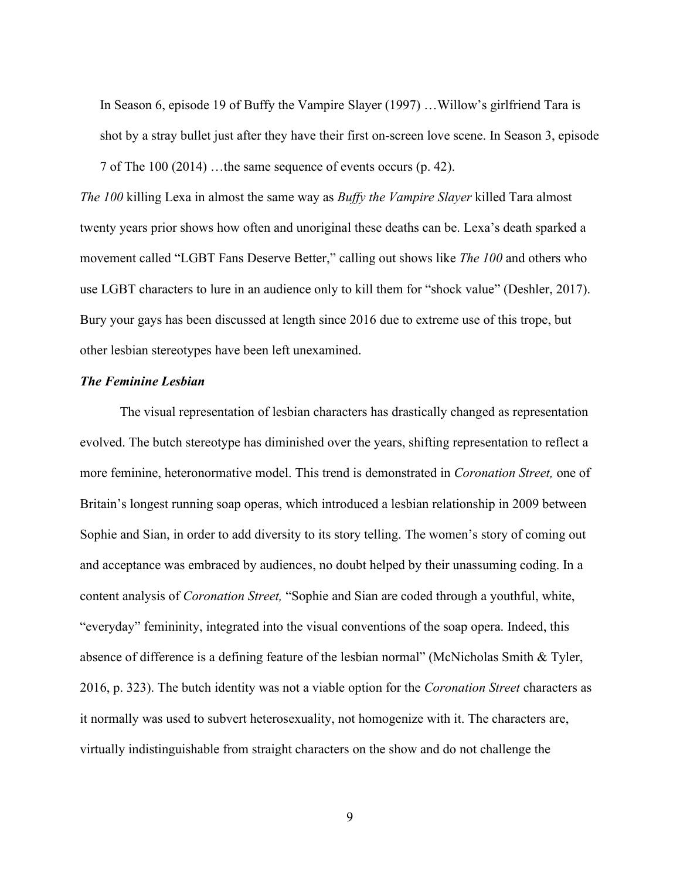In Season 6, episode 19 of Buffy the Vampire Slayer (1997) …Willow's girlfriend Tara is shot by a stray bullet just after they have their first on-screen love scene. In Season 3, episode 7 of The 100 (2014) …the same sequence of events occurs (p. 42).

*The 100* killing Lexa in almost the same way as *Buffy the Vampire Slayer* killed Tara almost twenty years prior shows how often and unoriginal these deaths can be. Lexa's death sparked a movement called "LGBT Fans Deserve Better," calling out shows like *The 100* and others who use LGBT characters to lure in an audience only to kill them for "shock value" (Deshler, 2017). Bury your gays has been discussed at length since 2016 due to extreme use of this trope, but other lesbian stereotypes have been left unexamined.

## <span id="page-13-0"></span>*The Feminine Lesbian*

The visual representation of lesbian characters has drastically changed as representation evolved. The butch stereotype has diminished over the years, shifting representation to reflect a more feminine, heteronormative model. This trend is demonstrated in *Coronation Street,* one of Britain's longest running soap operas, which introduced a lesbian relationship in 2009 between Sophie and Sian, in order to add diversity to its story telling. The women's story of coming out and acceptance was embraced by audiences, no doubt helped by their unassuming coding. In a content analysis of *Coronation Street,* "Sophie and Sian are coded through a youthful, white, "everyday" femininity, integrated into the visual conventions of the soap opera. Indeed, this absence of difference is a defining feature of the lesbian normal" (McNicholas Smith & Tyler, 2016, p. 323). The butch identity was not a viable option for the *Coronation Street* characters as it normally was used to subvert heterosexuality, not homogenize with it. The characters are, virtually indistinguishable from straight characters on the show and do not challenge the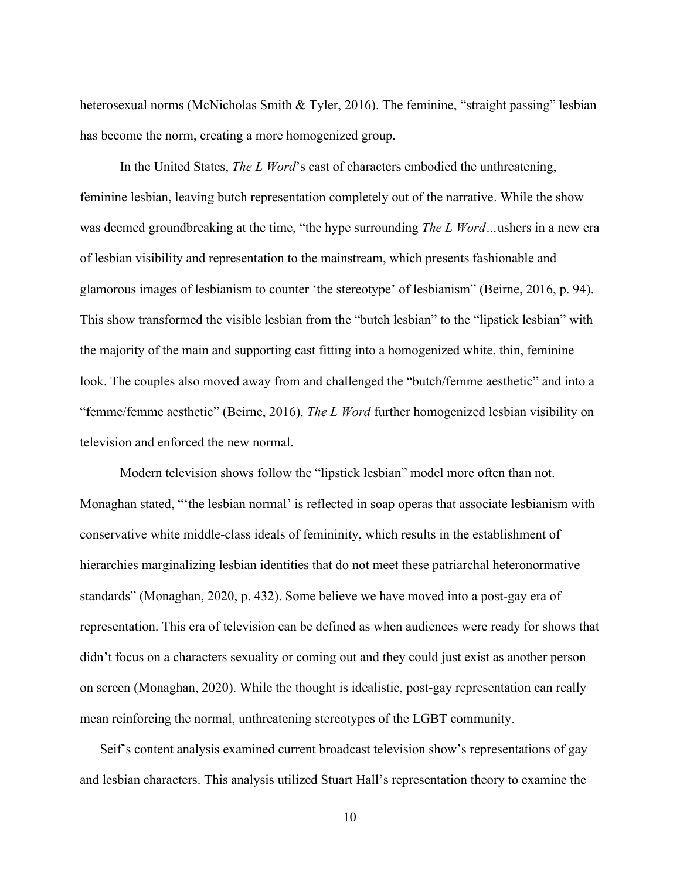heterosexual norms (McNicholas Smith & Tyler, 2016). The feminine, "straight passing" lesbian has become the norm, creating a more homogenized group.

In the United States, *The L Word*'s cast of characters embodied the unthreatening, feminine lesbian, leaving butch representation completely out of the narrative. While the show was deemed groundbreaking at the time, "the hype surrounding *The L Word…*ushers in a new era of lesbian visibility and representation to the mainstream, which presents fashionable and glamorous images of lesbianism to counter 'the stereotype' of lesbianism" (Beirne, 2016, p. 94). This show transformed the visible lesbian from the "butch lesbian" to the "lipstick lesbian" with the majority of the main and supporting cast fitting into a homogenized white, thin, feminine look. The couples also moved away from and challenged the "butch/femme aesthetic" and into a "femme/femme aesthetic" (Beirne, 2016). *The L Word* further homogenized lesbian visibility on television and enforced the new normal.

Modern television shows follow the "lipstick lesbian" model more often than not. Monaghan stated, "'the lesbian normal' is reflected in soap operas that associate lesbianism with conservative white middle-class ideals of femininity, which results in the establishment of hierarchies marginalizing lesbian identities that do not meet these patriarchal heteronormative standards" (Monaghan, 2020, p. 432). Some believe we have moved into a post-gay era of representation. This era of television can be defined as when audiences were ready for shows that didn't focus on a characters sexuality or coming out and they could just exist as another person on screen (Monaghan, 2020). While the thought is idealistic, post-gay representation can really mean reinforcing the normal, unthreatening stereotypes of the LGBT community.

Seif's content analysis examined current broadcast television show's representations of gay and lesbian characters. This analysis utilized Stuart Hall's representation theory to examine the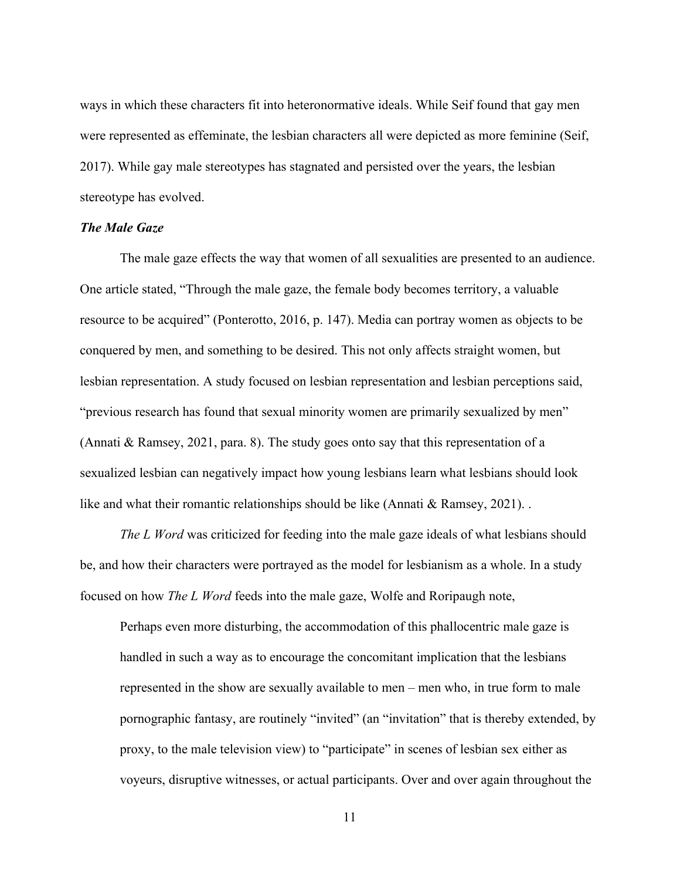ways in which these characters fit into heteronormative ideals. While Seif found that gay men were represented as effeminate, the lesbian characters all were depicted as more feminine (Seif, 2017). While gay male stereotypes has stagnated and persisted over the years, the lesbian stereotype has evolved.

# <span id="page-15-0"></span>*The Male Gaze*

The male gaze effects the way that women of all sexualities are presented to an audience. One article stated, "Through the male gaze, the female body becomes territory, a valuable resource to be acquired" (Ponterotto, 2016, p. 147). Media can portray women as objects to be conquered by men, and something to be desired. This not only affects straight women, but lesbian representation. A study focused on lesbian representation and lesbian perceptions said, "previous research has found that sexual minority women are primarily sexualized by men" (Annati & Ramsey, 2021, para. 8). The study goes onto say that this representation of a sexualized lesbian can negatively impact how young lesbians learn what lesbians should look like and what their romantic relationships should be like (Annati & Ramsey, 2021). .

*The L Word* was criticized for feeding into the male gaze ideals of what lesbians should be, and how their characters were portrayed as the model for lesbianism as a whole. In a study focused on how *The L Word* feeds into the male gaze, Wolfe and Roripaugh note,

Perhaps even more disturbing, the accommodation of this phallocentric male gaze is handled in such a way as to encourage the concomitant implication that the lesbians represented in the show are sexually available to men – men who, in true form to male pornographic fantasy, are routinely "invited" (an "invitation" that is thereby extended, by proxy, to the male television view) to "participate" in scenes of lesbian sex either as voyeurs, disruptive witnesses, or actual participants. Over and over again throughout the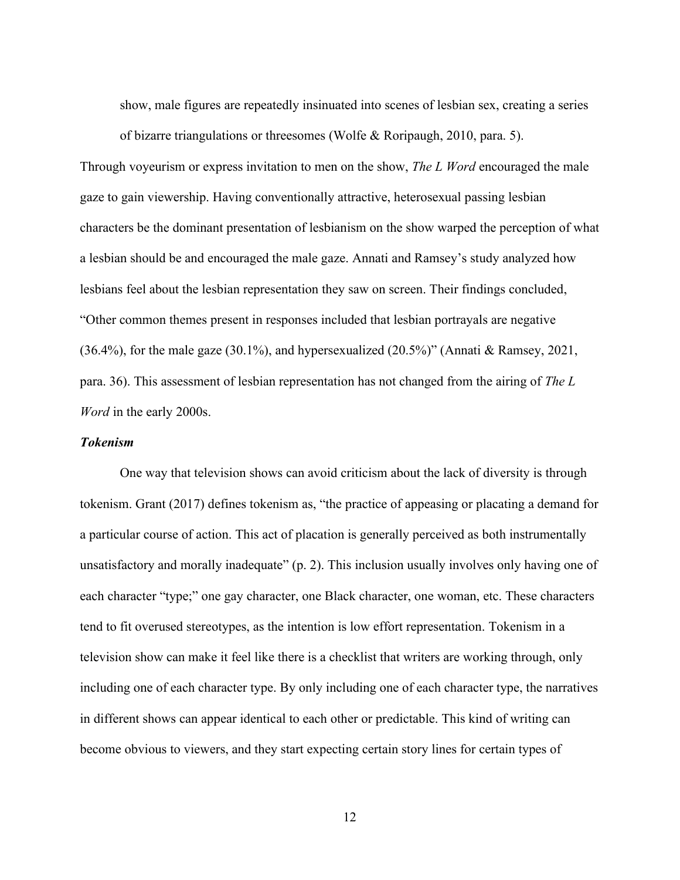show, male figures are repeatedly insinuated into scenes of lesbian sex, creating a series of bizarre triangulations or threesomes (Wolfe & Roripaugh, 2010, para. 5).

Through voyeurism or express invitation to men on the show, *The L Word* encouraged the male gaze to gain viewership. Having conventionally attractive, heterosexual passing lesbian characters be the dominant presentation of lesbianism on the show warped the perception of what a lesbian should be and encouraged the male gaze. Annati and Ramsey's study analyzed how lesbians feel about the lesbian representation they saw on screen. Their findings concluded, "Other common themes present in responses included that lesbian portrayals are negative (36.4%), for the male gaze (30.1%), and hypersexualized (20.5%)" (Annati & Ramsey, 2021, para. 36). This assessment of lesbian representation has not changed from the airing of *The L Word* in the early 2000s.

## <span id="page-16-0"></span>*Tokenism*

One way that television shows can avoid criticism about the lack of diversity is through tokenism. Grant (2017) defines tokenism as, "the practice of appeasing or placating a demand for a particular course of action. This act of placation is generally perceived as both instrumentally unsatisfactory and morally inadequate" (p. 2). This inclusion usually involves only having one of each character "type;" one gay character, one Black character, one woman, etc. These characters tend to fit overused stereotypes, as the intention is low effort representation. Tokenism in a television show can make it feel like there is a checklist that writers are working through, only including one of each character type. By only including one of each character type, the narratives in different shows can appear identical to each other or predictable. This kind of writing can become obvious to viewers, and they start expecting certain story lines for certain types of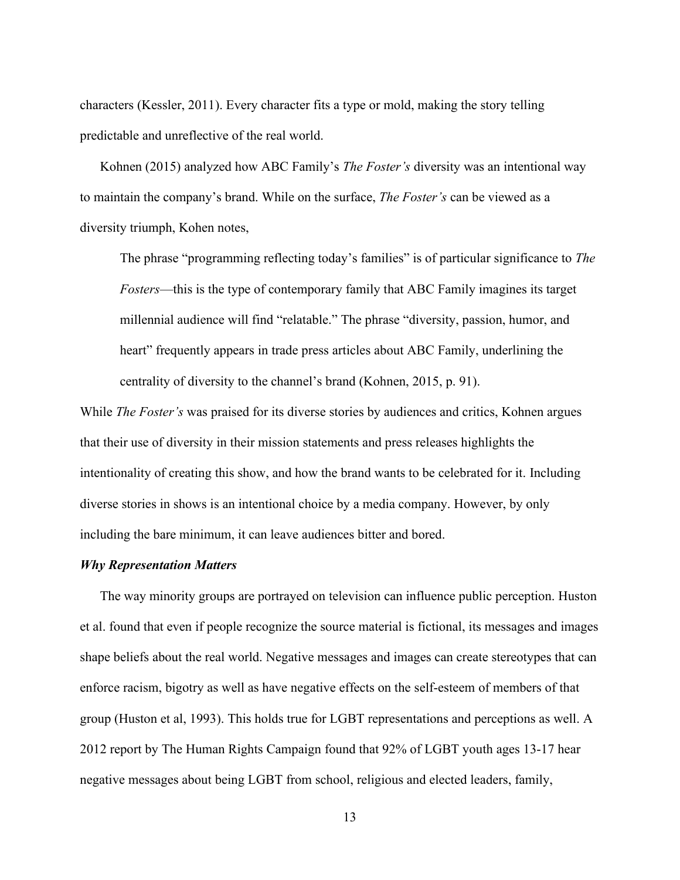characters (Kessler, 2011). Every character fits a type or mold, making the story telling predictable and unreflective of the real world.

Kohnen (2015) analyzed how ABC Family's *The Foster's* diversity was an intentional way to maintain the company's brand. While on the surface, *The Foster's* can be viewed as a diversity triumph, Kohen notes,

The phrase "programming reflecting today's families" is of particular significance to *The Fosters*—this is the type of contemporary family that ABC Family imagines its target millennial audience will find "relatable." The phrase "diversity, passion, humor, and heart" frequently appears in trade press articles about ABC Family, underlining the centrality of diversity to the channel's brand (Kohnen, 2015, p. 91).

While *The Foster's* was praised for its diverse stories by audiences and critics, Kohnen argues that their use of diversity in their mission statements and press releases highlights the intentionality of creating this show, and how the brand wants to be celebrated for it. Including diverse stories in shows is an intentional choice by a media company. However, by only including the bare minimum, it can leave audiences bitter and bored.

## <span id="page-17-0"></span>*Why Representation Matters*

The way minority groups are portrayed on television can influence public perception. Huston et al. found that even if people recognize the source material is fictional, its messages and images shape beliefs about the real world. Negative messages and images can create stereotypes that can enforce racism, bigotry as well as have negative effects on the self-esteem of members of that group (Huston et al, 1993). This holds true for LGBT representations and perceptions as well. A 2012 report by The Human Rights Campaign found that 92% of LGBT youth ages 13-17 hear negative messages about being LGBT from school, religious and elected leaders, family,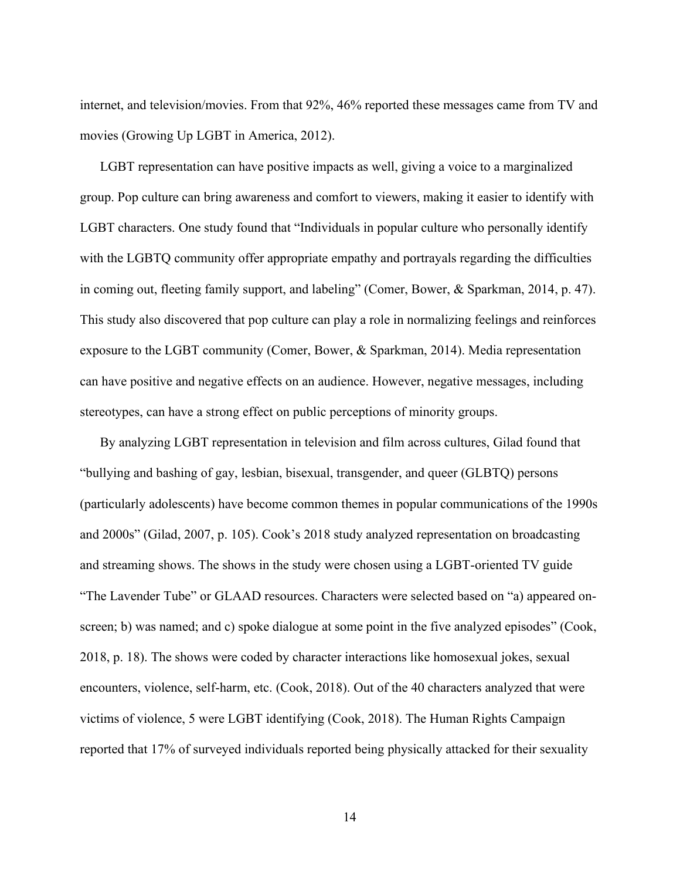internet, and television/movies. From that 92%, 46% reported these messages came from TV and movies (Growing Up LGBT in America, 2012).

LGBT representation can have positive impacts as well, giving a voice to a marginalized group. Pop culture can bring awareness and comfort to viewers, making it easier to identify with LGBT characters. One study found that "Individuals in popular culture who personally identify with the LGBTQ community offer appropriate empathy and portrayals regarding the difficulties in coming out, fleeting family support, and labeling" (Comer, Bower, & Sparkman, 2014, p. 47). This study also discovered that pop culture can play a role in normalizing feelings and reinforces exposure to the LGBT community (Comer, Bower, & Sparkman, 2014). Media representation can have positive and negative effects on an audience. However, negative messages, including stereotypes, can have a strong effect on public perceptions of minority groups.

By analyzing LGBT representation in television and film across cultures, Gilad found that "bullying and bashing of gay, lesbian, bisexual, transgender, and queer (GLBTQ) persons (particularly adolescents) have become common themes in popular communications of the 1990s and 2000s" (Gilad, 2007, p. 105). Cook's 2018 study analyzed representation on broadcasting and streaming shows. The shows in the study were chosen using a LGBT-oriented TV guide "The Lavender Tube" or GLAAD resources. Characters were selected based on "a) appeared onscreen; b) was named; and c) spoke dialogue at some point in the five analyzed episodes" (Cook, 2018, p. 18). The shows were coded by character interactions like homosexual jokes, sexual encounters, violence, self-harm, etc. (Cook, 2018). Out of the 40 characters analyzed that were victims of violence, 5 were LGBT identifying (Cook, 2018). The Human Rights Campaign reported that 17% of surveyed individuals reported being physically attacked for their sexuality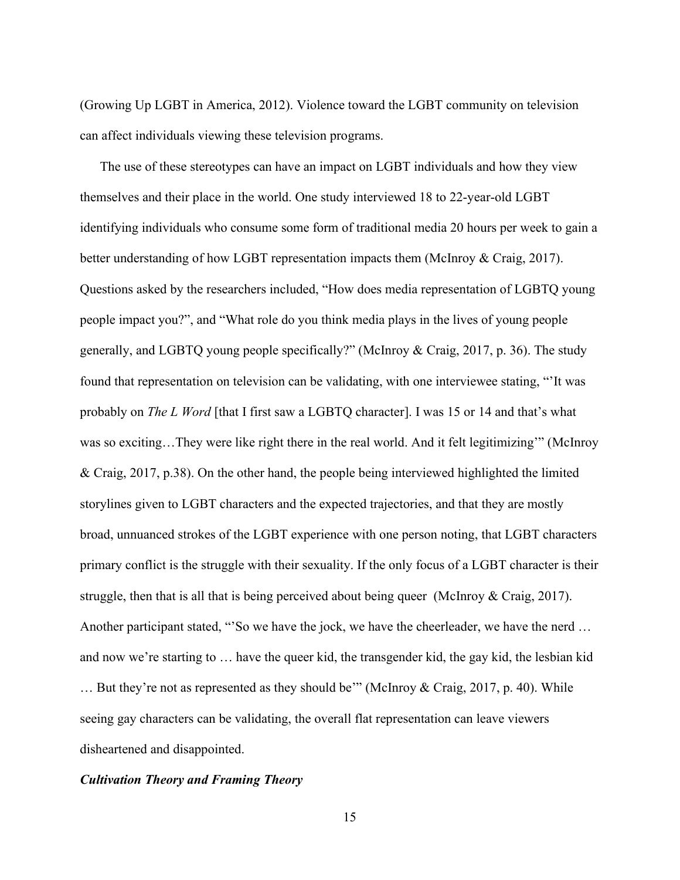(Growing Up LGBT in America, 2012). Violence toward the LGBT community on television can affect individuals viewing these television programs.

The use of these stereotypes can have an impact on LGBT individuals and how they view themselves and their place in the world. One study interviewed 18 to 22-year-old LGBT identifying individuals who consume some form of traditional media 20 hours per week to gain a better understanding of how LGBT representation impacts them (McInroy & Craig, 2017). Questions asked by the researchers included, "How does media representation of LGBTQ young people impact you?", and "What role do you think media plays in the lives of young people generally, and LGBTQ young people specifically?" (McInroy & Craig, 2017, p. 36). The study found that representation on television can be validating, with one interviewee stating, "'It was probably on *The L Word* [that I first saw a LGBTQ character]. I was 15 or 14 and that's what was so exciting…They were like right there in the real world. And it felt legitimizing'" (McInroy & Craig, 2017, p.38). On the other hand, the people being interviewed highlighted the limited storylines given to LGBT characters and the expected trajectories, and that they are mostly broad, unnuanced strokes of the LGBT experience with one person noting, that LGBT characters primary conflict is the struggle with their sexuality. If the only focus of a LGBT character is their struggle, then that is all that is being perceived about being queer (McInroy  $& Craig, 2017$ ). Another participant stated, "'So we have the jock, we have the cheerleader, we have the nerd … and now we're starting to … have the queer kid, the transgender kid, the gay kid, the lesbian kid … But they're not as represented as they should be'" (McInroy & Craig, 2017, p. 40). While seeing gay characters can be validating, the overall flat representation can leave viewers disheartened and disappointed.

### <span id="page-19-0"></span>*Cultivation Theory and Framing Theory*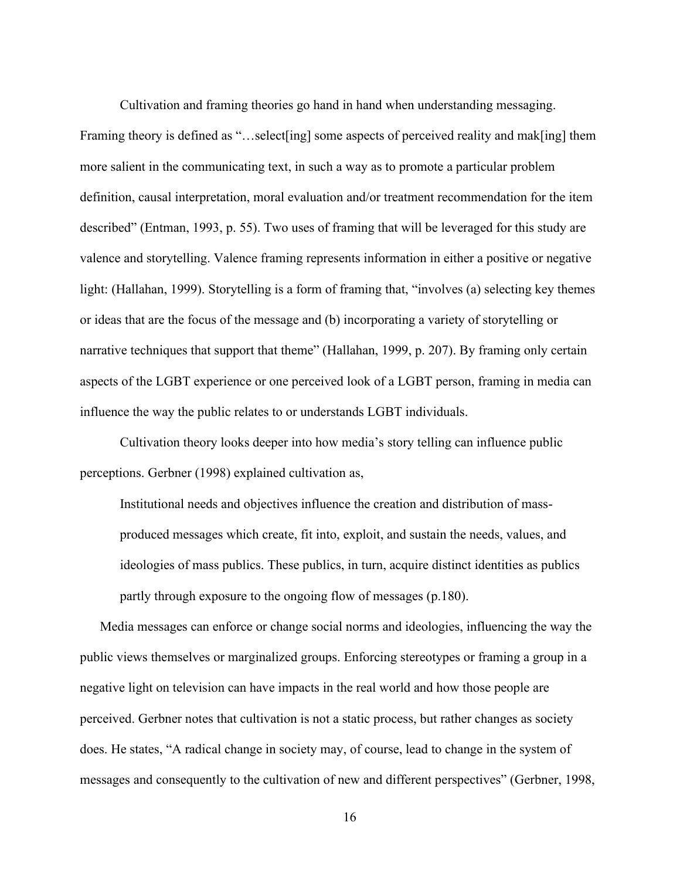Cultivation and framing theories go hand in hand when understanding messaging. Framing theory is defined as "...select [ing] some aspects of perceived reality and mak[ing] them more salient in the communicating text, in such a way as to promote a particular problem definition, causal interpretation, moral evaluation and/or treatment recommendation for the item described" (Entman, 1993, p. 55). Two uses of framing that will be leveraged for this study are valence and storytelling. Valence framing represents information in either a positive or negative light: (Hallahan, 1999). Storytelling is a form of framing that, "involves (a) selecting key themes or ideas that are the focus of the message and (b) incorporating a variety of storytelling or narrative techniques that support that theme" (Hallahan, 1999, p. 207). By framing only certain aspects of the LGBT experience or one perceived look of a LGBT person, framing in media can influence the way the public relates to or understands LGBT individuals.

Cultivation theory looks deeper into how media's story telling can influence public perceptions. Gerbner (1998) explained cultivation as,

Institutional needs and objectives influence the creation and distribution of massproduced messages which create, fit into, exploit, and sustain the needs, values, and ideologies of mass publics. These publics, in turn, acquire distinct identities as publics partly through exposure to the ongoing flow of messages (p.180).

Media messages can enforce or change social norms and ideologies, influencing the way the public views themselves or marginalized groups. Enforcing stereotypes or framing a group in a negative light on television can have impacts in the real world and how those people are perceived. Gerbner notes that cultivation is not a static process, but rather changes as society does. He states, "A radical change in society may, of course, lead to change in the system of messages and consequently to the cultivation of new and different perspectives" (Gerbner, 1998,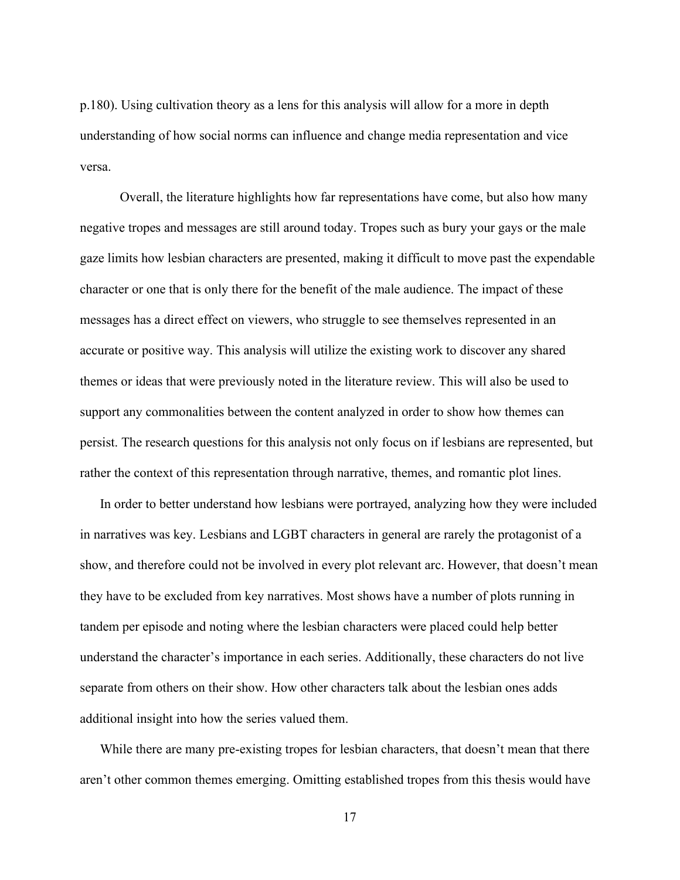p.180). Using cultivation theory as a lens for this analysis will allow for a more in depth understanding of how social norms can influence and change media representation and vice versa.

Overall, the literature highlights how far representations have come, but also how many negative tropes and messages are still around today. Tropes such as bury your gays or the male gaze limits how lesbian characters are presented, making it difficult to move past the expendable character or one that is only there for the benefit of the male audience. The impact of these messages has a direct effect on viewers, who struggle to see themselves represented in an accurate or positive way. This analysis will utilize the existing work to discover any shared themes or ideas that were previously noted in the literature review. This will also be used to support any commonalities between the content analyzed in order to show how themes can persist. The research questions for this analysis not only focus on if lesbians are represented, but rather the context of this representation through narrative, themes, and romantic plot lines.

In order to better understand how lesbians were portrayed, analyzing how they were included in narratives was key. Lesbians and LGBT characters in general are rarely the protagonist of a show, and therefore could not be involved in every plot relevant arc. However, that doesn't mean they have to be excluded from key narratives. Most shows have a number of plots running in tandem per episode and noting where the lesbian characters were placed could help better understand the character's importance in each series. Additionally, these characters do not live separate from others on their show. How other characters talk about the lesbian ones adds additional insight into how the series valued them.

While there are many pre-existing tropes for lesbian characters, that doesn't mean that there aren't other common themes emerging. Omitting established tropes from this thesis would have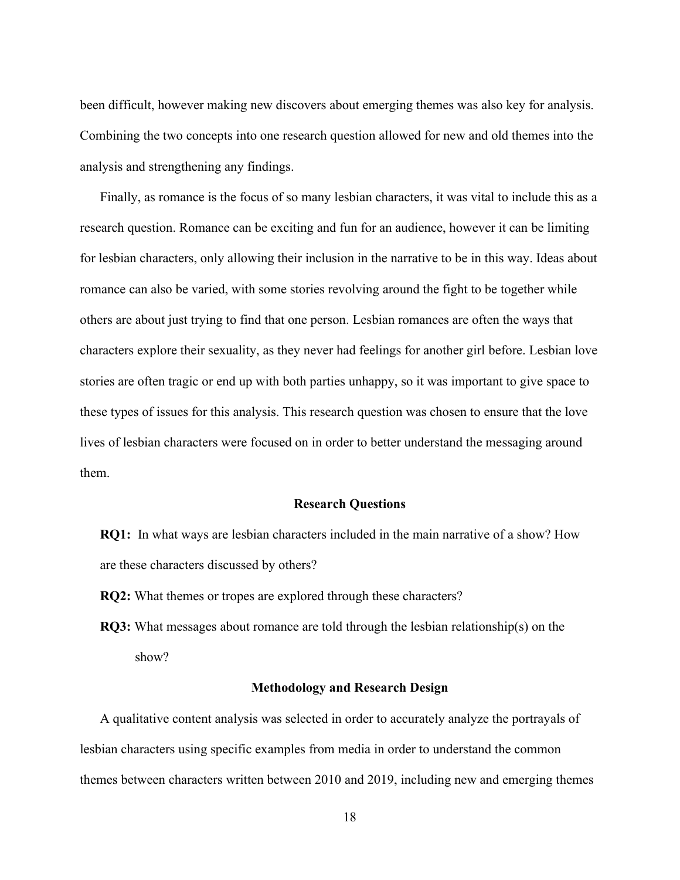been difficult, however making new discovers about emerging themes was also key for analysis. Combining the two concepts into one research question allowed for new and old themes into the analysis and strengthening any findings.

Finally, as romance is the focus of so many lesbian characters, it was vital to include this as a research question. Romance can be exciting and fun for an audience, however it can be limiting for lesbian characters, only allowing their inclusion in the narrative to be in this way. Ideas about romance can also be varied, with some stories revolving around the fight to be together while others are about just trying to find that one person. Lesbian romances are often the ways that characters explore their sexuality, as they never had feelings for another girl before. Lesbian love stories are often tragic or end up with both parties unhappy, so it was important to give space to these types of issues for this analysis. This research question was chosen to ensure that the love lives of lesbian characters were focused on in order to better understand the messaging around them.

#### **Research Questions**

<span id="page-22-0"></span>**RQ1:** In what ways are lesbian characters included in the main narrative of a show? How are these characters discussed by others?

- **RQ2:** What themes or tropes are explored through these characters?
- **RQ3:** What messages about romance are told through the lesbian relationship(s) on the show?

#### **Methodology and Research Design**

<span id="page-22-1"></span>A qualitative content analysis was selected in order to accurately analyze the portrayals of lesbian characters using specific examples from media in order to understand the common themes between characters written between 2010 and 2019, including new and emerging themes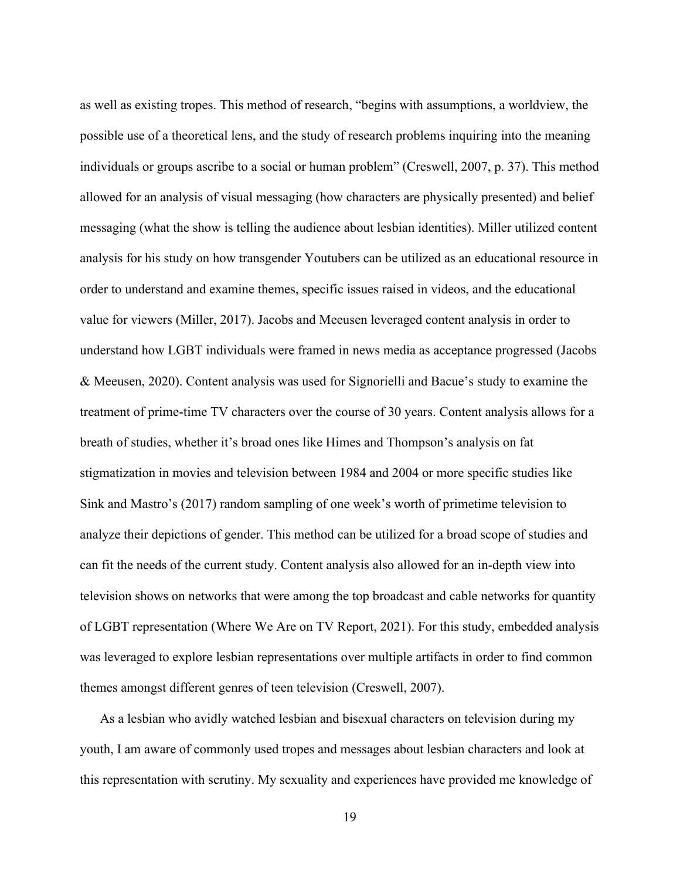as well as existing tropes. This method of research, "begins with assumptions, a worldview, the possible use of a theoretical lens, and the study of research problems inquiring into the meaning individuals or groups ascribe to a social or human problem" (Creswell, 2007, p. 37). This method allowed for an analysis of visual messaging (how characters are physically presented) and belief messaging (what the show is telling the audience about lesbian identities). Miller utilized content analysis for his study on how transgender Youtubers can be utilized as an educational resource in order to understand and examine themes, specific issues raised in videos, and the educational value for viewers (Miller, 2017). Jacobs and Meeusen leveraged content analysis in order to understand how LGBT individuals were framed in news media as acceptance progressed (Jacobs & Meeusen, 2020). Content analysis was used for Signorielli and Bacue's study to examine the treatment of prime-time TV characters over the course of 30 years. Content analysis allows for a breath of studies, whether it's broad ones like Himes and Thompson's analysis on fat stigmatization in movies and television between 1984 and 2004 or more specific studies like Sink and Mastro's (2017) random sampling of one week's worth of primetime television to analyze their depictions of gender. This method can be utilized for a broad scope of studies and can fit the needs of the current study. Content analysis also allowed for an in-depth view into television shows on networks that were among the top broadcast and cable networks for quantity of LGBT representation (Where We Are on TV Report, 2021). For this study, embedded analysis was leveraged to explore lesbian representations over multiple artifacts in order to find common themes amongst different genres of teen television (Creswell, 2007).

As a lesbian who avidly watched lesbian and bisexual characters on television during my youth, I am aware of commonly used tropes and messages about lesbian characters and look at this representation with scrutiny. My sexuality and experiences have provided me knowledge of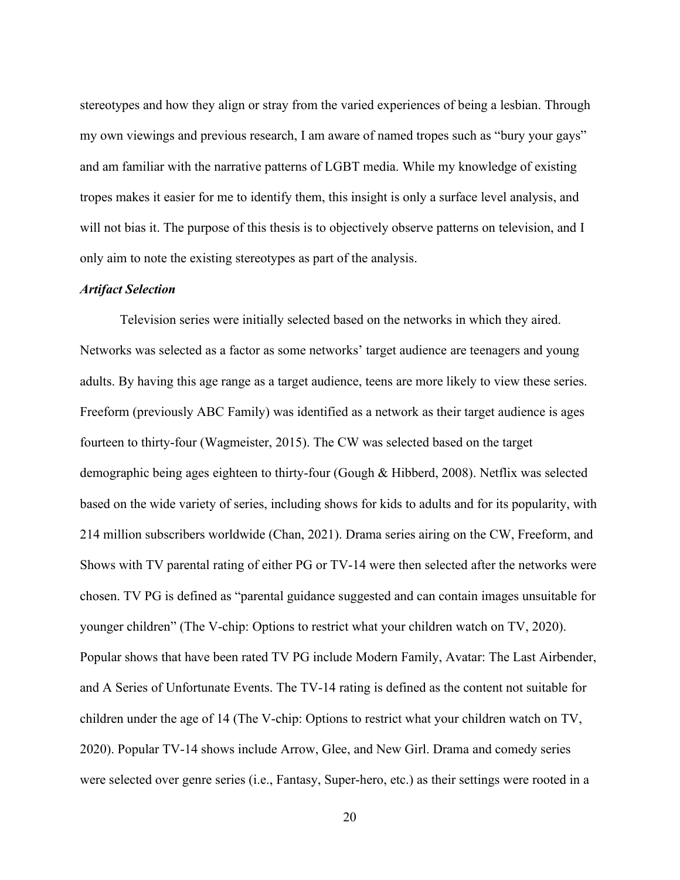stereotypes and how they align or stray from the varied experiences of being a lesbian. Through my own viewings and previous research, I am aware of named tropes such as "bury your gays" and am familiar with the narrative patterns of LGBT media. While my knowledge of existing tropes makes it easier for me to identify them, this insight is only a surface level analysis, and will not bias it. The purpose of this thesis is to objectively observe patterns on television, and I only aim to note the existing stereotypes as part of the analysis.

## <span id="page-24-0"></span>*Artifact Selection*

Television series were initially selected based on the networks in which they aired. Networks was selected as a factor as some networks' target audience are teenagers and young adults. By having this age range as a target audience, teens are more likely to view these series. Freeform (previously ABC Family) was identified as a network as their target audience is ages fourteen to thirty-four (Wagmeister, 2015). The CW was selected based on the target demographic being ages eighteen to thirty-four (Gough & Hibberd, 2008). Netflix was selected based on the wide variety of series, including shows for kids to adults and for its popularity, with 214 million subscribers worldwide (Chan, 2021). Drama series airing on the CW, Freeform, and Shows with TV parental rating of either PG or TV-14 were then selected after the networks were chosen. TV PG is defined as "parental guidance suggested and can contain images unsuitable for younger children" (The V-chip: Options to restrict what your children watch on TV, 2020). Popular shows that have been rated TV PG include Modern Family, Avatar: The Last Airbender, and A Series of Unfortunate Events. The TV-14 rating is defined as the content not suitable for children under the age of 14 (The V-chip: Options to restrict what your children watch on TV, 2020). Popular TV-14 shows include Arrow, Glee, and New Girl. Drama and comedy series were selected over genre series (i.e., Fantasy, Super-hero, etc.) as their settings were rooted in a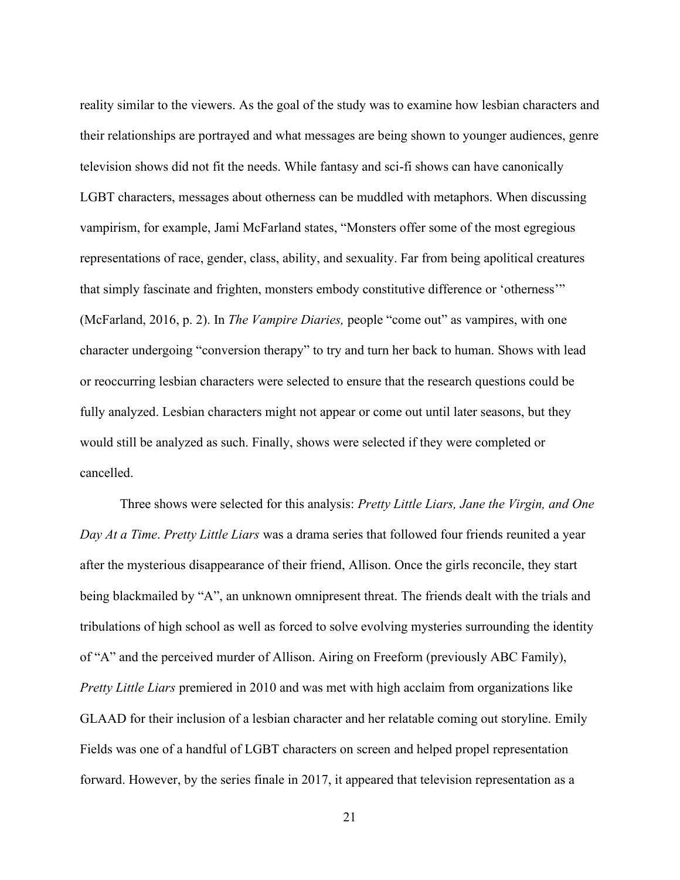reality similar to the viewers. As the goal of the study was to examine how lesbian characters and their relationships are portrayed and what messages are being shown to younger audiences, genre television shows did not fit the needs. While fantasy and sci-fi shows can have canonically LGBT characters, messages about otherness can be muddled with metaphors. When discussing vampirism, for example, Jami McFarland states, "Monsters offer some of the most egregious representations of race, gender, class, ability, and sexuality. Far from being apolitical creatures that simply fascinate and frighten, monsters embody constitutive difference or 'otherness'" (McFarland, 2016, p. 2). In *The Vampire Diaries,* people "come out" as vampires, with one character undergoing "conversion therapy" to try and turn her back to human. Shows with lead or reoccurring lesbian characters were selected to ensure that the research questions could be fully analyzed. Lesbian characters might not appear or come out until later seasons, but they would still be analyzed as such. Finally, shows were selected if they were completed or cancelled.

Three shows were selected for this analysis: *Pretty Little Liars, Jane the Virgin, and One Day At a Time*. *Pretty Little Liars* was a drama series that followed four friends reunited a year after the mysterious disappearance of their friend, Allison. Once the girls reconcile, they start being blackmailed by "A", an unknown omnipresent threat. The friends dealt with the trials and tribulations of high school as well as forced to solve evolving mysteries surrounding the identity of "A" and the perceived murder of Allison. Airing on Freeform (previously ABC Family), *Pretty Little Liars* premiered in 2010 and was met with high acclaim from organizations like GLAAD for their inclusion of a lesbian character and her relatable coming out storyline. Emily Fields was one of a handful of LGBT characters on screen and helped propel representation forward. However, by the series finale in 2017, it appeared that television representation as a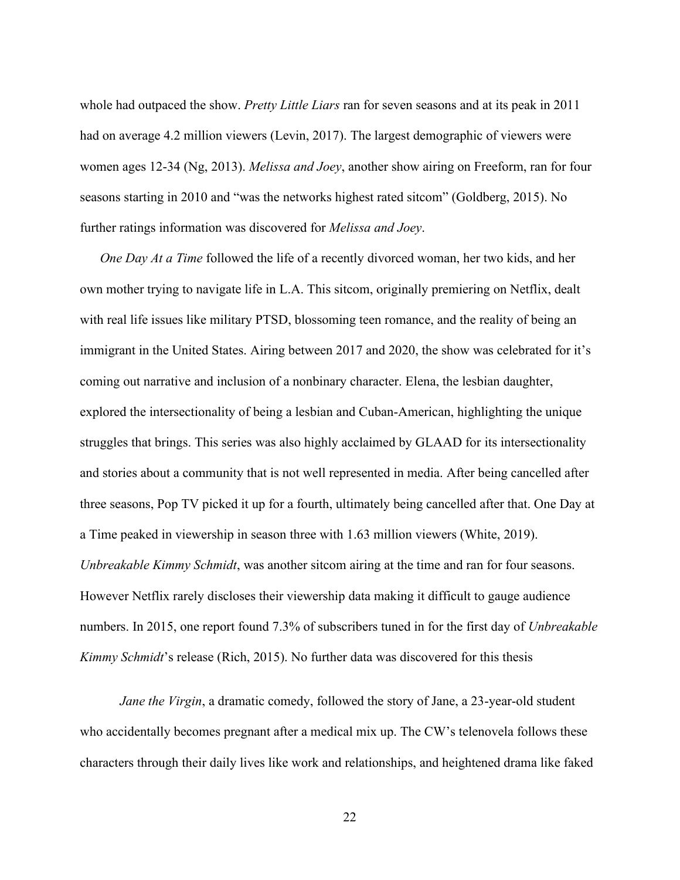whole had outpaced the show. *Pretty Little Liars* ran for seven seasons and at its peak in 2011 had on average 4.2 million viewers (Levin, 2017). The largest demographic of viewers were women ages 12-34 (Ng, 2013). *Melissa and Joey*, another show airing on Freeform, ran for four seasons starting in 2010 and "was the networks highest rated sitcom" (Goldberg, 2015). No further ratings information was discovered for *Melissa and Joey*.

*One Day At a Time* followed the life of a recently divorced woman, her two kids, and her own mother trying to navigate life in L.A. This sitcom, originally premiering on Netflix, dealt with real life issues like military PTSD, blossoming teen romance, and the reality of being an immigrant in the United States. Airing between 2017 and 2020, the show was celebrated for it's coming out narrative and inclusion of a nonbinary character. Elena, the lesbian daughter, explored the intersectionality of being a lesbian and Cuban-American, highlighting the unique struggles that brings. This series was also highly acclaimed by GLAAD for its intersectionality and stories about a community that is not well represented in media. After being cancelled after three seasons, Pop TV picked it up for a fourth, ultimately being cancelled after that. One Day at a Time peaked in viewership in season three with 1.63 million viewers (White, 2019). *Unbreakable Kimmy Schmidt*, was another sitcom airing at the time and ran for four seasons. However Netflix rarely discloses their viewership data making it difficult to gauge audience numbers. In 2015, one report found 7.3% of subscribers tuned in for the first day of *Unbreakable Kimmy Schmidt*'s release (Rich, 2015). No further data was discovered for this thesis

*Jane the Virgin*, a dramatic comedy, followed the story of Jane, a 23-year-old student who accidentally becomes pregnant after a medical mix up. The CW's telenovela follows these characters through their daily lives like work and relationships, and heightened drama like faked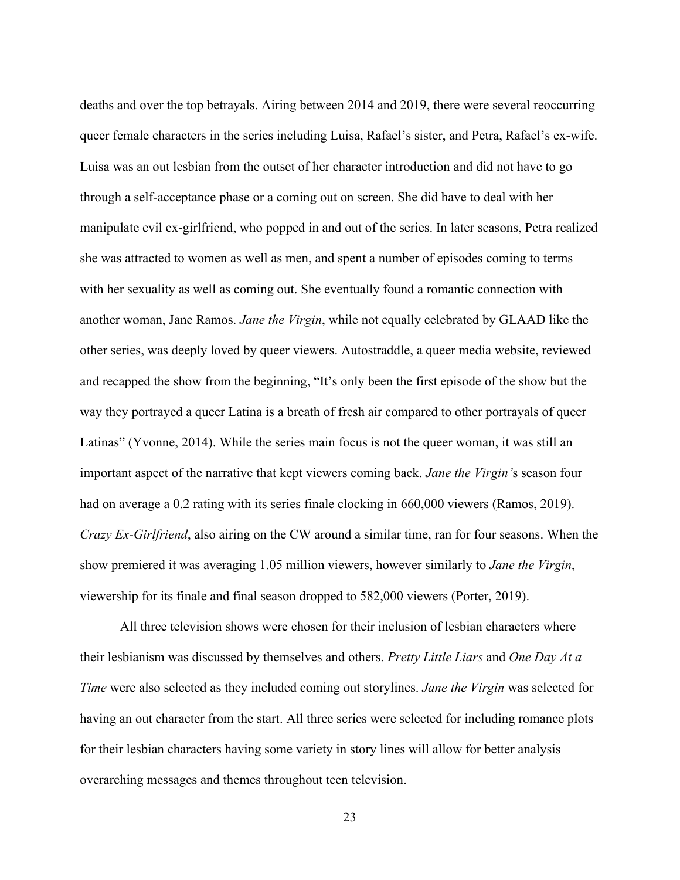deaths and over the top betrayals. Airing between 2014 and 2019, there were several reoccurring queer female characters in the series including Luisa, Rafael's sister, and Petra, Rafael's ex-wife. Luisa was an out lesbian from the outset of her character introduction and did not have to go through a self-acceptance phase or a coming out on screen. She did have to deal with her manipulate evil ex-girlfriend, who popped in and out of the series. In later seasons, Petra realized she was attracted to women as well as men, and spent a number of episodes coming to terms with her sexuality as well as coming out. She eventually found a romantic connection with another woman, Jane Ramos. *Jane the Virgin*, while not equally celebrated by GLAAD like the other series, was deeply loved by queer viewers. Autostraddle, a queer media website, reviewed and recapped the show from the beginning, "It's only been the first episode of the show but the way they portrayed a queer Latina is a breath of fresh air compared to other portrayals of queer Latinas" (Yvonne, 2014). While the series main focus is not the queer woman, it was still an important aspect of the narrative that kept viewers coming back. *Jane the Virgin'*s season four had on average a 0.2 rating with its series finale clocking in 660,000 viewers (Ramos, 2019). *Crazy Ex-Girlfriend*, also airing on the CW around a similar time, ran for four seasons. When the show premiered it was averaging 1.05 million viewers, however similarly to *Jane the Virgin*, viewership for its finale and final season dropped to 582,000 viewers (Porter, 2019).

All three television shows were chosen for their inclusion of lesbian characters where their lesbianism was discussed by themselves and others. *Pretty Little Liars* and *One Day At a Time* were also selected as they included coming out storylines. *Jane the Virgin* was selected for having an out character from the start. All three series were selected for including romance plots for their lesbian characters having some variety in story lines will allow for better analysis overarching messages and themes throughout teen television.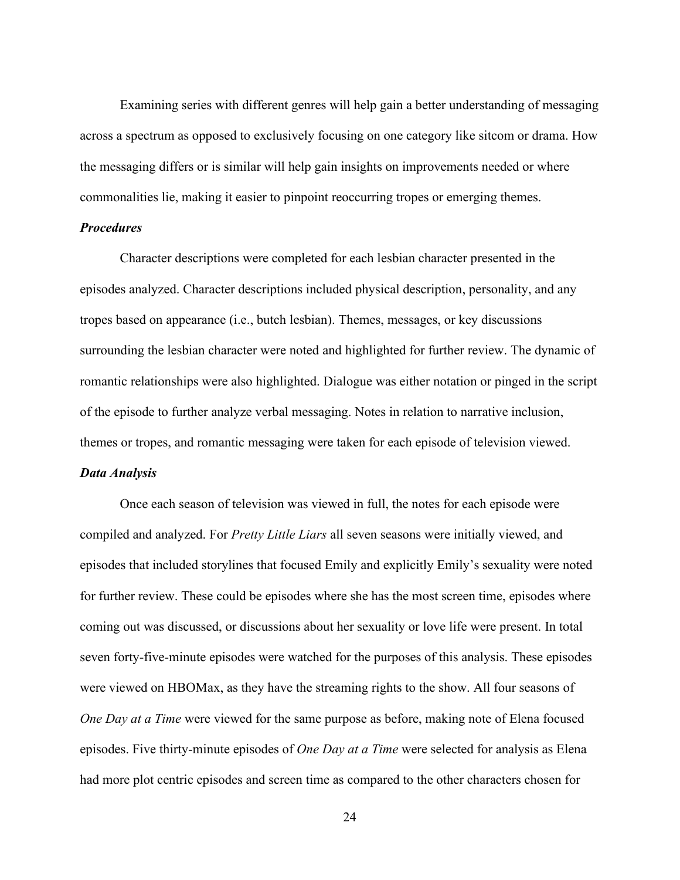Examining series with different genres will help gain a better understanding of messaging across a spectrum as opposed to exclusively focusing on one category like sitcom or drama. How the messaging differs or is similar will help gain insights on improvements needed or where commonalities lie, making it easier to pinpoint reoccurring tropes or emerging themes.

## <span id="page-28-0"></span>*Procedures*

Character descriptions were completed for each lesbian character presented in the episodes analyzed. Character descriptions included physical description, personality, and any tropes based on appearance (i.e., butch lesbian). Themes, messages, or key discussions surrounding the lesbian character were noted and highlighted for further review. The dynamic of romantic relationships were also highlighted. Dialogue was either notation or pinged in the script of the episode to further analyze verbal messaging. Notes in relation to narrative inclusion, themes or tropes, and romantic messaging were taken for each episode of television viewed.

## <span id="page-28-1"></span>*Data Analysis*

Once each season of television was viewed in full, the notes for each episode were compiled and analyzed. For *Pretty Little Liars* all seven seasons were initially viewed, and episodes that included storylines that focused Emily and explicitly Emily's sexuality were noted for further review. These could be episodes where she has the most screen time, episodes where coming out was discussed, or discussions about her sexuality or love life were present. In total seven forty-five-minute episodes were watched for the purposes of this analysis. These episodes were viewed on HBOMax, as they have the streaming rights to the show. All four seasons of *One Day at a Time* were viewed for the same purpose as before, making note of Elena focused episodes. Five thirty-minute episodes of *One Day at a Time* were selected for analysis as Elena had more plot centric episodes and screen time as compared to the other characters chosen for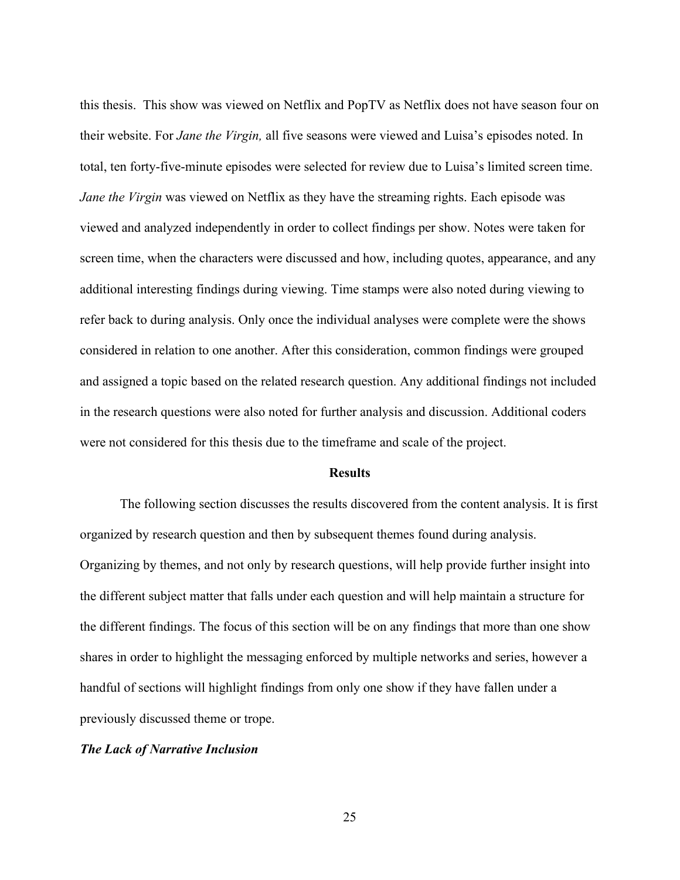this thesis. This show was viewed on Netflix and PopTV as Netflix does not have season four on their website. For *Jane the Virgin,* all five seasons were viewed and Luisa's episodes noted. In total, ten forty-five-minute episodes were selected for review due to Luisa's limited screen time. *Jane the Virgin* was viewed on Netflix as they have the streaming rights. Each episode was viewed and analyzed independently in order to collect findings per show. Notes were taken for screen time, when the characters were discussed and how, including quotes, appearance, and any additional interesting findings during viewing. Time stamps were also noted during viewing to refer back to during analysis. Only once the individual analyses were complete were the shows considered in relation to one another. After this consideration, common findings were grouped and assigned a topic based on the related research question. Any additional findings not included in the research questions were also noted for further analysis and discussion. Additional coders were not considered for this thesis due to the timeframe and scale of the project.

#### **Results**

<span id="page-29-0"></span>The following section discusses the results discovered from the content analysis. It is first organized by research question and then by subsequent themes found during analysis. Organizing by themes, and not only by research questions, will help provide further insight into the different subject matter that falls under each question and will help maintain a structure for the different findings. The focus of this section will be on any findings that more than one show shares in order to highlight the messaging enforced by multiple networks and series, however a handful of sections will highlight findings from only one show if they have fallen under a previously discussed theme or trope.

### <span id="page-29-1"></span>*The Lack of Narrative Inclusion*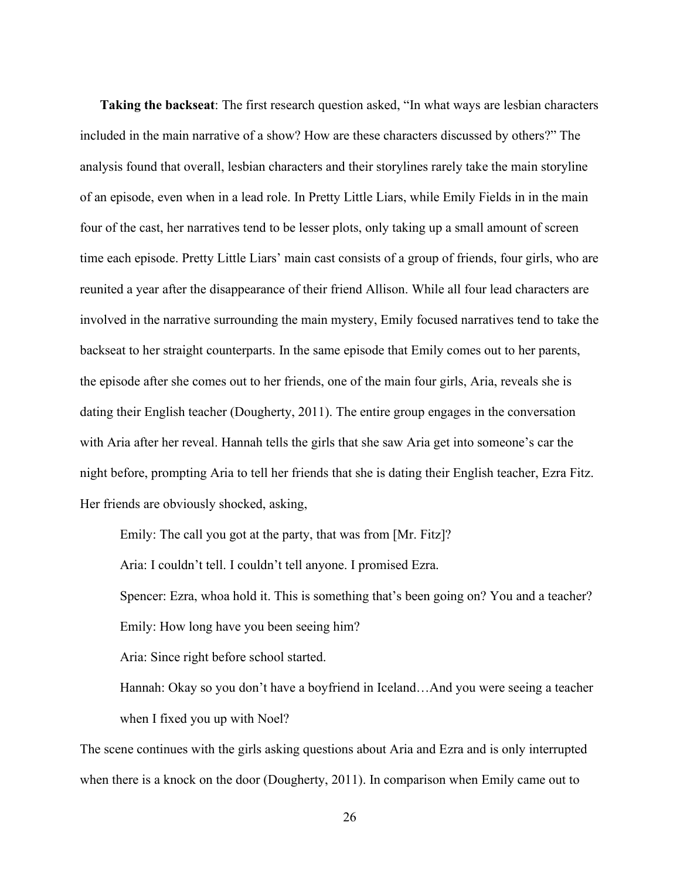**Taking the backseat**: The first research question asked, "In what ways are lesbian characters included in the main narrative of a show? How are these characters discussed by others?" The analysis found that overall, lesbian characters and their storylines rarely take the main storyline of an episode, even when in a lead role. In Pretty Little Liars, while Emily Fields in in the main four of the cast, her narratives tend to be lesser plots, only taking up a small amount of screen time each episode. Pretty Little Liars' main cast consists of a group of friends, four girls, who are reunited a year after the disappearance of their friend Allison. While all four lead characters are involved in the narrative surrounding the main mystery, Emily focused narratives tend to take the backseat to her straight counterparts. In the same episode that Emily comes out to her parents, the episode after she comes out to her friends, one of the main four girls, Aria, reveals she is dating their English teacher (Dougherty, 2011). The entire group engages in the conversation with Aria after her reveal. Hannah tells the girls that she saw Aria get into someone's car the night before, prompting Aria to tell her friends that she is dating their English teacher, Ezra Fitz. Her friends are obviously shocked, asking,

Emily: The call you got at the party, that was from [Mr. Fitz]? Aria: I couldn't tell. I couldn't tell anyone. I promised Ezra. Spencer: Ezra, whoa hold it. This is something that's been going on? You and a teacher? Emily: How long have you been seeing him? Aria: Since right before school started. Hannah: Okay so you don't have a boyfriend in Iceland…And you were seeing a teacher

when I fixed you up with Noel?

The scene continues with the girls asking questions about Aria and Ezra and is only interrupted when there is a knock on the door (Dougherty, 2011). In comparison when Emily came out to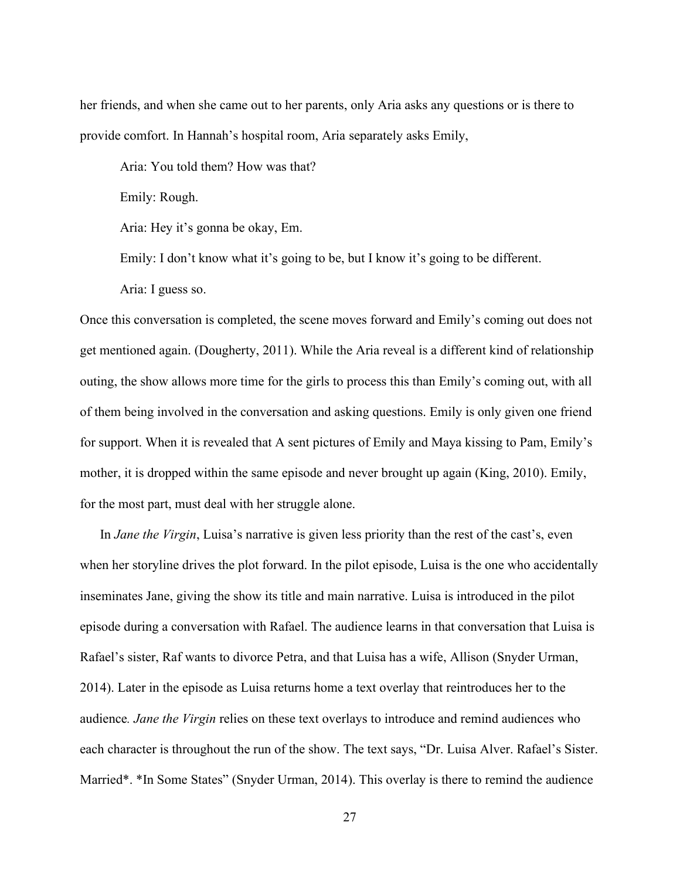her friends, and when she came out to her parents, only Aria asks any questions or is there to provide comfort. In Hannah's hospital room, Aria separately asks Emily,

Aria: You told them? How was that?

Emily: Rough.

Aria: Hey it's gonna be okay, Em.

Emily: I don't know what it's going to be, but I know it's going to be different.

Aria: I guess so.

Once this conversation is completed, the scene moves forward and Emily's coming out does not get mentioned again. (Dougherty, 2011). While the Aria reveal is a different kind of relationship outing, the show allows more time for the girls to process this than Emily's coming out, with all of them being involved in the conversation and asking questions. Emily is only given one friend for support. When it is revealed that A sent pictures of Emily and Maya kissing to Pam, Emily's mother, it is dropped within the same episode and never brought up again (King, 2010). Emily, for the most part, must deal with her struggle alone.

In *Jane the Virgin*, Luisa's narrative is given less priority than the rest of the cast's, even when her storyline drives the plot forward. In the pilot episode, Luisa is the one who accidentally inseminates Jane, giving the show its title and main narrative. Luisa is introduced in the pilot episode during a conversation with Rafael. The audience learns in that conversation that Luisa is Rafael's sister, Raf wants to divorce Petra, and that Luisa has a wife, Allison (Snyder Urman, 2014). Later in the episode as Luisa returns home a text overlay that reintroduces her to the audience*. Jane the Virgin* relies on these text overlays to introduce and remind audiences who each character is throughout the run of the show. The text says, "Dr. Luisa Alver. Rafael's Sister. Married\*. \*In Some States" (Snyder Urman, 2014). This overlay is there to remind the audience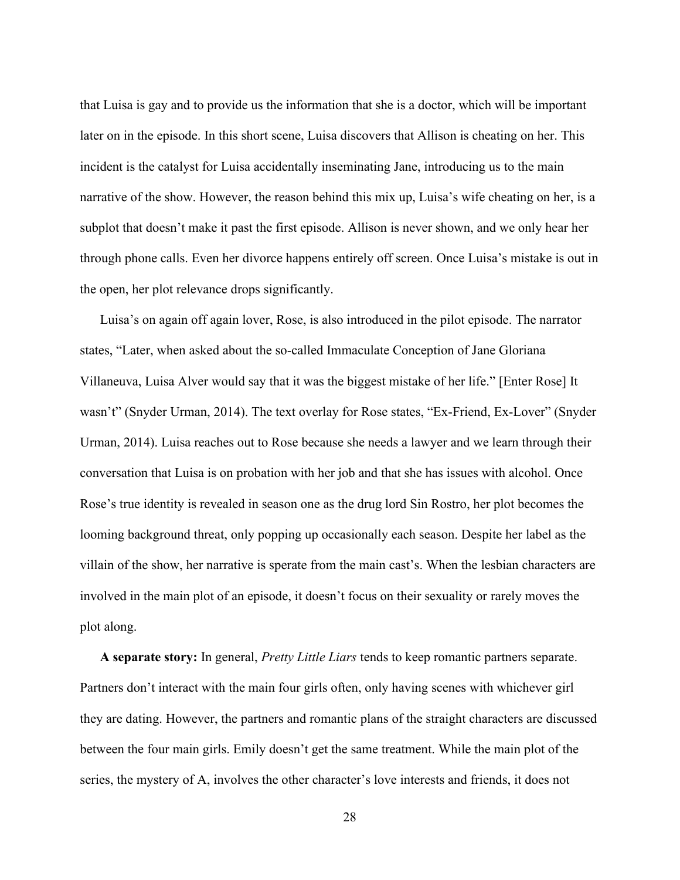that Luisa is gay and to provide us the information that she is a doctor, which will be important later on in the episode. In this short scene, Luisa discovers that Allison is cheating on her. This incident is the catalyst for Luisa accidentally inseminating Jane, introducing us to the main narrative of the show. However, the reason behind this mix up, Luisa's wife cheating on her, is a subplot that doesn't make it past the first episode. Allison is never shown, and we only hear her through phone calls. Even her divorce happens entirely off screen. Once Luisa's mistake is out in the open, her plot relevance drops significantly.

Luisa's on again off again lover, Rose, is also introduced in the pilot episode. The narrator states, "Later, when asked about the so-called Immaculate Conception of Jane Gloriana Villaneuva, Luisa Alver would say that it was the biggest mistake of her life." [Enter Rose] It wasn't" (Snyder Urman, 2014). The text overlay for Rose states, "Ex-Friend, Ex-Lover" (Snyder Urman, 2014). Luisa reaches out to Rose because she needs a lawyer and we learn through their conversation that Luisa is on probation with her job and that she has issues with alcohol. Once Rose's true identity is revealed in season one as the drug lord Sin Rostro, her plot becomes the looming background threat, only popping up occasionally each season. Despite her label as the villain of the show, her narrative is sperate from the main cast's. When the lesbian characters are involved in the main plot of an episode, it doesn't focus on their sexuality or rarely moves the plot along.

**A separate story:** In general, *Pretty Little Liars* tends to keep romantic partners separate. Partners don't interact with the main four girls often, only having scenes with whichever girl they are dating. However, the partners and romantic plans of the straight characters are discussed between the four main girls. Emily doesn't get the same treatment. While the main plot of the series, the mystery of A, involves the other character's love interests and friends, it does not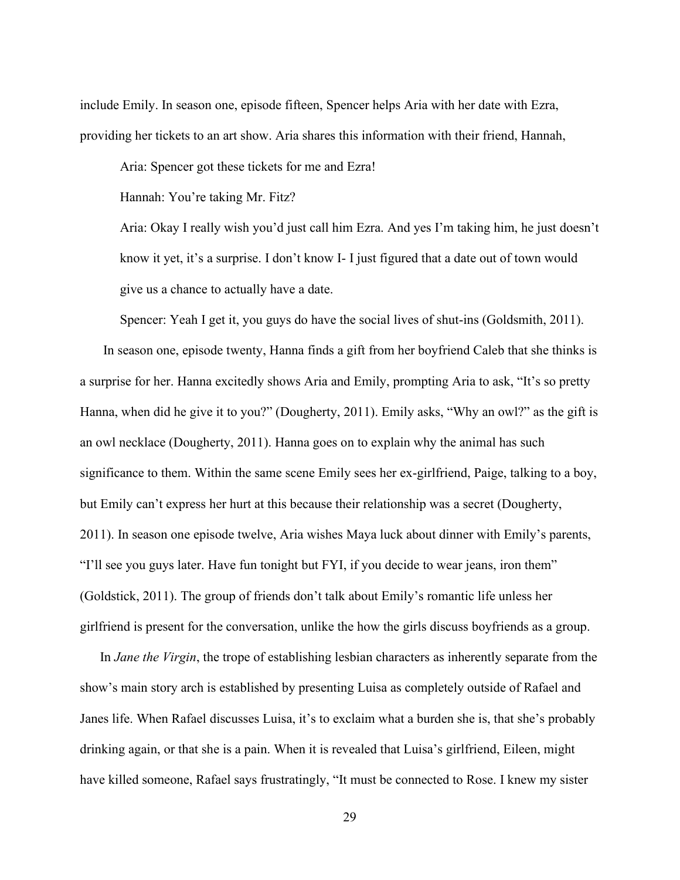include Emily. In season one, episode fifteen, Spencer helps Aria with her date with Ezra, providing her tickets to an art show. Aria shares this information with their friend, Hannah,

Aria: Spencer got these tickets for me and Ezra!

Hannah: You're taking Mr. Fitz?

Aria: Okay I really wish you'd just call him Ezra. And yes I'm taking him, he just doesn't know it yet, it's a surprise. I don't know I- I just figured that a date out of town would give us a chance to actually have a date.

Spencer: Yeah I get it, you guys do have the social lives of shut-ins (Goldsmith, 2011).

In season one, episode twenty, Hanna finds a gift from her boyfriend Caleb that she thinks is a surprise for her. Hanna excitedly shows Aria and Emily, prompting Aria to ask, "It's so pretty Hanna, when did he give it to you?" (Dougherty, 2011). Emily asks, "Why an owl?" as the gift is an owl necklace (Dougherty, 2011). Hanna goes on to explain why the animal has such significance to them. Within the same scene Emily sees her ex-girlfriend, Paige, talking to a boy, but Emily can't express her hurt at this because their relationship was a secret (Dougherty, 2011). In season one episode twelve, Aria wishes Maya luck about dinner with Emily's parents, "I'll see you guys later. Have fun tonight but FYI, if you decide to wear jeans, iron them" (Goldstick, 2011). The group of friends don't talk about Emily's romantic life unless her girlfriend is present for the conversation, unlike the how the girls discuss boyfriends as a group.

In *Jane the Virgin*, the trope of establishing lesbian characters as inherently separate from the show's main story arch is established by presenting Luisa as completely outside of Rafael and Janes life. When Rafael discusses Luisa, it's to exclaim what a burden she is, that she's probably drinking again, or that she is a pain. When it is revealed that Luisa's girlfriend, Eileen, might have killed someone, Rafael says frustratingly, "It must be connected to Rose. I knew my sister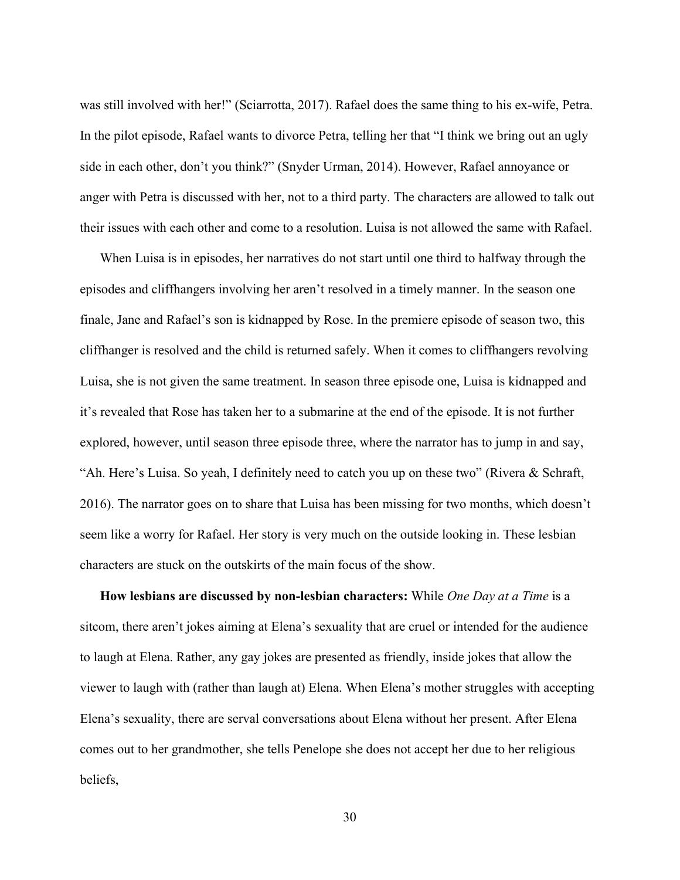was still involved with her!" (Sciarrotta, 2017). Rafael does the same thing to his ex-wife, Petra. In the pilot episode, Rafael wants to divorce Petra, telling her that "I think we bring out an ugly side in each other, don't you think?" (Snyder Urman, 2014). However, Rafael annoyance or anger with Petra is discussed with her, not to a third party. The characters are allowed to talk out their issues with each other and come to a resolution. Luisa is not allowed the same with Rafael.

When Luisa is in episodes, her narratives do not start until one third to halfway through the episodes and cliffhangers involving her aren't resolved in a timely manner. In the season one finale, Jane and Rafael's son is kidnapped by Rose. In the premiere episode of season two, this cliffhanger is resolved and the child is returned safely. When it comes to cliffhangers revolving Luisa, she is not given the same treatment. In season three episode one, Luisa is kidnapped and it's revealed that Rose has taken her to a submarine at the end of the episode. It is not further explored, however, until season three episode three, where the narrator has to jump in and say, "Ah. Here's Luisa. So yeah, I definitely need to catch you up on these two" (Rivera & Schraft, 2016). The narrator goes on to share that Luisa has been missing for two months, which doesn't seem like a worry for Rafael. Her story is very much on the outside looking in. These lesbian characters are stuck on the outskirts of the main focus of the show.

**How lesbians are discussed by non-lesbian characters:** While *One Day at a Time* is a sitcom, there aren't jokes aiming at Elena's sexuality that are cruel or intended for the audience to laugh at Elena. Rather, any gay jokes are presented as friendly, inside jokes that allow the viewer to laugh with (rather than laugh at) Elena. When Elena's mother struggles with accepting Elena's sexuality, there are serval conversations about Elena without her present. After Elena comes out to her grandmother, she tells Penelope she does not accept her due to her religious beliefs,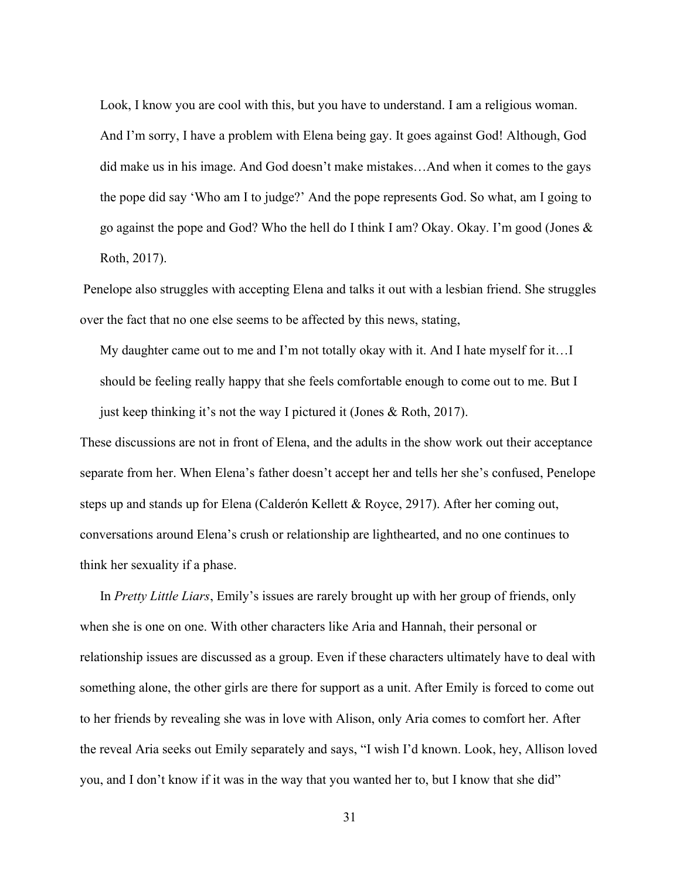Look, I know you are cool with this, but you have to understand. I am a religious woman. And I'm sorry, I have a problem with Elena being gay. It goes against God! Although, God did make us in his image. And God doesn't make mistakes…And when it comes to the gays the pope did say 'Who am I to judge?' And the pope represents God. So what, am I going to go against the pope and God? Who the hell do I think I am? Okay. Okay. I'm good (Jones  $\&$ Roth, 2017).

Penelope also struggles with accepting Elena and talks it out with a lesbian friend. She struggles over the fact that no one else seems to be affected by this news, stating,

My daughter came out to me and I'm not totally okay with it. And I hate myself for it…I should be feeling really happy that she feels comfortable enough to come out to me. But I just keep thinking it's not the way I pictured it (Jones & Roth, 2017).

These discussions are not in front of Elena, and the adults in the show work out their acceptance separate from her. When Elena's father doesn't accept her and tells her she's confused, Penelope steps up and stands up for Elena (Calderón Kellett & Royce, 2917). After her coming out, conversations around Elena's crush or relationship are lighthearted, and no one continues to think her sexuality if a phase.

In *Pretty Little Liars*, Emily's issues are rarely brought up with her group of friends, only when she is one on one. With other characters like Aria and Hannah, their personal or relationship issues are discussed as a group. Even if these characters ultimately have to deal with something alone, the other girls are there for support as a unit. After Emily is forced to come out to her friends by revealing she was in love with Alison, only Aria comes to comfort her. After the reveal Aria seeks out Emily separately and says, "I wish I'd known. Look, hey, Allison loved you, and I don't know if it was in the way that you wanted her to, but I know that she did"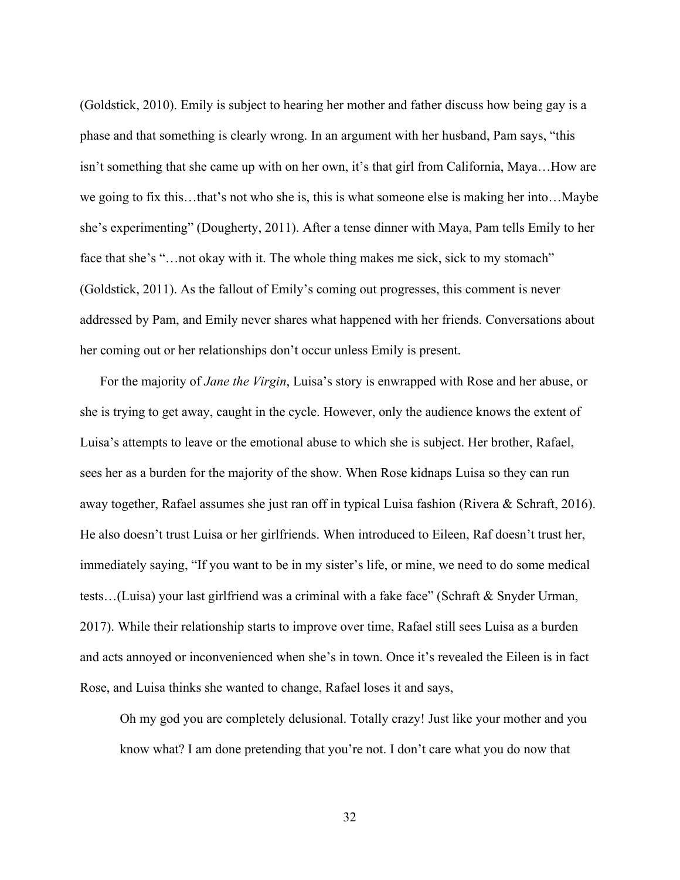(Goldstick, 2010). Emily is subject to hearing her mother and father discuss how being gay is a phase and that something is clearly wrong. In an argument with her husband, Pam says, "this isn't something that she came up with on her own, it's that girl from California, Maya…How are we going to fix this…that's not who she is, this is what someone else is making her into…Maybe she's experimenting" (Dougherty, 2011). After a tense dinner with Maya, Pam tells Emily to her face that she's "...not okay with it. The whole thing makes me sick, sick to my stomach" (Goldstick, 2011). As the fallout of Emily's coming out progresses, this comment is never addressed by Pam, and Emily never shares what happened with her friends. Conversations about her coming out or her relationships don't occur unless Emily is present.

For the majority of *Jane the Virgin*, Luisa's story is enwrapped with Rose and her abuse, or she is trying to get away, caught in the cycle. However, only the audience knows the extent of Luisa's attempts to leave or the emotional abuse to which she is subject. Her brother, Rafael, sees her as a burden for the majority of the show. When Rose kidnaps Luisa so they can run away together, Rafael assumes she just ran off in typical Luisa fashion (Rivera & Schraft, 2016). He also doesn't trust Luisa or her girlfriends. When introduced to Eileen, Raf doesn't trust her, immediately saying, "If you want to be in my sister's life, or mine, we need to do some medical tests…(Luisa) your last girlfriend was a criminal with a fake face" (Schraft & Snyder Urman, 2017). While their relationship starts to improve over time, Rafael still sees Luisa as a burden and acts annoyed or inconvenienced when she's in town. Once it's revealed the Eileen is in fact Rose, and Luisa thinks she wanted to change, Rafael loses it and says,

Oh my god you are completely delusional. Totally crazy! Just like your mother and you know what? I am done pretending that you're not. I don't care what you do now that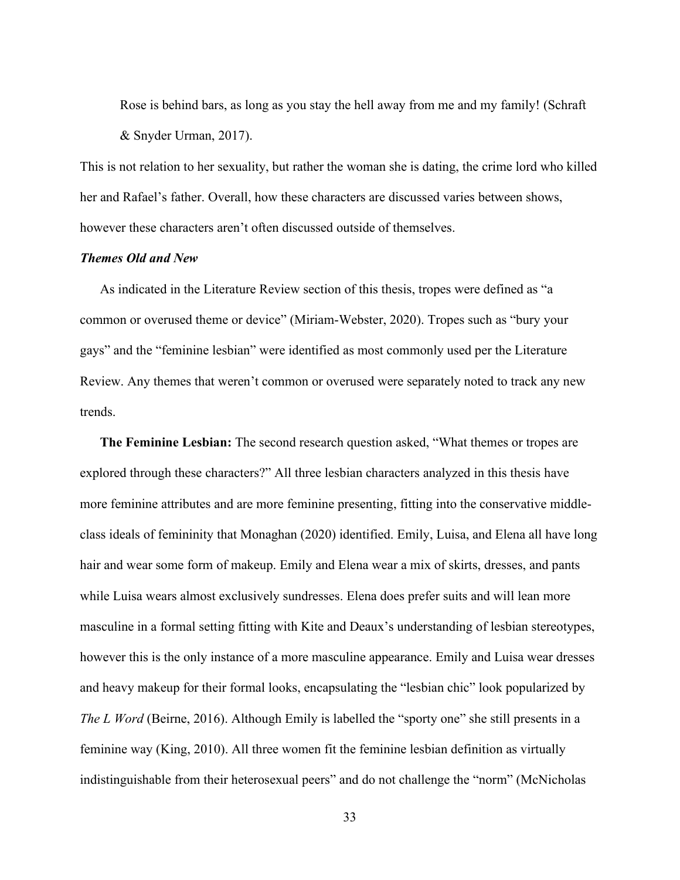Rose is behind bars, as long as you stay the hell away from me and my family! (Schraft & Snyder Urman, 2017).

This is not relation to her sexuality, but rather the woman she is dating, the crime lord who killed her and Rafael's father. Overall, how these characters are discussed varies between shows, however these characters aren't often discussed outside of themselves.

## <span id="page-37-0"></span>*Themes Old and New*

As indicated in the Literature Review section of this thesis, tropes were defined as "a common or overused theme or device" (Miriam-Webster, 2020). Tropes such as "bury your gays" and the "feminine lesbian" were identified as most commonly used per the Literature Review. Any themes that weren't common or overused were separately noted to track any new trends.

**The Feminine Lesbian:** The second research question asked, "What themes or tropes are explored through these characters?" All three lesbian characters analyzed in this thesis have more feminine attributes and are more feminine presenting, fitting into the conservative middleclass ideals of femininity that Monaghan (2020) identified. Emily, Luisa, and Elena all have long hair and wear some form of makeup. Emily and Elena wear a mix of skirts, dresses, and pants while Luisa wears almost exclusively sundresses. Elena does prefer suits and will lean more masculine in a formal setting fitting with Kite and Deaux's understanding of lesbian stereotypes, however this is the only instance of a more masculine appearance. Emily and Luisa wear dresses and heavy makeup for their formal looks, encapsulating the "lesbian chic" look popularized by *The L Word* (Beirne, 2016). Although Emily is labelled the "sporty one" she still presents in a feminine way (King, 2010). All three women fit the feminine lesbian definition as virtually indistinguishable from their heterosexual peers" and do not challenge the "norm" (McNicholas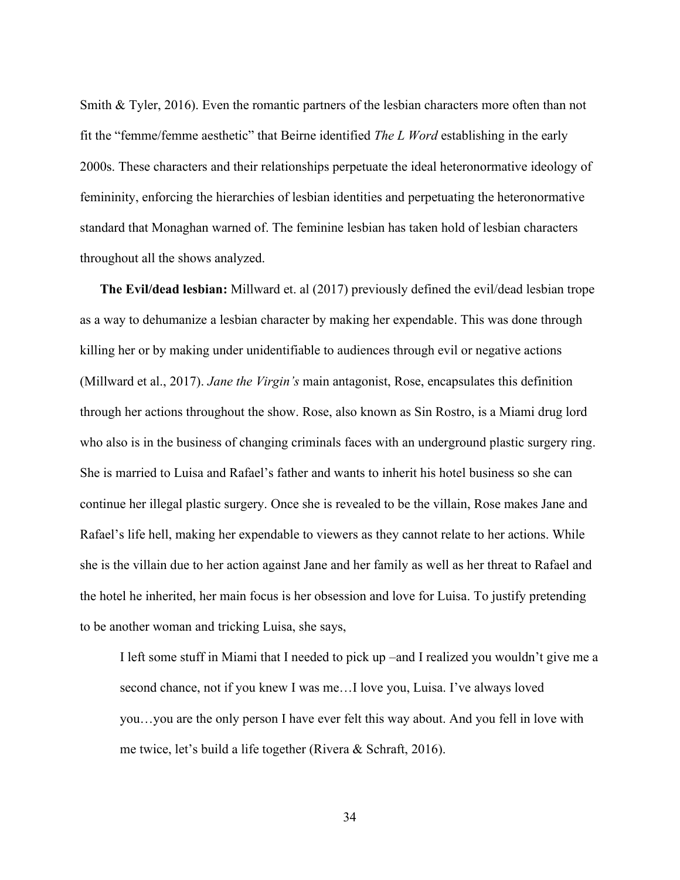Smith & Tyler, 2016). Even the romantic partners of the lesbian characters more often than not fit the "femme/femme aesthetic" that Beirne identified *The L Word* establishing in the early 2000s. These characters and their relationships perpetuate the ideal heteronormative ideology of femininity, enforcing the hierarchies of lesbian identities and perpetuating the heteronormative standard that Monaghan warned of. The feminine lesbian has taken hold of lesbian characters throughout all the shows analyzed.

**The Evil/dead lesbian:** Millward et. al (2017) previously defined the evil/dead lesbian trope as a way to dehumanize a lesbian character by making her expendable. This was done through killing her or by making under unidentifiable to audiences through evil or negative actions (Millward et al., 2017). *Jane the Virgin's* main antagonist, Rose, encapsulates this definition through her actions throughout the show. Rose, also known as Sin Rostro, is a Miami drug lord who also is in the business of changing criminals faces with an underground plastic surgery ring. She is married to Luisa and Rafael's father and wants to inherit his hotel business so she can continue her illegal plastic surgery. Once she is revealed to be the villain, Rose makes Jane and Rafael's life hell, making her expendable to viewers as they cannot relate to her actions. While she is the villain due to her action against Jane and her family as well as her threat to Rafael and the hotel he inherited, her main focus is her obsession and love for Luisa. To justify pretending to be another woman and tricking Luisa, she says,

I left some stuff in Miami that I needed to pick up –and I realized you wouldn't give me a second chance, not if you knew I was me…I love you, Luisa. I've always loved you…you are the only person I have ever felt this way about. And you fell in love with me twice, let's build a life together (Rivera & Schraft, 2016).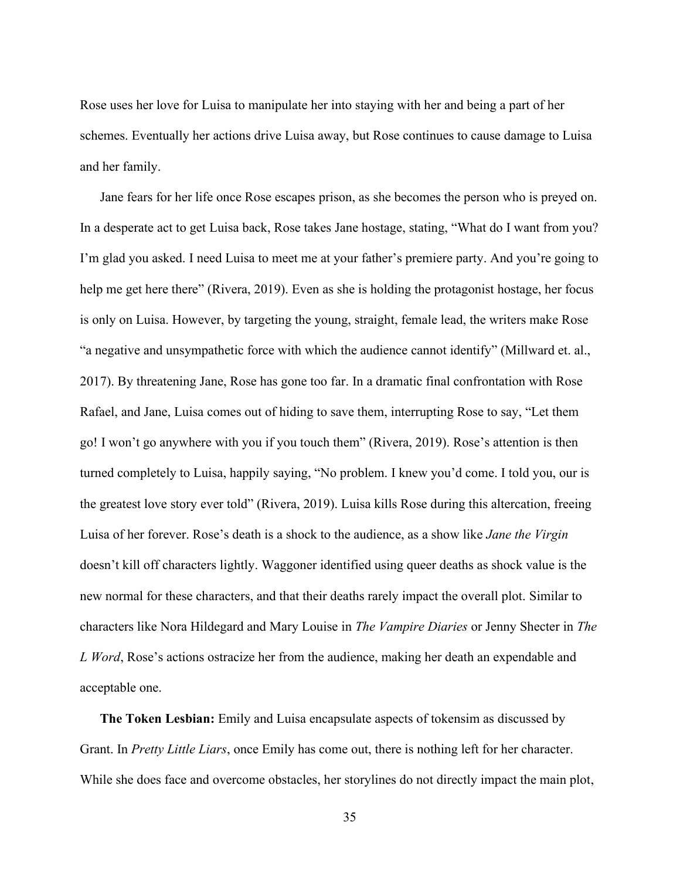Rose uses her love for Luisa to manipulate her into staying with her and being a part of her schemes. Eventually her actions drive Luisa away, but Rose continues to cause damage to Luisa and her family.

Jane fears for her life once Rose escapes prison, as she becomes the person who is preyed on. In a desperate act to get Luisa back, Rose takes Jane hostage, stating, "What do I want from you? I'm glad you asked. I need Luisa to meet me at your father's premiere party. And you're going to help me get here there" (Rivera, 2019). Even as she is holding the protagonist hostage, her focus is only on Luisa. However, by targeting the young, straight, female lead, the writers make Rose "a negative and unsympathetic force with which the audience cannot identify" (Millward et. al., 2017). By threatening Jane, Rose has gone too far. In a dramatic final confrontation with Rose Rafael, and Jane, Luisa comes out of hiding to save them, interrupting Rose to say, "Let them go! I won't go anywhere with you if you touch them" (Rivera, 2019). Rose's attention is then turned completely to Luisa, happily saying, "No problem. I knew you'd come. I told you, our is the greatest love story ever told" (Rivera, 2019). Luisa kills Rose during this altercation, freeing Luisa of her forever. Rose's death is a shock to the audience, as a show like *Jane the Virgin* doesn't kill off characters lightly. Waggoner identified using queer deaths as shock value is the new normal for these characters, and that their deaths rarely impact the overall plot. Similar to characters like Nora Hildegard and Mary Louise in *The Vampire Diaries* or Jenny Shecter in *The L Word*, Rose's actions ostracize her from the audience, making her death an expendable and acceptable one.

**The Token Lesbian:** Emily and Luisa encapsulate aspects of tokensim as discussed by Grant. In *Pretty Little Liars*, once Emily has come out, there is nothing left for her character. While she does face and overcome obstacles, her storylines do not directly impact the main plot,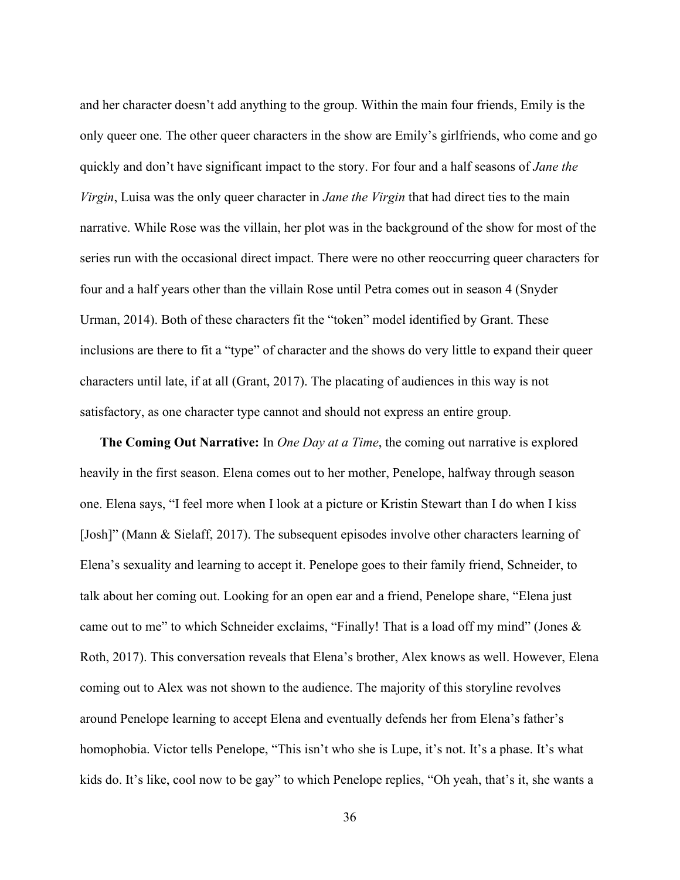and her character doesn't add anything to the group. Within the main four friends, Emily is the only queer one. The other queer characters in the show are Emily's girlfriends, who come and go quickly and don't have significant impact to the story. For four and a half seasons of *Jane the Virgin*, Luisa was the only queer character in *Jane the Virgin* that had direct ties to the main narrative. While Rose was the villain, her plot was in the background of the show for most of the series run with the occasional direct impact. There were no other reoccurring queer characters for four and a half years other than the villain Rose until Petra comes out in season 4 (Snyder Urman, 2014). Both of these characters fit the "token" model identified by Grant. These inclusions are there to fit a "type" of character and the shows do very little to expand their queer characters until late, if at all (Grant, 2017). The placating of audiences in this way is not satisfactory, as one character type cannot and should not express an entire group.

**The Coming Out Narrative:** In *One Day at a Time*, the coming out narrative is explored heavily in the first season. Elena comes out to her mother, Penelope, halfway through season one. Elena says, "I feel more when I look at a picture or Kristin Stewart than I do when I kiss [Josh]" (Mann & Sielaff, 2017). The subsequent episodes involve other characters learning of Elena's sexuality and learning to accept it. Penelope goes to their family friend, Schneider, to talk about her coming out. Looking for an open ear and a friend, Penelope share, "Elena just came out to me" to which Schneider exclaims, "Finally! That is a load off my mind" (Jones & Roth, 2017). This conversation reveals that Elena's brother, Alex knows as well. However, Elena coming out to Alex was not shown to the audience. The majority of this storyline revolves around Penelope learning to accept Elena and eventually defends her from Elena's father's homophobia. Victor tells Penelope, "This isn't who she is Lupe, it's not. It's a phase. It's what kids do. It's like, cool now to be gay" to which Penelope replies, "Oh yeah, that's it, she wants a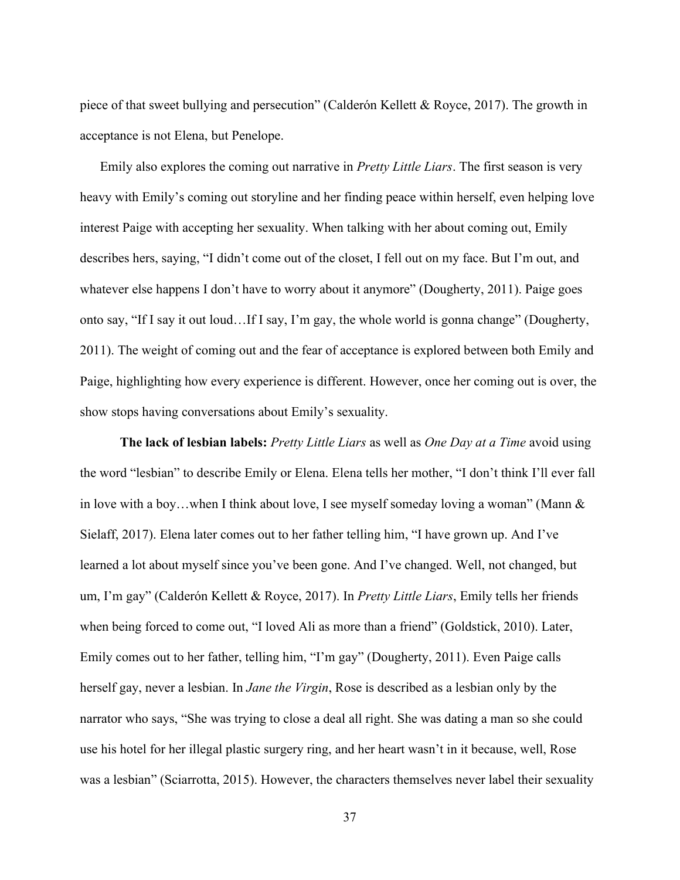piece of that sweet bullying and persecution" (Calderón Kellett & Royce, 2017). The growth in acceptance is not Elena, but Penelope.

Emily also explores the coming out narrative in *Pretty Little Liars*. The first season is very heavy with Emily's coming out storyline and her finding peace within herself, even helping love interest Paige with accepting her sexuality. When talking with her about coming out, Emily describes hers, saying, "I didn't come out of the closet, I fell out on my face. But I'm out, and whatever else happens I don't have to worry about it anymore" (Dougherty, 2011). Paige goes onto say, "If I say it out loud…If I say, I'm gay, the whole world is gonna change" (Dougherty, 2011). The weight of coming out and the fear of acceptance is explored between both Emily and Paige, highlighting how every experience is different. However, once her coming out is over, the show stops having conversations about Emily's sexuality.

**The lack of lesbian labels:** *Pretty Little Liars* as well as *One Day at a Time* avoid using the word "lesbian" to describe Emily or Elena. Elena tells her mother, "I don't think I'll ever fall in love with a boy…when I think about love, I see myself someday loving a woman" (Mann  $\&$ Sielaff, 2017). Elena later comes out to her father telling him, "I have grown up. And I've learned a lot about myself since you've been gone. And I've changed. Well, not changed, but um, I'm gay" (Calderón Kellett & Royce, 2017). In *Pretty Little Liars*, Emily tells her friends when being forced to come out, "I loved Ali as more than a friend" (Goldstick, 2010). Later, Emily comes out to her father, telling him, "I'm gay" (Dougherty, 2011). Even Paige calls herself gay, never a lesbian. In *Jane the Virgin*, Rose is described as a lesbian only by the narrator who says, "She was trying to close a deal all right. She was dating a man so she could use his hotel for her illegal plastic surgery ring, and her heart wasn't in it because, well, Rose was a lesbian" (Sciarrotta, 2015). However, the characters themselves never label their sexuality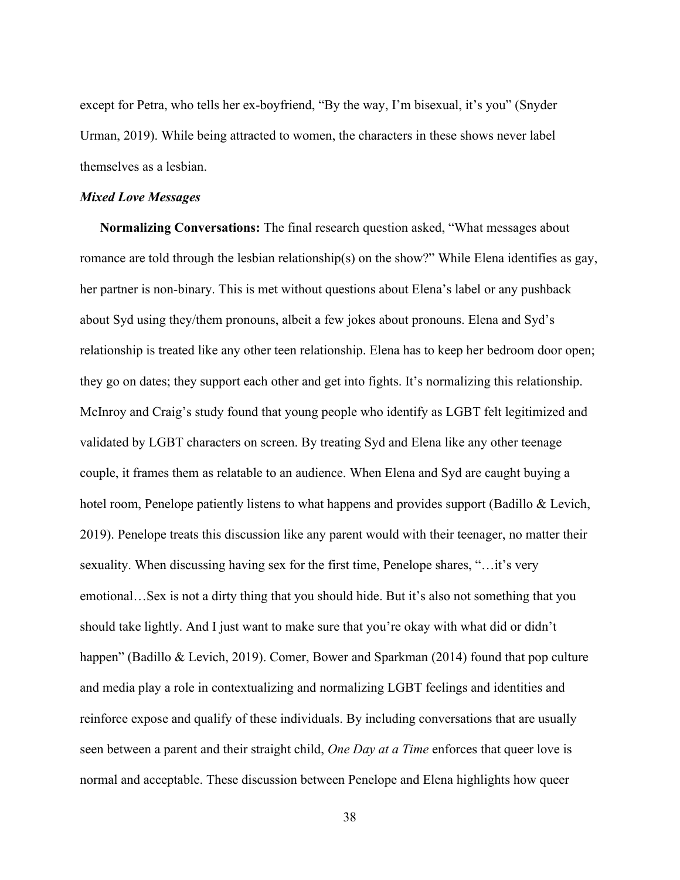except for Petra, who tells her ex-boyfriend, "By the way, I'm bisexual, it's you" (Snyder Urman, 2019). While being attracted to women, the characters in these shows never label themselves as a lesbian.

## <span id="page-42-0"></span>*Mixed Love Messages*

**Normalizing Conversations:** The final research question asked, "What messages about romance are told through the lesbian relationship(s) on the show?" While Elena identifies as gay, her partner is non-binary. This is met without questions about Elena's label or any pushback about Syd using they/them pronouns, albeit a few jokes about pronouns. Elena and Syd's relationship is treated like any other teen relationship. Elena has to keep her bedroom door open; they go on dates; they support each other and get into fights. It's normalizing this relationship. McInroy and Craig's study found that young people who identify as LGBT felt legitimized and validated by LGBT characters on screen. By treating Syd and Elena like any other teenage couple, it frames them as relatable to an audience. When Elena and Syd are caught buying a hotel room, Penelope patiently listens to what happens and provides support (Badillo & Levich, 2019). Penelope treats this discussion like any parent would with their teenager, no matter their sexuality. When discussing having sex for the first time, Penelope shares, "…it's very emotional…Sex is not a dirty thing that you should hide. But it's also not something that you should take lightly. And I just want to make sure that you're okay with what did or didn't happen" (Badillo & Levich, 2019). Comer, Bower and Sparkman (2014) found that pop culture and media play a role in contextualizing and normalizing LGBT feelings and identities and reinforce expose and qualify of these individuals. By including conversations that are usually seen between a parent and their straight child, *One Day at a Time* enforces that queer love is normal and acceptable. These discussion between Penelope and Elena highlights how queer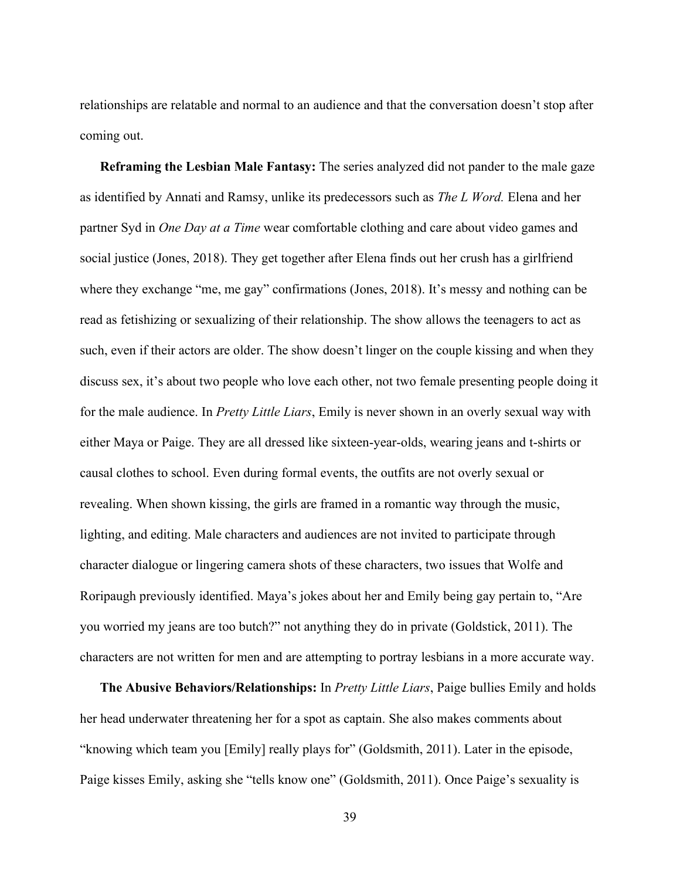relationships are relatable and normal to an audience and that the conversation doesn't stop after coming out.

**Reframing the Lesbian Male Fantasy:** The series analyzed did not pander to the male gaze as identified by Annati and Ramsy, unlike its predecessors such as *The L Word.* Elena and her partner Syd in *One Day at a Time* wear comfortable clothing and care about video games and social justice (Jones, 2018). They get together after Elena finds out her crush has a girlfriend where they exchange "me, me gay" confirmations (Jones, 2018). It's messy and nothing can be read as fetishizing or sexualizing of their relationship. The show allows the teenagers to act as such, even if their actors are older. The show doesn't linger on the couple kissing and when they discuss sex, it's about two people who love each other, not two female presenting people doing it for the male audience. In *Pretty Little Liars*, Emily is never shown in an overly sexual way with either Maya or Paige. They are all dressed like sixteen-year-olds, wearing jeans and t-shirts or causal clothes to school. Even during formal events, the outfits are not overly sexual or revealing. When shown kissing, the girls are framed in a romantic way through the music, lighting, and editing. Male characters and audiences are not invited to participate through character dialogue or lingering camera shots of these characters, two issues that Wolfe and Roripaugh previously identified. Maya's jokes about her and Emily being gay pertain to, "Are you worried my jeans are too butch?" not anything they do in private (Goldstick, 2011). The characters are not written for men and are attempting to portray lesbians in a more accurate way.

**The Abusive Behaviors/Relationships:** In *Pretty Little Liars*, Paige bullies Emily and holds her head underwater threatening her for a spot as captain. She also makes comments about "knowing which team you [Emily] really plays for" (Goldsmith, 2011). Later in the episode, Paige kisses Emily, asking she "tells know one" (Goldsmith, 2011). Once Paige's sexuality is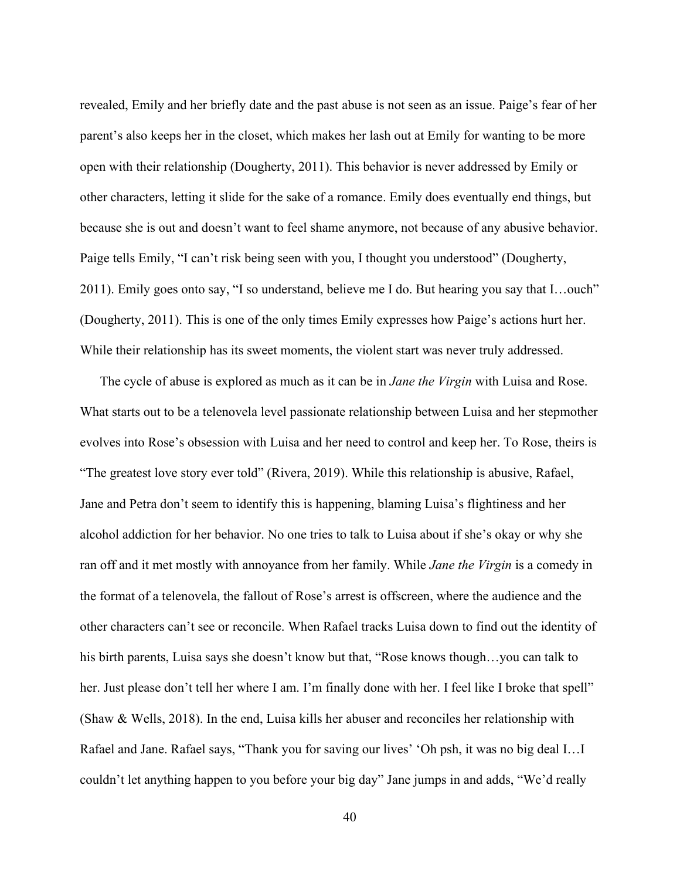revealed, Emily and her briefly date and the past abuse is not seen as an issue. Paige's fear of her parent's also keeps her in the closet, which makes her lash out at Emily for wanting to be more open with their relationship (Dougherty, 2011). This behavior is never addressed by Emily or other characters, letting it slide for the sake of a romance. Emily does eventually end things, but because she is out and doesn't want to feel shame anymore, not because of any abusive behavior. Paige tells Emily, "I can't risk being seen with you, I thought you understood" (Dougherty, 2011). Emily goes onto say, "I so understand, believe me I do. But hearing you say that I…ouch" (Dougherty, 2011). This is one of the only times Emily expresses how Paige's actions hurt her. While their relationship has its sweet moments, the violent start was never truly addressed.

The cycle of abuse is explored as much as it can be in *Jane the Virgin* with Luisa and Rose. What starts out to be a telenovela level passionate relationship between Luisa and her stepmother evolves into Rose's obsession with Luisa and her need to control and keep her. To Rose, theirs is "The greatest love story ever told" (Rivera, 2019). While this relationship is abusive, Rafael, Jane and Petra don't seem to identify this is happening, blaming Luisa's flightiness and her alcohol addiction for her behavior. No one tries to talk to Luisa about if she's okay or why she ran off and it met mostly with annoyance from her family. While *Jane the Virgin* is a comedy in the format of a telenovela, the fallout of Rose's arrest is offscreen, where the audience and the other characters can't see or reconcile. When Rafael tracks Luisa down to find out the identity of his birth parents, Luisa says she doesn't know but that, "Rose knows though...you can talk to her. Just please don't tell her where I am. I'm finally done with her. I feel like I broke that spell" (Shaw & Wells, 2018). In the end, Luisa kills her abuser and reconciles her relationship with Rafael and Jane. Rafael says, "Thank you for saving our lives' 'Oh psh, it was no big deal I…I couldn't let anything happen to you before your big day" Jane jumps in and adds, "We'd really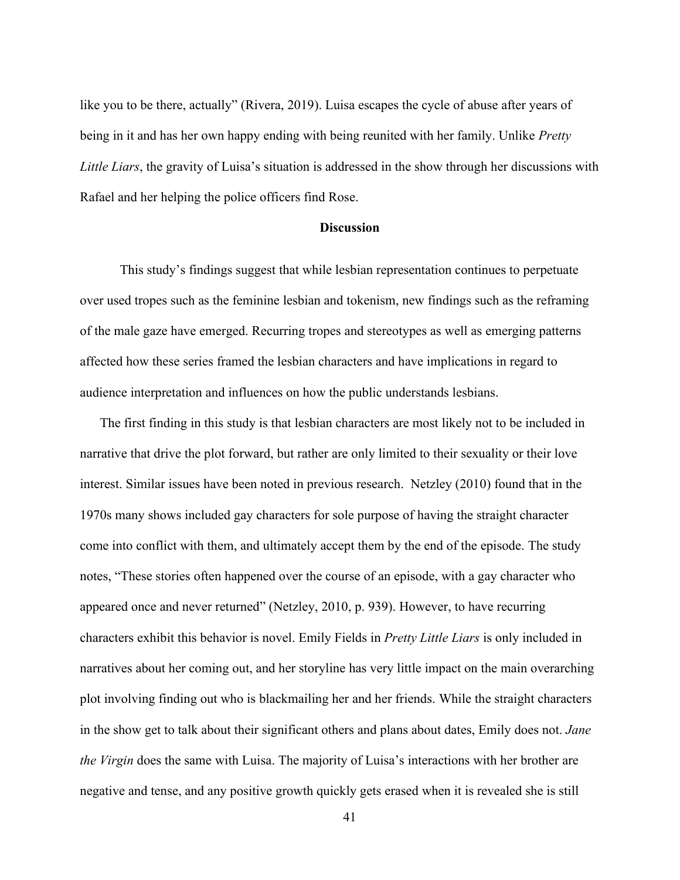like you to be there, actually" (Rivera, 2019). Luisa escapes the cycle of abuse after years of being in it and has her own happy ending with being reunited with her family. Unlike *Pretty Little Liars*, the gravity of Luisa's situation is addressed in the show through her discussions with Rafael and her helping the police officers find Rose.

#### **Discussion**

<span id="page-45-0"></span>This study's findings suggest that while lesbian representation continues to perpetuate over used tropes such as the feminine lesbian and tokenism, new findings such as the reframing of the male gaze have emerged. Recurring tropes and stereotypes as well as emerging patterns affected how these series framed the lesbian characters and have implications in regard to audience interpretation and influences on how the public understands lesbians.

The first finding in this study is that lesbian characters are most likely not to be included in narrative that drive the plot forward, but rather are only limited to their sexuality or their love interest. Similar issues have been noted in previous research. Netzley (2010) found that in the 1970s many shows included gay characters for sole purpose of having the straight character come into conflict with them, and ultimately accept them by the end of the episode. The study notes, "These stories often happened over the course of an episode, with a gay character who appeared once and never returned" (Netzley, 2010, p. 939). However, to have recurring characters exhibit this behavior is novel. Emily Fields in *Pretty Little Liars* is only included in narratives about her coming out, and her storyline has very little impact on the main overarching plot involving finding out who is blackmailing her and her friends. While the straight characters in the show get to talk about their significant others and plans about dates, Emily does not. *Jane the Virgin* does the same with Luisa. The majority of Luisa's interactions with her brother are negative and tense, and any positive growth quickly gets erased when it is revealed she is still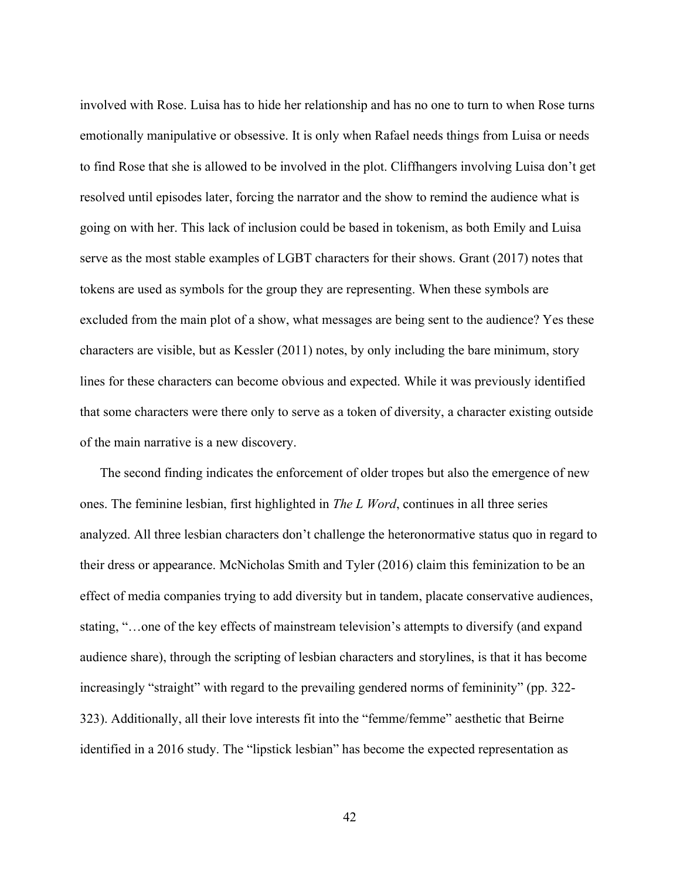involved with Rose. Luisa has to hide her relationship and has no one to turn to when Rose turns emotionally manipulative or obsessive. It is only when Rafael needs things from Luisa or needs to find Rose that she is allowed to be involved in the plot. Cliffhangers involving Luisa don't get resolved until episodes later, forcing the narrator and the show to remind the audience what is going on with her. This lack of inclusion could be based in tokenism, as both Emily and Luisa serve as the most stable examples of LGBT characters for their shows. Grant (2017) notes that tokens are used as symbols for the group they are representing. When these symbols are excluded from the main plot of a show, what messages are being sent to the audience? Yes these characters are visible, but as Kessler (2011) notes, by only including the bare minimum, story lines for these characters can become obvious and expected. While it was previously identified that some characters were there only to serve as a token of diversity, a character existing outside of the main narrative is a new discovery.

The second finding indicates the enforcement of older tropes but also the emergence of new ones. The feminine lesbian, first highlighted in *The L Word*, continues in all three series analyzed. All three lesbian characters don't challenge the heteronormative status quo in regard to their dress or appearance. McNicholas Smith and Tyler (2016) claim this feminization to be an effect of media companies trying to add diversity but in tandem, placate conservative audiences, stating, "…one of the key effects of mainstream television's attempts to diversify (and expand audience share), through the scripting of lesbian characters and storylines, is that it has become increasingly "straight" with regard to the prevailing gendered norms of femininity" (pp. 322- 323). Additionally, all their love interests fit into the "femme/femme" aesthetic that Beirne identified in a 2016 study. The "lipstick lesbian" has become the expected representation as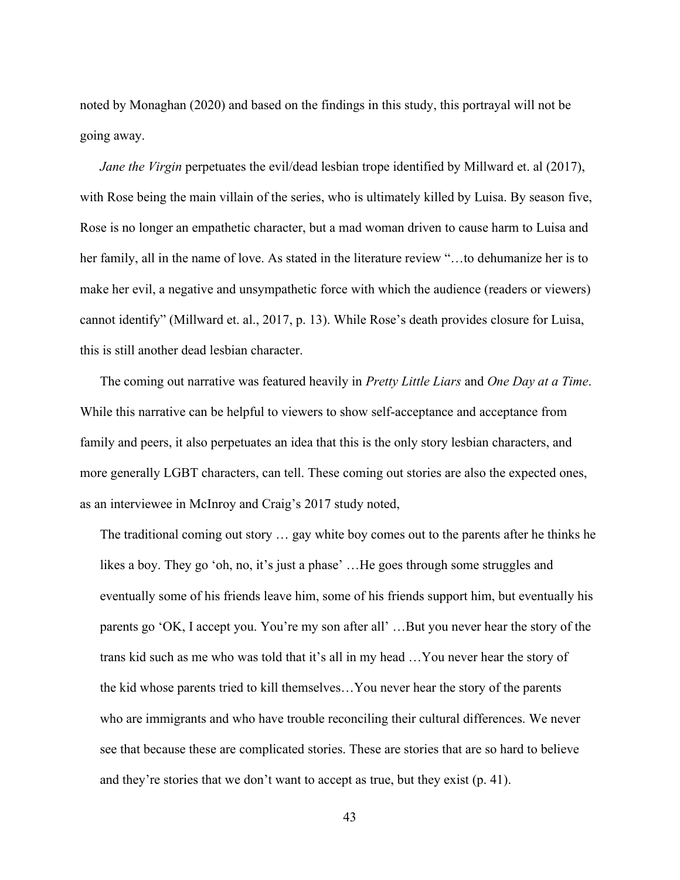noted by Monaghan (2020) and based on the findings in this study, this portrayal will not be going away.

*Jane the Virgin* perpetuates the evil/dead lesbian trope identified by Millward et. al (2017), with Rose being the main villain of the series, who is ultimately killed by Luisa. By season five, Rose is no longer an empathetic character, but a mad woman driven to cause harm to Luisa and her family, all in the name of love. As stated in the literature review "…to dehumanize her is to make her evil, a negative and unsympathetic force with which the audience (readers or viewers) cannot identify" (Millward et. al., 2017, p. 13). While Rose's death provides closure for Luisa, this is still another dead lesbian character.

The coming out narrative was featured heavily in *Pretty Little Liars* and *One Day at a Time*. While this narrative can be helpful to viewers to show self-acceptance and acceptance from family and peers, it also perpetuates an idea that this is the only story lesbian characters, and more generally LGBT characters, can tell. These coming out stories are also the expected ones, as an interviewee in McInroy and Craig's 2017 study noted,

The traditional coming out story … gay white boy comes out to the parents after he thinks he likes a boy. They go 'oh, no, it's just a phase' …He goes through some struggles and eventually some of his friends leave him, some of his friends support him, but eventually his parents go 'OK, I accept you. You're my son after all' …But you never hear the story of the trans kid such as me who was told that it's all in my head …You never hear the story of the kid whose parents tried to kill themselves…You never hear the story of the parents who are immigrants and who have trouble reconciling their cultural differences. We never see that because these are complicated stories. These are stories that are so hard to believe and they're stories that we don't want to accept as true, but they exist (p. 41).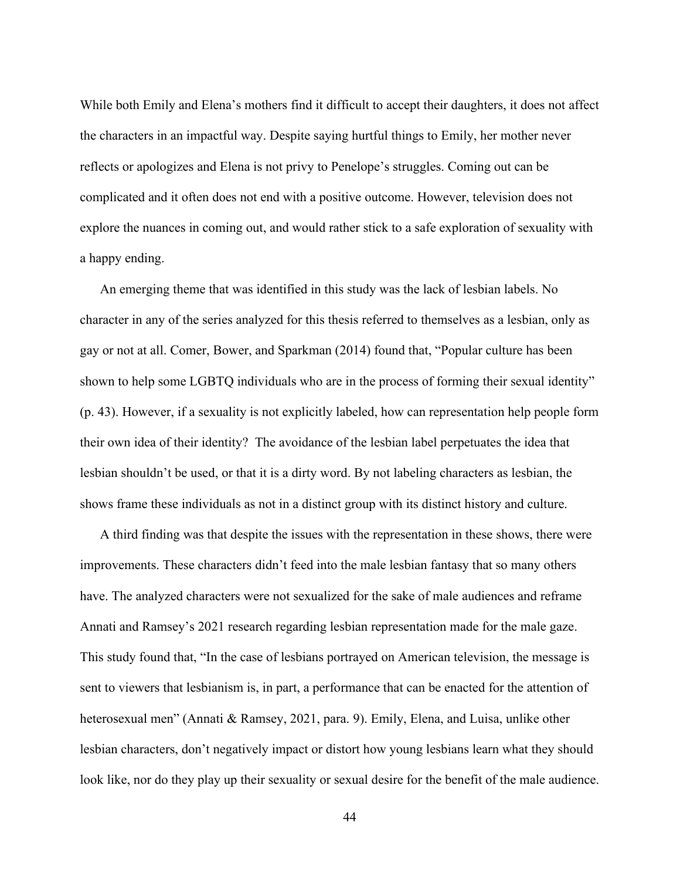While both Emily and Elena's mothers find it difficult to accept their daughters, it does not affect the characters in an impactful way. Despite saying hurtful things to Emily, her mother never reflects or apologizes and Elena is not privy to Penelope's struggles. Coming out can be complicated and it often does not end with a positive outcome. However, television does not explore the nuances in coming out, and would rather stick to a safe exploration of sexuality with a happy ending.

An emerging theme that was identified in this study was the lack of lesbian labels. No character in any of the series analyzed for this thesis referred to themselves as a lesbian, only as gay or not at all. Comer, Bower, and Sparkman (2014) found that, "Popular culture has been shown to help some LGBTQ individuals who are in the process of forming their sexual identity" (p. 43). However, if a sexuality is not explicitly labeled, how can representation help people form their own idea of their identity? The avoidance of the lesbian label perpetuates the idea that lesbian shouldn't be used, or that it is a dirty word. By not labeling characters as lesbian, the shows frame these individuals as not in a distinct group with its distinct history and culture.

A third finding was that despite the issues with the representation in these shows, there were improvements. These characters didn't feed into the male lesbian fantasy that so many others have. The analyzed characters were not sexualized for the sake of male audiences and reframe Annati and Ramsey's 2021 research regarding lesbian representation made for the male gaze. This study found that, "In the case of lesbians portrayed on American television, the message is sent to viewers that lesbianism is, in part, a performance that can be enacted for the attention of heterosexual men" (Annati & Ramsey, 2021, para. 9). Emily, Elena, and Luisa, unlike other lesbian characters, don't negatively impact or distort how young lesbians learn what they should look like, nor do they play up their sexuality or sexual desire for the benefit of the male audience.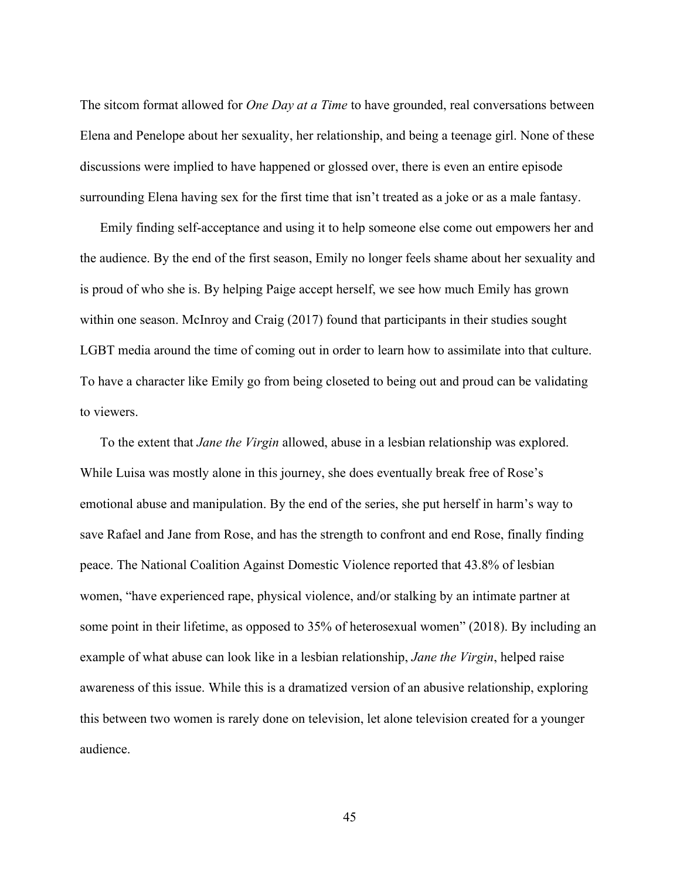The sitcom format allowed for *One Day at a Time* to have grounded, real conversations between Elena and Penelope about her sexuality, her relationship, and being a teenage girl. None of these discussions were implied to have happened or glossed over, there is even an entire episode surrounding Elena having sex for the first time that isn't treated as a joke or as a male fantasy.

Emily finding self-acceptance and using it to help someone else come out empowers her and the audience. By the end of the first season, Emily no longer feels shame about her sexuality and is proud of who she is. By helping Paige accept herself, we see how much Emily has grown within one season. McInroy and Craig (2017) found that participants in their studies sought LGBT media around the time of coming out in order to learn how to assimilate into that culture. To have a character like Emily go from being closeted to being out and proud can be validating to viewers.

To the extent that *Jane the Virgin* allowed, abuse in a lesbian relationship was explored. While Luisa was mostly alone in this journey, she does eventually break free of Rose's emotional abuse and manipulation. By the end of the series, she put herself in harm's way to save Rafael and Jane from Rose, and has the strength to confront and end Rose, finally finding peace. The National Coalition Against Domestic Violence reported that 43.8% of lesbian women, "have experienced rape, physical violence, and/or stalking by an intimate partner at some point in their lifetime, as opposed to 35% of heterosexual women" (2018). By including an example of what abuse can look like in a lesbian relationship, *Jane the Virgin*, helped raise awareness of this issue. While this is a dramatized version of an abusive relationship, exploring this between two women is rarely done on television, let alone television created for a younger audience.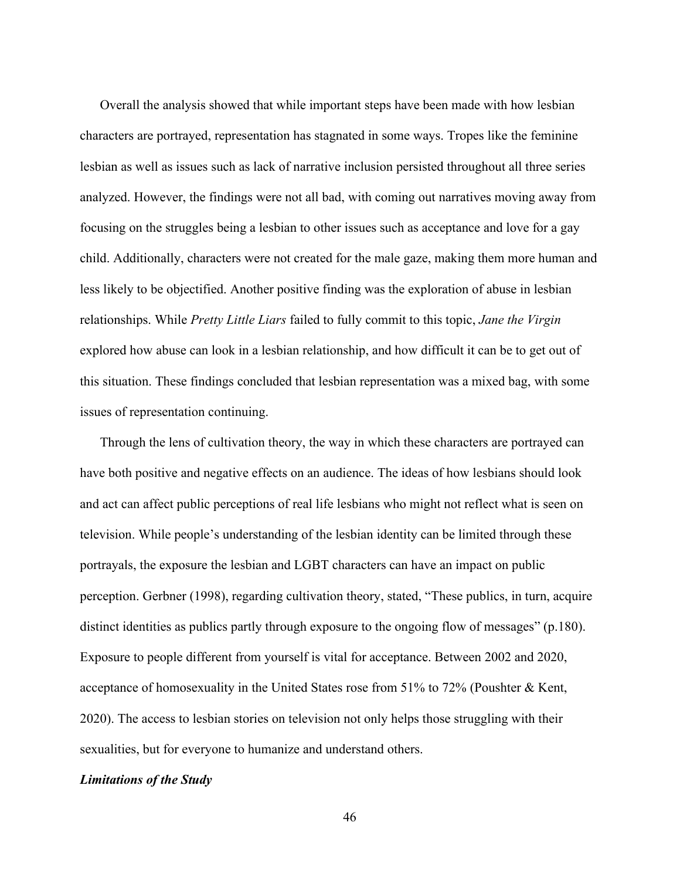Overall the analysis showed that while important steps have been made with how lesbian characters are portrayed, representation has stagnated in some ways. Tropes like the feminine lesbian as well as issues such as lack of narrative inclusion persisted throughout all three series analyzed. However, the findings were not all bad, with coming out narratives moving away from focusing on the struggles being a lesbian to other issues such as acceptance and love for a gay child. Additionally, characters were not created for the male gaze, making them more human and less likely to be objectified. Another positive finding was the exploration of abuse in lesbian relationships. While *Pretty Little Liars* failed to fully commit to this topic, *Jane the Virgin* explored how abuse can look in a lesbian relationship, and how difficult it can be to get out of this situation. These findings concluded that lesbian representation was a mixed bag, with some issues of representation continuing.

Through the lens of cultivation theory, the way in which these characters are portrayed can have both positive and negative effects on an audience. The ideas of how lesbians should look and act can affect public perceptions of real life lesbians who might not reflect what is seen on television. While people's understanding of the lesbian identity can be limited through these portrayals, the exposure the lesbian and LGBT characters can have an impact on public perception. Gerbner (1998), regarding cultivation theory, stated, "These publics, in turn, acquire distinct identities as publics partly through exposure to the ongoing flow of messages" (p.180). Exposure to people different from yourself is vital for acceptance. Between 2002 and 2020, acceptance of homosexuality in the United States rose from 51% to 72% (Poushter & Kent, 2020). The access to lesbian stories on television not only helps those struggling with their sexualities, but for everyone to humanize and understand others.

#### <span id="page-50-0"></span>*Limitations of the Study*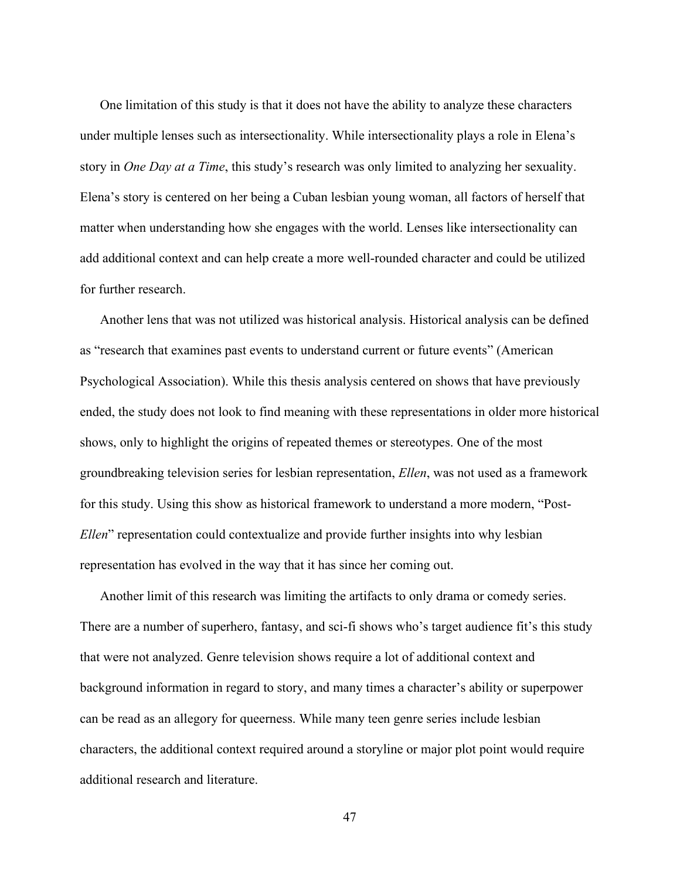One limitation of this study is that it does not have the ability to analyze these characters under multiple lenses such as intersectionality. While intersectionality plays a role in Elena's story in *One Day at a Time*, this study's research was only limited to analyzing her sexuality. Elena's story is centered on her being a Cuban lesbian young woman, all factors of herself that matter when understanding how she engages with the world. Lenses like intersectionality can add additional context and can help create a more well-rounded character and could be utilized for further research.

Another lens that was not utilized was historical analysis. Historical analysis can be defined as "research that examines past events to understand current or future events" (American Psychological Association). While this thesis analysis centered on shows that have previously ended, the study does not look to find meaning with these representations in older more historical shows, only to highlight the origins of repeated themes or stereotypes. One of the most groundbreaking television series for lesbian representation, *Ellen*, was not used as a framework for this study. Using this show as historical framework to understand a more modern, "Post-*Ellen*" representation could contextualize and provide further insights into why lesbian representation has evolved in the way that it has since her coming out.

Another limit of this research was limiting the artifacts to only drama or comedy series. There are a number of superhero, fantasy, and sci-fi shows who's target audience fit's this study that were not analyzed. Genre television shows require a lot of additional context and background information in regard to story, and many times a character's ability or superpower can be read as an allegory for queerness. While many teen genre series include lesbian characters, the additional context required around a storyline or major plot point would require additional research and literature.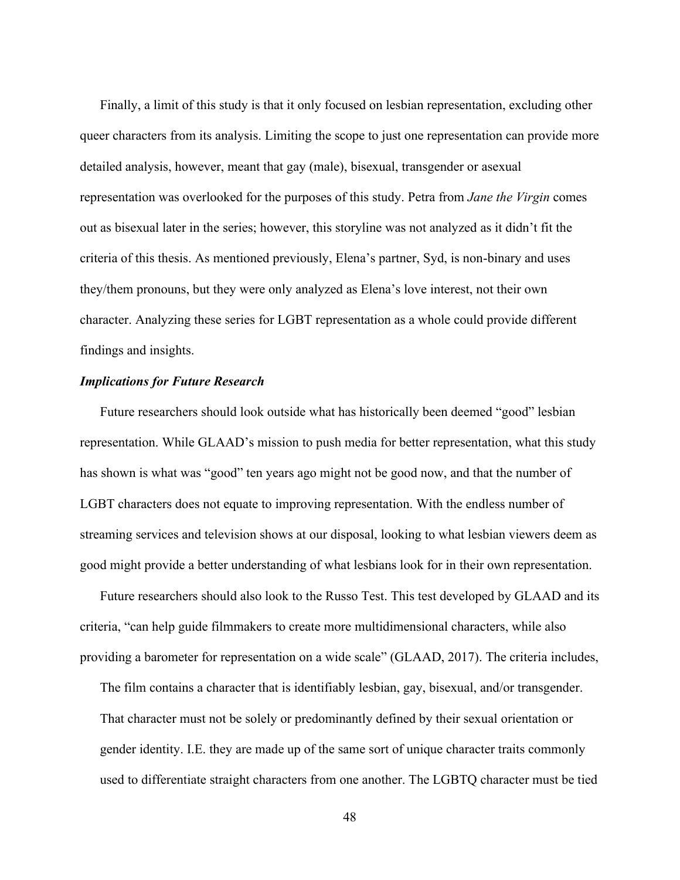Finally, a limit of this study is that it only focused on lesbian representation, excluding other queer characters from its analysis. Limiting the scope to just one representation can provide more detailed analysis, however, meant that gay (male), bisexual, transgender or asexual representation was overlooked for the purposes of this study. Petra from *Jane the Virgin* comes out as bisexual later in the series; however, this storyline was not analyzed as it didn't fit the criteria of this thesis. As mentioned previously, Elena's partner, Syd, is non-binary and uses they/them pronouns, but they were only analyzed as Elena's love interest, not their own character. Analyzing these series for LGBT representation as a whole could provide different findings and insights.

## <span id="page-52-0"></span>*Implications for Future Research*

Future researchers should look outside what has historically been deemed "good" lesbian representation. While GLAAD's mission to push media for better representation, what this study has shown is what was "good" ten years ago might not be good now, and that the number of LGBT characters does not equate to improving representation. With the endless number of streaming services and television shows at our disposal, looking to what lesbian viewers deem as good might provide a better understanding of what lesbians look for in their own representation.

Future researchers should also look to the Russo Test. This test developed by GLAAD and its criteria, "can help guide filmmakers to create more multidimensional characters, while also providing a barometer for representation on a wide scale" (GLAAD, 2017). The criteria includes,

The film contains a character that is identifiably lesbian, gay, bisexual, and/or transgender. That character must not be solely or predominantly defined by their sexual orientation or gender identity. I.E. they are made up of the same sort of unique character traits commonly used to differentiate straight characters from one another. The LGBTQ character must be tied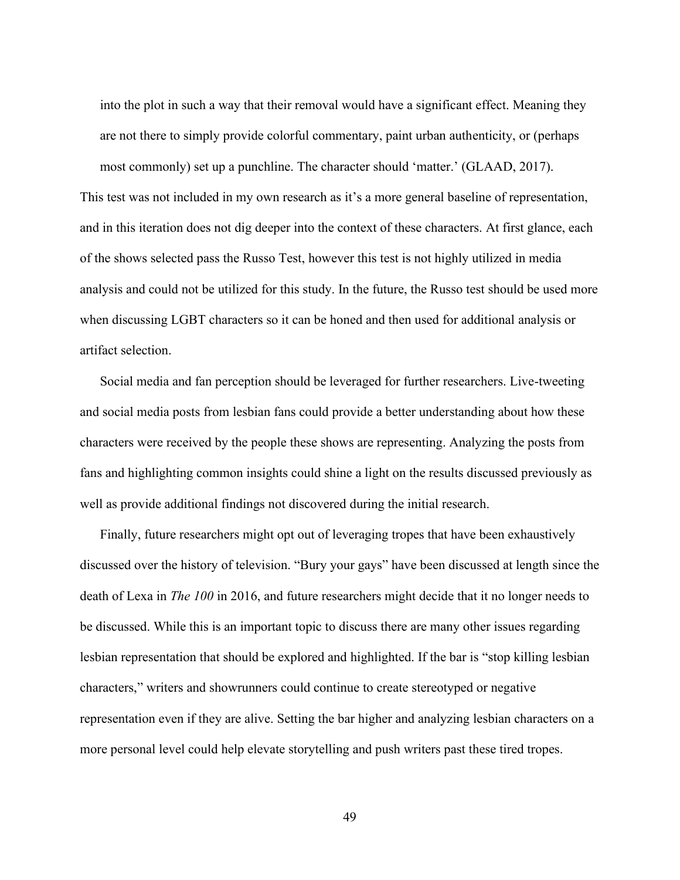into the plot in such a way that their removal would have a significant effect. Meaning they are not there to simply provide colorful commentary, paint urban authenticity, or (perhaps most commonly) set up a punchline. The character should 'matter.' (GLAAD, 2017). This test was not included in my own research as it's a more general baseline of representation, and in this iteration does not dig deeper into the context of these characters. At first glance, each of the shows selected pass the Russo Test, however this test is not highly utilized in media analysis and could not be utilized for this study. In the future, the Russo test should be used more when discussing LGBT characters so it can be honed and then used for additional analysis or artifact selection.

Social media and fan perception should be leveraged for further researchers. Live-tweeting and social media posts from lesbian fans could provide a better understanding about how these characters were received by the people these shows are representing. Analyzing the posts from fans and highlighting common insights could shine a light on the results discussed previously as well as provide additional findings not discovered during the initial research.

Finally, future researchers might opt out of leveraging tropes that have been exhaustively discussed over the history of television. "Bury your gays" have been discussed at length since the death of Lexa in *The 100* in 2016, and future researchers might decide that it no longer needs to be discussed. While this is an important topic to discuss there are many other issues regarding lesbian representation that should be explored and highlighted. If the bar is "stop killing lesbian characters," writers and showrunners could continue to create stereotyped or negative representation even if they are alive. Setting the bar higher and analyzing lesbian characters on a more personal level could help elevate storytelling and push writers past these tired tropes.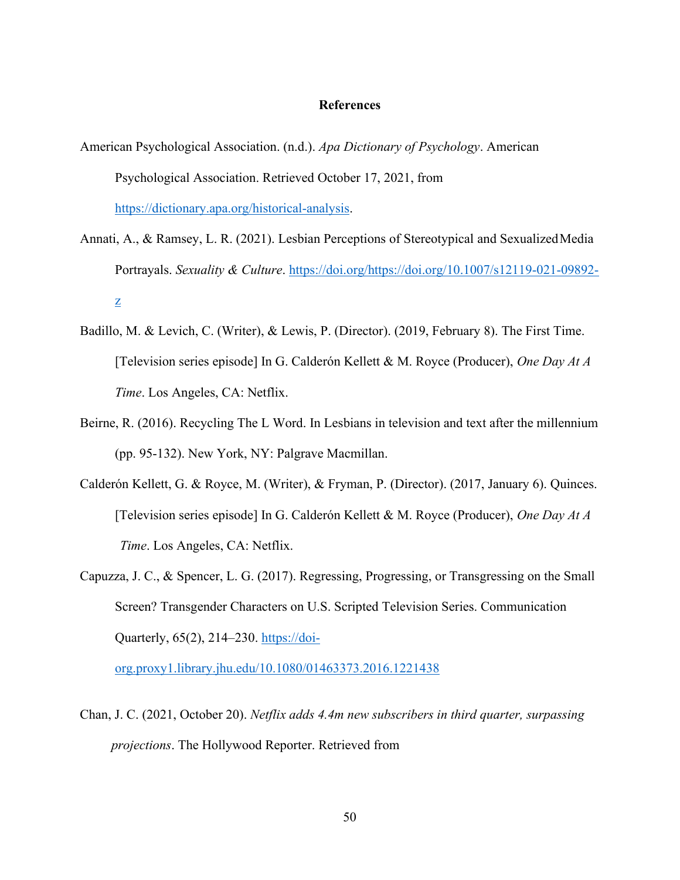#### **References**

- <span id="page-54-0"></span>American Psychological Association. (n.d.). *Apa Dictionary of Psychology*. American Psychological Association. Retrieved October 17, 2021, from [https://dictionary.apa.org/historical-analysis.](https://dictionary.apa.org/historical-analysis)
- Annati, A., & Ramsey, L. R. (2021). Lesbian Perceptions of Stereotypical and SexualizedMedia Portrayals. *Sexuality & Culture*. [https://doi.org/https://doi.org/10.1007/s12119-021-09892](https://doi.org/https:/doi.org/10.1007/s12119-021-09892-z) [z](https://doi.org/https:/doi.org/10.1007/s12119-021-09892-z)
- Badillo, M. & Levich, C. (Writer), & Lewis, P. (Director). (2019, February 8). The First Time. [Television series episode] In G. Calderón Kellett & M. Royce (Producer), *One Day At A Time*. Los Angeles, CA: Netflix.
- Beirne, R. (2016). Recycling The L Word. In Lesbians in television and text after the millennium (pp. 95-132). New York, NY: Palgrave Macmillan.
- Calderón Kellett, G. & Royce, M. (Writer), & Fryman, P. (Director). (2017, January 6). Quinces. [Television series episode] In G. Calderón Kellett & M. Royce (Producer), *One Day At A Time*. Los Angeles, CA: Netflix.
- Capuzza, J. C., & Spencer, L. G. (2017). Regressing, Progressing, or Transgressing on the Small Screen? Transgender Characters on U.S. Scripted Television Series. Communication Quarterly, 65(2), 214–230. [https://doi-](https://doi-org.proxy1.library.jhu.edu/10.1080/01463373.2016.1221438)

[org.proxy1.library.jhu.edu/10.1080/01463373.2016.1221438](https://doi-org.proxy1.library.jhu.edu/10.1080/01463373.2016.1221438)

Chan, J. C. (2021, October 20). *Netflix adds 4.4m new subscribers in third quarter, surpassing projections*. The Hollywood Reporter. Retrieved from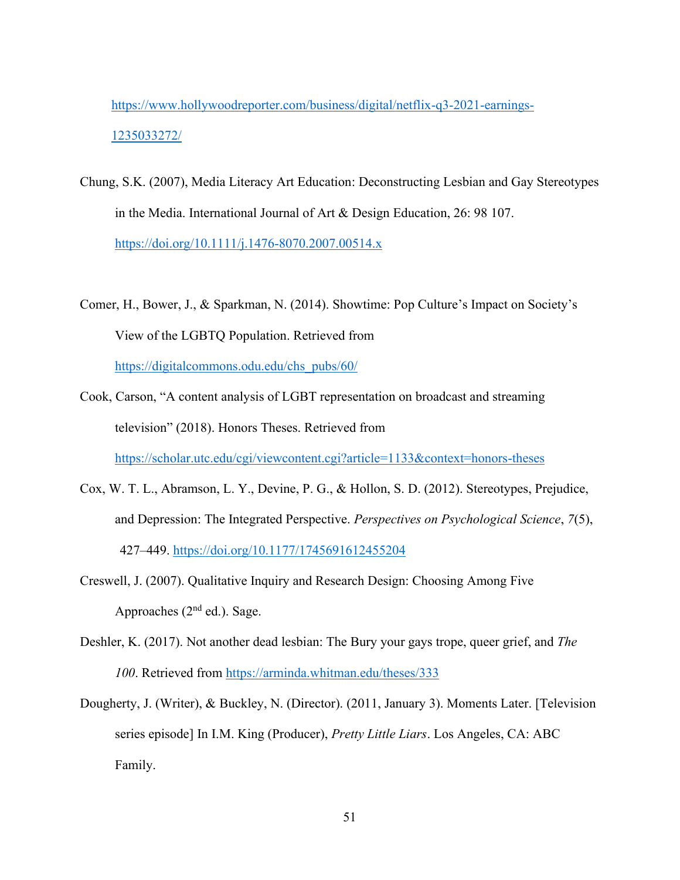[https://www.hollywoodreporter.com/business/digital/netflix-q3-2021-earnings-](https://www.hollywoodreporter.com/business/digital/netflix-q3-2021-earnings-1235033272/)[1235033272/](https://www.hollywoodreporter.com/business/digital/netflix-q3-2021-earnings-1235033272/)

- Chung, S.K. (2007), Media Literacy Art Education: Deconstructing Lesbian and Gay Stereotypes in the Media. International Journal of Art & Design Education, 26: 98 107. <https://doi.org/10.1111/j.1476-8070.2007.00514.x>
- Comer, H., Bower, J., & Sparkman, N. (2014). Showtime: Pop Culture's Impact on Society's View of the LGBTQ Population. Retrieved from [https://digitalcommons.odu.edu/chs\\_pubs/60/](https://digitalcommons.odu.edu/chs_pubs/60/)
- Cook, Carson, "A content analysis of LGBT representation on broadcast and streaming television" (2018). Honors Theses. Retrieved from <https://scholar.utc.edu/cgi/viewcontent.cgi?article=1133&context=honors-theses>
- Cox, W. T. L., Abramson, L. Y., Devine, P. G., & Hollon, S. D. (2012). Stereotypes, Prejudice, and Depression: The Integrated Perspective. *Perspectives on Psychological Science*, *7*(5), 427–449. <https://doi.org/10.1177/1745691612455204>
- Creswell, J. (2007). Qualitative Inquiry and Research Design: Choosing Among Five Approaches  $(2<sup>nd</sup>$  ed.). Sage.
- Deshler, K. (2017). Not another dead lesbian: The Bury your gays trope, queer grief, and *The 100*. Retrieved from<https://arminda.whitman.edu/theses/333>
- Dougherty, J. (Writer), & Buckley, N. (Director). (2011, January 3). Moments Later. [Television series episode] In I.M. King (Producer), *Pretty Little Liars*. Los Angeles, CA: ABC Family.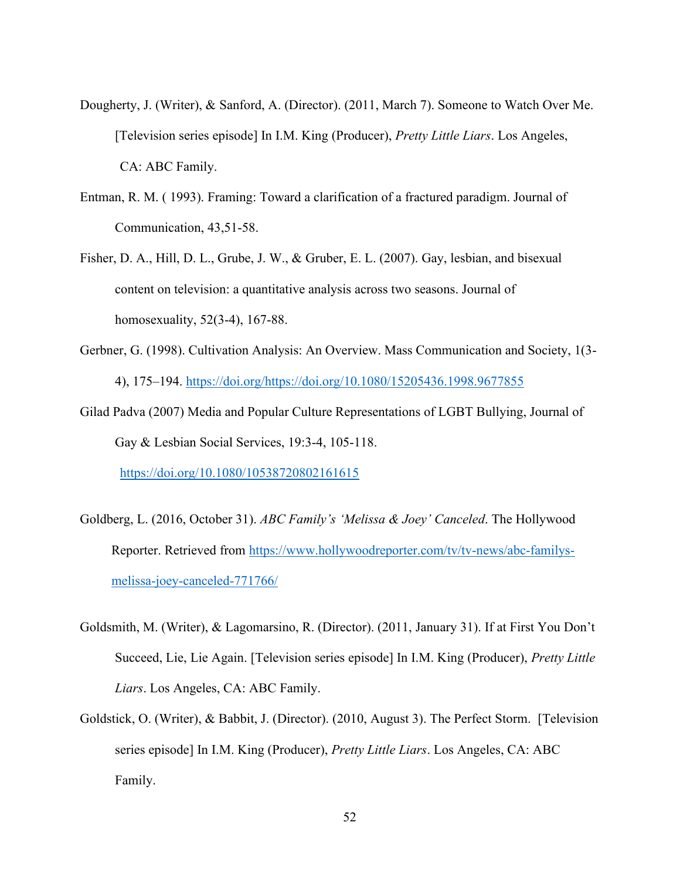- Dougherty, J. (Writer), & Sanford, A. (Director). (2011, March 7). Someone to Watch Over Me. [Television series episode] In I.M. King (Producer), *Pretty Little Liars*. Los Angeles, CA: ABC Family.
- Entman, R. M. ( 1993). Framing: Toward a clarification of a fractured paradigm. Journal of Communication, 43,51-58.
- Fisher, D. A., Hill, D. L., Grube, J. W., & Gruber, E. L. (2007). Gay, lesbian, and bisexual content on television: a quantitative analysis across two seasons. Journal of homosexuality, 52(3-4), 167-88.
- Gerbner, G. (1998). Cultivation Analysis: An Overview. Mass Communication and Society, 1(3- 4), 175–194. [https://doi.org/https://doi.org/10.1080/15205436.1998.9677855](https://doi.org/https:/doi.org/10.1080/15205436.1998.9677855)
- Gilad Padva (2007) Media and Popular Culture Representations of LGBT Bullying, Journal of Gay & Lesbian Social Services, 19:3-4, 105-118.

<https://doi.org/10.1080/10538720802161615>

- Goldberg, L. (2016, October 31). *ABC Family's 'Melissa & Joey' Canceled*. The Hollywood Reporter. Retrieved from [https://www.hollywoodreporter.com/tv/tv-news/abc-familys](https://www.hollywoodreporter.com/tv/tv-news/abc-familys-melissa-joey-canceled-771766/)[melissa-joey-canceled-771766/](https://www.hollywoodreporter.com/tv/tv-news/abc-familys-melissa-joey-canceled-771766/)
- Goldsmith, M. (Writer), & Lagomarsino, R. (Director). (2011, January 31). If at First You Don't Succeed, Lie, Lie Again. [Television series episode] In I.M. King (Producer), *Pretty Little Liars*. Los Angeles, CA: ABC Family.
- Goldstick, O. (Writer), & Babbit, J. (Director). (2010, August 3). The Perfect Storm. [Television series episode] In I.M. King (Producer), *Pretty Little Liars*. Los Angeles, CA: ABC Family.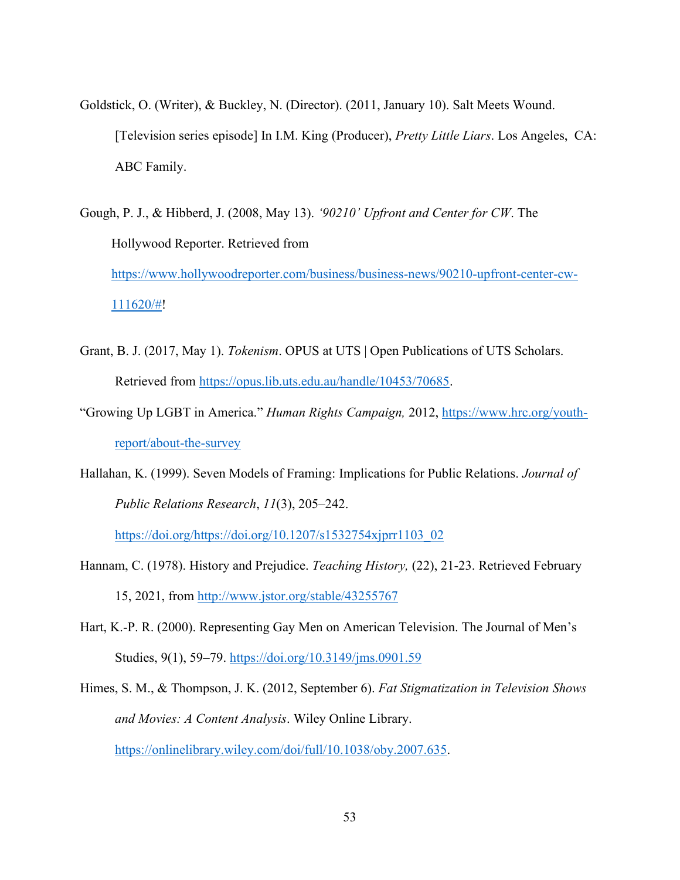- Goldstick, O. (Writer), & Buckley, N. (Director). (2011, January 10). Salt Meets Wound. [Television series episode] In I.M. King (Producer), *Pretty Little Liars*. Los Angeles, CA: ABC Family.
- Gough, P. J., & Hibberd, J. (2008, May 13). *'90210' Upfront and Center for CW*. The Hollywood Reporter. Retrieved from [https://www.hollywoodreporter.com/business/business-news/90210-upfront-center-cw-](https://www.hollywoodreporter.com/business/business-news/90210-upfront-center-cw-111620/)[111620/#!](https://www.hollywoodreporter.com/business/business-news/90210-upfront-center-cw-111620/)
- Grant, B. J. (2017, May 1). *Tokenism*. OPUS at UTS | Open Publications of UTS Scholars. Retrieved from [https://opus.lib.uts.edu.au/handle/10453/70685.](https://opus.lib.uts.edu.au/handle/10453/70685)
- "Growing Up LGBT in America." *Human Rights Campaign,* 2012, [https://www.hrc.org/youth](https://www.hrc.org/youth-report/about-the-survey)[report/about-the-survey](https://www.hrc.org/youth-report/about-the-survey)
- Hallahan, K. (1999). Seven Models of Framing: Implications for Public Relations. *Journal of Public Relations Research*, *11*(3), 205–242.

[https://doi.org/https://doi.org/10.1207/s1532754xjprr1103\\_02](https://doi.org/https:/doi.org/10.1207/s1532754xjprr1103_02)

- Hannam, C. (1978). History and Prejudice. *Teaching History,* (22), 21-23. Retrieved February 15, 2021, from<http://www.jstor.org/stable/43255767>
- Hart, K.-P. R. (2000). Representing Gay Men on American Television. The Journal of Men's Studies, 9(1), 59–79.<https://doi.org/10.3149/jms.0901.59>

Himes, S. M., & Thompson, J. K. (2012, September 6). *Fat Stigmatization in Television Shows and Movies: A Content Analysis*. Wiley Online Library. [https://onlinelibrary.wiley.com/doi/full/10.1038/oby.2007.635.](https://onlinelibrary.wiley.com/doi/full/10.1038/oby.2007.635)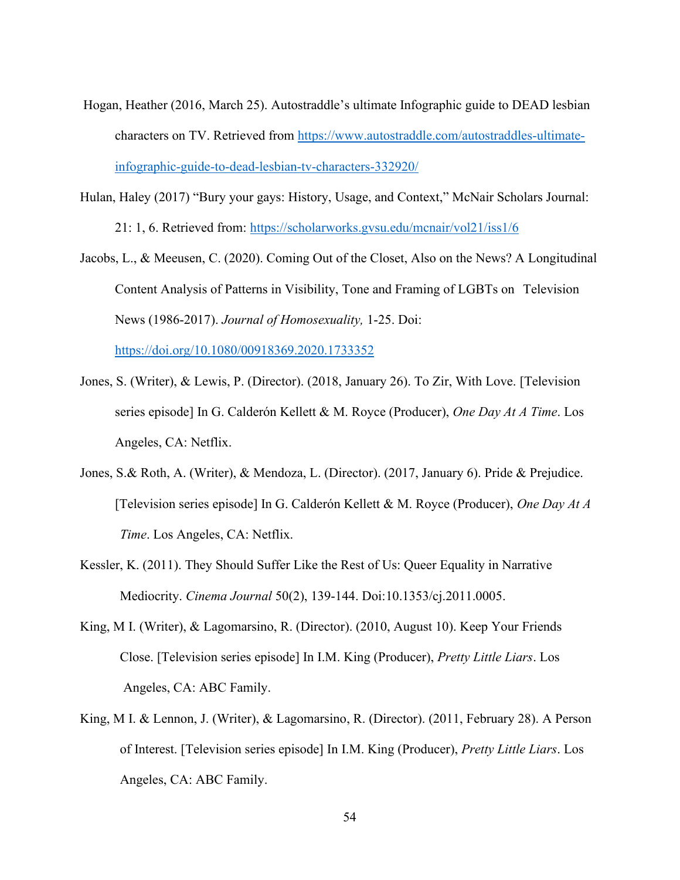- Hogan, Heather (2016, March 25). Autostraddle's ultimate Infographic guide to DEAD lesbian characters on TV. Retrieved from [https://www.autostraddle.com/autostraddles-ultimate](https://www.autostraddle.com/autostraddles-ultimate-%20infographic-guide-to-dead-lesbian-tv-characters-332920/)[infographic-guide-to-dead-lesbian-tv-characters-332920/](https://www.autostraddle.com/autostraddles-ultimate-%20infographic-guide-to-dead-lesbian-tv-characters-332920/)
- Hulan, Haley (2017) "Bury your gays: History, Usage, and Context," McNair Scholars Journal: 21: 1, 6. Retrieved from:<https://scholarworks.gvsu.edu/mcnair/vol21/iss1/6>
- Jacobs, L., & Meeusen, C. (2020). Coming Out of the Closet, Also on the News? A Longitudinal Content Analysis of Patterns in Visibility, Tone and Framing of LGBTs on Television News (1986-2017). *Journal of Homosexuality,* 1-25. Doi:

<https://doi.org/10.1080/00918369.2020.1733352>

- Jones, S. (Writer), & Lewis, P. (Director). (2018, January 26). To Zir, With Love. [Television series episode] In G. Calderón Kellett & M. Royce (Producer), *One Day At A Time*. Los Angeles, CA: Netflix.
- Jones, S.& Roth, A. (Writer), & Mendoza, L. (Director). (2017, January 6). Pride & Prejudice. [Television series episode] In G. Calderón Kellett & M. Royce (Producer), *One Day At A Time*. Los Angeles, CA: Netflix.
- Kessler, K. (2011). They Should Suffer Like the Rest of Us: Queer Equality in Narrative Mediocrity. *Cinema Journal* 50(2), 139-144. Doi:10.1353/cj.2011.0005.
- King, M I. (Writer), & Lagomarsino, R. (Director). (2010, August 10). Keep Your Friends Close. [Television series episode] In I.M. King (Producer), *Pretty Little Liars*. Los Angeles, CA: ABC Family.
- King, M I. & Lennon, J. (Writer), & Lagomarsino, R. (Director). (2011, February 28). A Person of Interest. [Television series episode] In I.M. King (Producer), *Pretty Little Liars*. Los Angeles, CA: ABC Family.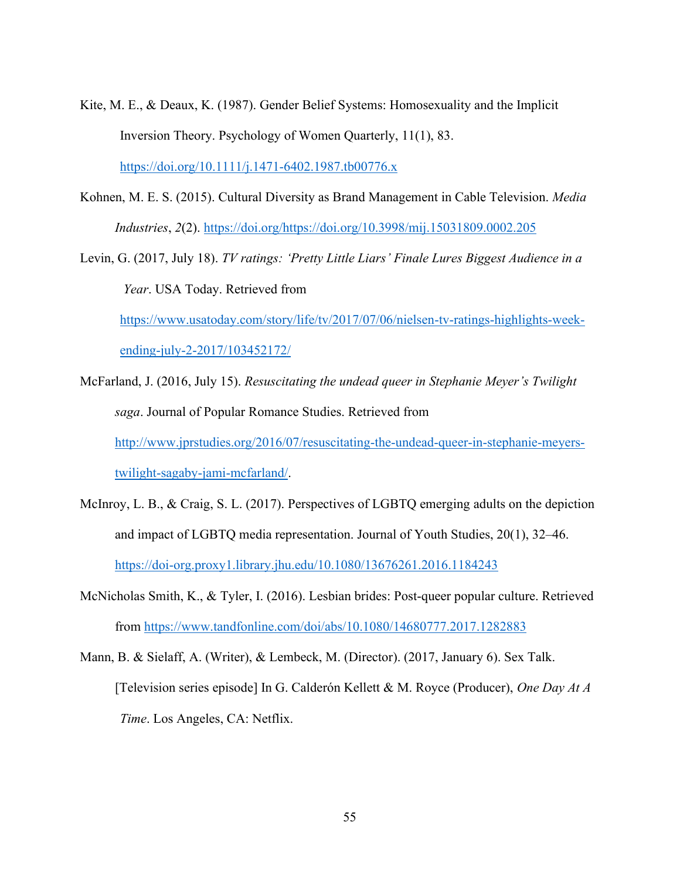- Kite, M. E., & Deaux, K. (1987). Gender Belief Systems: Homosexuality and the Implicit Inversion Theory. Psychology of Women Quarterly, 11(1), 83. <https://doi.org/10.1111/j.1471-6402.1987.tb00776.x>
- Kohnen, M. E. S. (2015). Cultural Diversity as Brand Management in Cable Television. *Media Industries*, *2*(2). [https://doi.org/https://doi.org/10.3998/mij.15031809.0002.205](https://doi.org/https:/doi.org/10.3998/mij.15031809.0002.205)
- Levin, G. (2017, July 18). *TV ratings: 'Pretty Little Liars' Finale Lures Biggest Audience in a Year*. USA Today. Retrieved from

[https://www.usatoday.com/story/life/tv/2017/07/06/nielsen-tv-ratings-highlights-week](https://www.usatoday.com/story/life/tv/2017/07/06/nielsen-tv-ratings-highlights-week-%09ending-july-2-2017/103452172/)[ending-july-2-2017/103452172/](https://www.usatoday.com/story/life/tv/2017/07/06/nielsen-tv-ratings-highlights-week-%09ending-july-2-2017/103452172/)

McFarland, J. (2016, July 15). *Resuscitating the undead queer in Stephanie Meyer's Twilight saga*. Journal of Popular Romance Studies. Retrieved from [http://www.jprstudies.org/2016/07/resuscitating-the-undead-queer-in-stephanie-meyers](http://www.jprstudies.org/2016/07/resuscitating-the-undead-queer-in-stephanie-meyers-twilight-sagaby-jami-mcfarland/)[twilight-sagaby-jami-mcfarland/.](http://www.jprstudies.org/2016/07/resuscitating-the-undead-queer-in-stephanie-meyers-twilight-sagaby-jami-mcfarland/)

- McInroy, L. B., & Craig, S. L. (2017). Perspectives of LGBTQ emerging adults on the depiction and impact of LGBTQ media representation. Journal of Youth Studies, 20(1), 32–46. <https://doi-org.proxy1.library.jhu.edu/10.1080/13676261.2016.1184243>
- McNicholas Smith, K., & Tyler, I. (2016). Lesbian brides: Post-queer popular culture. Retrieved from<https://www.tandfonline.com/doi/abs/10.1080/14680777.2017.1282883>
- Mann, B. & Sielaff, A. (Writer), & Lembeck, M. (Director). (2017, January 6). Sex Talk. [Television series episode] In G. Calderón Kellett & M. Royce (Producer), *One Day At A Time*. Los Angeles, CA: Netflix.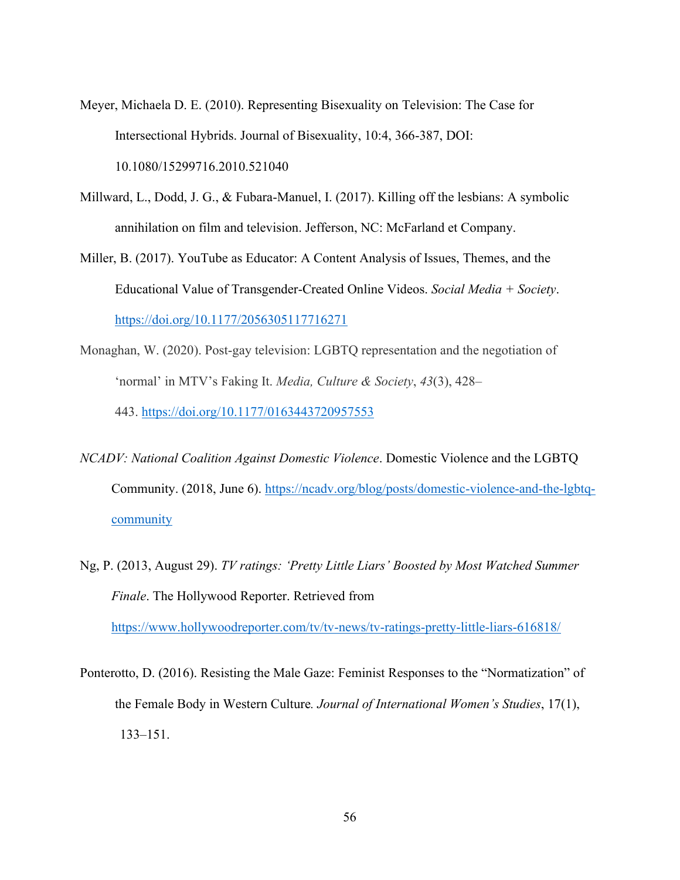- Meyer, Michaela D. E. (2010). Representing Bisexuality on Television: The Case for Intersectional Hybrids. Journal of Bisexuality, 10:4, 366-387, DOI: 10.1080/15299716.2010.521040
- Millward, L., Dodd, J. G., & Fubara-Manuel, I. (2017). Killing off the lesbians: A symbolic annihilation on film and television. Jefferson, NC: McFarland et Company.
- Miller, B. (2017). YouTube as Educator: A Content Analysis of Issues, Themes, and the Educational Value of Transgender-Created Online Videos. *Social Media + Society*. <https://doi.org/10.1177/2056305117716271>
- Monaghan, W. (2020). Post-gay television: LGBTQ representation and the negotiation of 'normal' in MTV's Faking It. *Media, Culture & Society*, *43*(3), 428– 443. <https://doi.org/10.1177/0163443720957553>
- *NCADV: National Coalition Against Domestic Violence*. Domestic Violence and the LGBTQ Community. (2018, June 6). [https://ncadv.org/blog/posts/domestic-violence-and-the-lgbtq](https://ncadv.org/blog/posts/domestic-violence-and-the-lgbtq-community)[community](https://ncadv.org/blog/posts/domestic-violence-and-the-lgbtq-community)
- Ng, P. (2013, August 29). *TV ratings: 'Pretty Little Liars' Boosted by Most Watched Summer Finale*. The Hollywood Reporter. Retrieved from <https://www.hollywoodreporter.com/tv/tv-news/tv-ratings-pretty-little-liars-616818/>
- Ponterotto, D. (2016). Resisting the Male Gaze: Feminist Responses to the "Normatization" of the Female Body in Western Culture*. Journal of International Women's Studies*, 17(1), 133–151.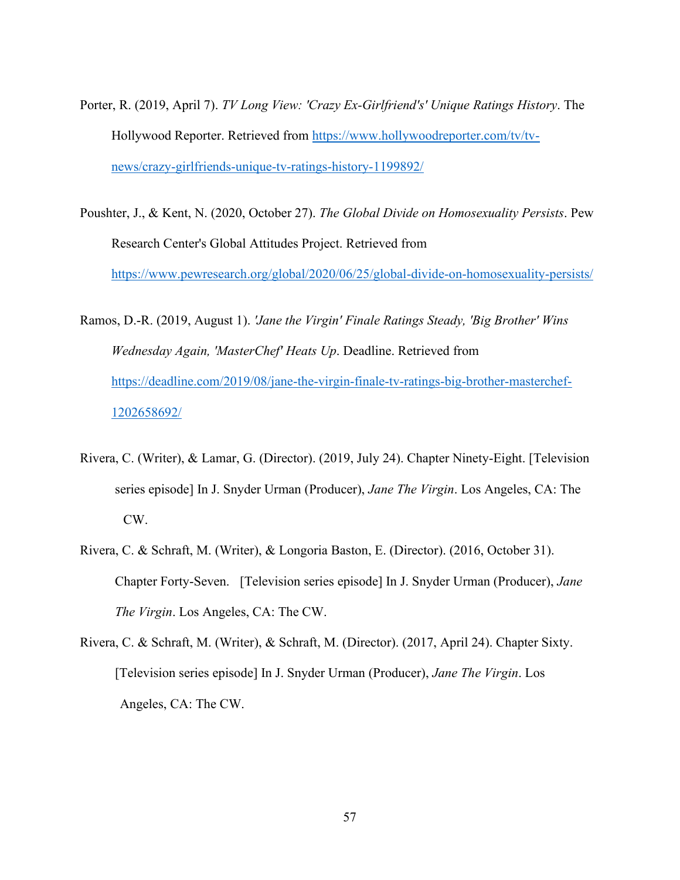- Porter, R. (2019, April 7). *TV Long View: 'Crazy Ex-Girlfriend's' Unique Ratings History*. The Hollywood Reporter. Retrieved from [https://www.hollywoodreporter.com/tv/tv](https://www.hollywoodreporter.com/tv/tv-news/crazy-girlfriends-unique-tv-ratings-history-1199892/)[news/crazy-girlfriends-unique-tv-ratings-history-1199892/](https://www.hollywoodreporter.com/tv/tv-news/crazy-girlfriends-unique-tv-ratings-history-1199892/)
- Poushter, J., & Kent, N. (2020, October 27). *The Global Divide on Homosexuality Persists*. Pew Research Center's Global Attitudes Project. Retrieved from <https://www.pewresearch.org/global/2020/06/25/global-divide-on-homosexuality-persists/>
- Ramos, D.-R. (2019, August 1). *'Jane the Virgin' Finale Ratings Steady, 'Big Brother' Wins Wednesday Again, 'MasterChef' Heats Up*. Deadline. Retrieved from [https://deadline.com/2019/08/jane-the-virgin-finale-tv-ratings-big-brother-masterchef-](https://deadline.com/2019/08/jane-the-virgin-finale-tv-ratings-big-brother-masterchef-1202658692/)[1202658692/](https://deadline.com/2019/08/jane-the-virgin-finale-tv-ratings-big-brother-masterchef-1202658692/)
- Rivera, C. (Writer), & Lamar, G. (Director). (2019, July 24). Chapter Ninety-Eight. [Television series episode] In J. Snyder Urman (Producer), *Jane The Virgin*. Los Angeles, CA: The CW.
- Rivera, C. & Schraft, M. (Writer), & Longoria Baston, E. (Director). (2016, October 31). Chapter Forty-Seven. [Television series episode] In J. Snyder Urman (Producer), *Jane The Virgin*. Los Angeles, CA: The CW.
- Rivera, C. & Schraft, M. (Writer), & Schraft, M. (Director). (2017, April 24). Chapter Sixty. [Television series episode] In J. Snyder Urman (Producer), *Jane The Virgin*. Los Angeles, CA: The CW.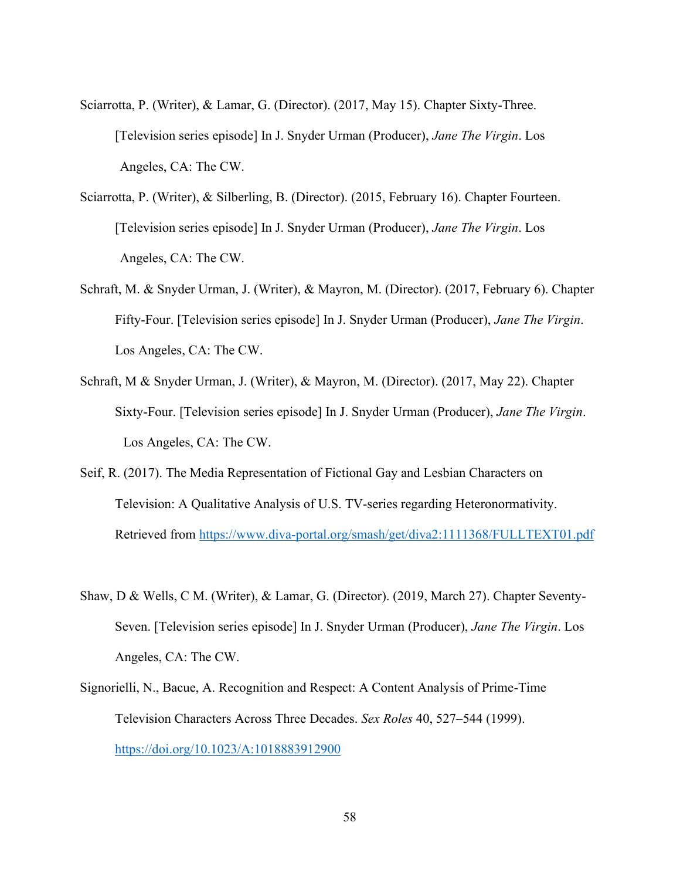- Sciarrotta, P. (Writer), & Lamar, G. (Director). (2017, May 15). Chapter Sixty-Three. [Television series episode] In J. Snyder Urman (Producer), *Jane The Virgin*. Los Angeles, CA: The CW.
- Sciarrotta, P. (Writer), & Silberling, B. (Director). (2015, February 16). Chapter Fourteen. [Television series episode] In J. Snyder Urman (Producer), *Jane The Virgin*. Los Angeles, CA: The CW.
- Schraft, M. & Snyder Urman, J. (Writer), & Mayron, M. (Director). (2017, February 6). Chapter Fifty-Four. [Television series episode] In J. Snyder Urman (Producer), *Jane The Virgin*. Los Angeles, CA: The CW.
- Schraft, M & Snyder Urman, J. (Writer), & Mayron, M. (Director). (2017, May 22). Chapter Sixty-Four. [Television series episode] In J. Snyder Urman (Producer), *Jane The Virgin*. Los Angeles, CA: The CW.
- Seif, R. (2017). The Media Representation of Fictional Gay and Lesbian Characters on Television: A Qualitative Analysis of U.S. TV-series regarding Heteronormativity. Retrieved from<https://www.diva-portal.org/smash/get/diva2:1111368/FULLTEXT01.pdf>
- Shaw, D & Wells, C M. (Writer), & Lamar, G. (Director). (2019, March 27). Chapter Seventy-Seven. [Television series episode] In J. Snyder Urman (Producer), *Jane The Virgin*. Los Angeles, CA: The CW.
- Signorielli, N., Bacue, A. Recognition and Respect: A Content Analysis of Prime-Time Television Characters Across Three Decades. *Sex Roles* 40, 527–544 (1999). <https://doi.org/10.1023/A:1018883912900>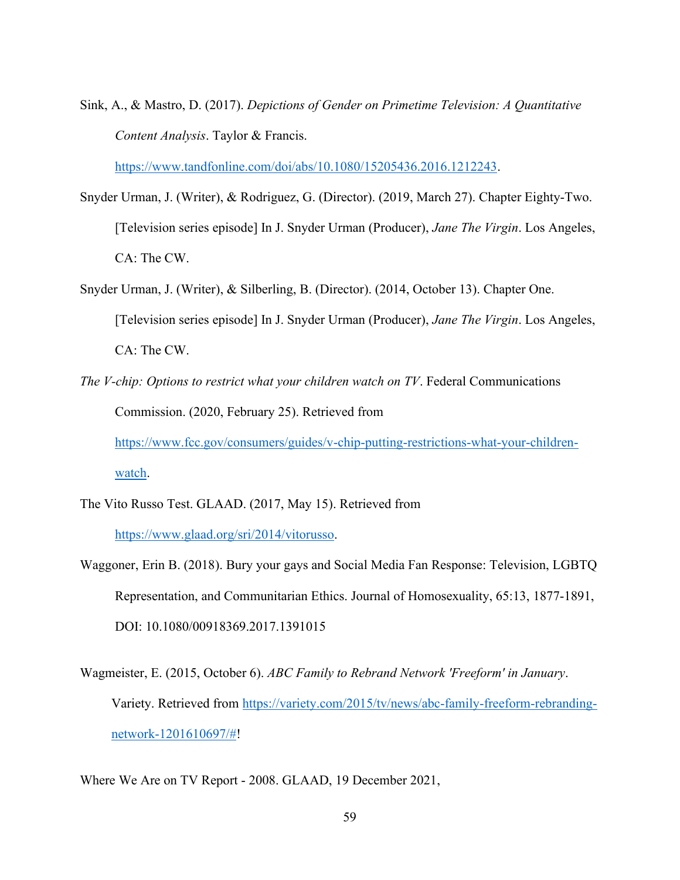Sink, A., & Mastro, D. (2017). *Depictions of Gender on Primetime Television: A Quantitative Content Analysis*. Taylor & Francis.

[https://www.tandfonline.com/doi/abs/10.1080/15205436.2016.1212243.](https://www.tandfonline.com/doi/abs/10.1080/15205436.2016.1212243)

- Snyder Urman, J. (Writer), & Rodriguez, G. (Director). (2019, March 27). Chapter Eighty-Two. [Television series episode] In J. Snyder Urman (Producer), *Jane The Virgin*. Los Angeles, CA: The CW.
- Snyder Urman, J. (Writer), & Silberling, B. (Director). (2014, October 13). Chapter One. [Television series episode] In J. Snyder Urman (Producer), *Jane The Virgin*. Los Angeles, CA: The CW.
- *The V-chip: Options to restrict what your children watch on TV*. Federal Communications Commission. (2020, February 25). Retrieved from

[https://www.fcc.gov/consumers/guides/v-chip-putting-restrictions-what-your-children-](https://www.fcc.gov/consumers/guides/v-chip-putting-restrictions-what-your-children-watch)

[watch.](https://www.fcc.gov/consumers/guides/v-chip-putting-restrictions-what-your-children-watch)

The Vito Russo Test. GLAAD. (2017, May 15). Retrieved from

[https://www.glaad.org/sri/2014/vitorusso.](https://www.glaad.org/sri/2014/vitorusso)

- Waggoner, Erin B. (2018). Bury your gays and Social Media Fan Response: Television, LGBTQ Representation, and Communitarian Ethics. Journal of Homosexuality, 65:13, 1877-1891, DOI: 10.1080/00918369.2017.1391015
- Wagmeister, E. (2015, October 6). *ABC Family to Rebrand Network 'Freeform' in January*. Variety. Retrieved from [https://variety.com/2015/tv/news/abc-family-freeform-rebranding](https://variety.com/2015/tv/news/abc-family-freeform-rebranding-network-1201610697/)[network-1201610697/#!](https://variety.com/2015/tv/news/abc-family-freeform-rebranding-network-1201610697/)

Where We Are on TV Report - 2008. GLAAD, 19 December 2021,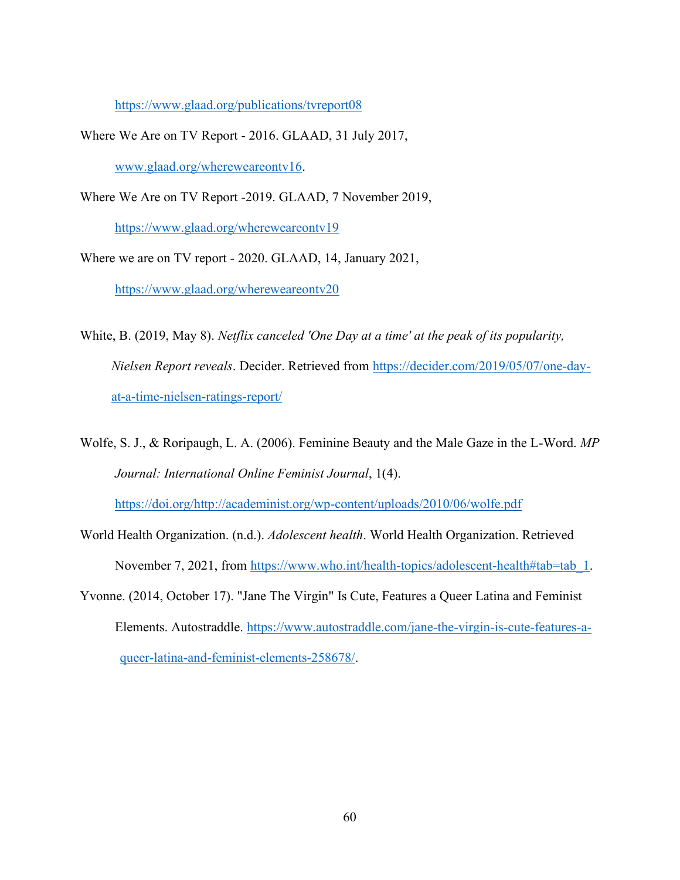<https://www.glaad.org/publications/tvreport08>

- Where We Are on TV Report 2016. GLAAD, 31 July 2017, [www.glaad.org/whereweareontv16.](http://www.glaad.org/whereweareontv16)
- Where We Are on TV Report -2019. GLAAD, 7 November 2019,

<https://www.glaad.org/whereweareontv19>

Where we are on TV report - 2020. GLAAD, 14, January 2021, <https://www.glaad.org/whereweareontv20>

White, B. (2019, May 8). *Netflix canceled 'One Day at a time' at the peak of its popularity, Nielsen Report reveals*. Decider. Retrieved from [https://decider.com/2019/05/07/one-day](https://decider.com/2019/05/07/one-day-at-a-time-nielsen-ratings-report/)[at-a-time-nielsen-ratings-report/](https://decider.com/2019/05/07/one-day-at-a-time-nielsen-ratings-report/)

- Wolfe, S. J., & Roripaugh, L. A. (2006). Feminine Beauty and the Male Gaze in the L-Word. *MP Journal: International Online Feminist Journal*, 1(4). [https://doi.org/http://academinist.org/wp-content/uploads/2010/06/wolfe.pdf](https://doi.org/http:/academinist.org/wp-content/uploads/2010/06/wolfe.pdf)
- World Health Organization. (n.d.). *Adolescent health*. World Health Organization. Retrieved November 7, 2021, from [https://www.who.int/health-topics/adolescent-health#tab=tab\\_1.](https://www.who.int/health-topics/adolescent-health#tab=tab_1)
- Yvonne. (2014, October 17). "Jane The Virgin" Is Cute, Features a Queer Latina and Feminist Elements. Autostraddle. [https://www.autostraddle.com/jane-the-virgin-is-cute-features-a](https://www.autostraddle.com/jane-the-virgin-is-cute-features-a-%09queer-latina-and-feminist-elements-258678/)[queer-latina-and-feminist-elements-258678/.](https://www.autostraddle.com/jane-the-virgin-is-cute-features-a-%09queer-latina-and-feminist-elements-258678/)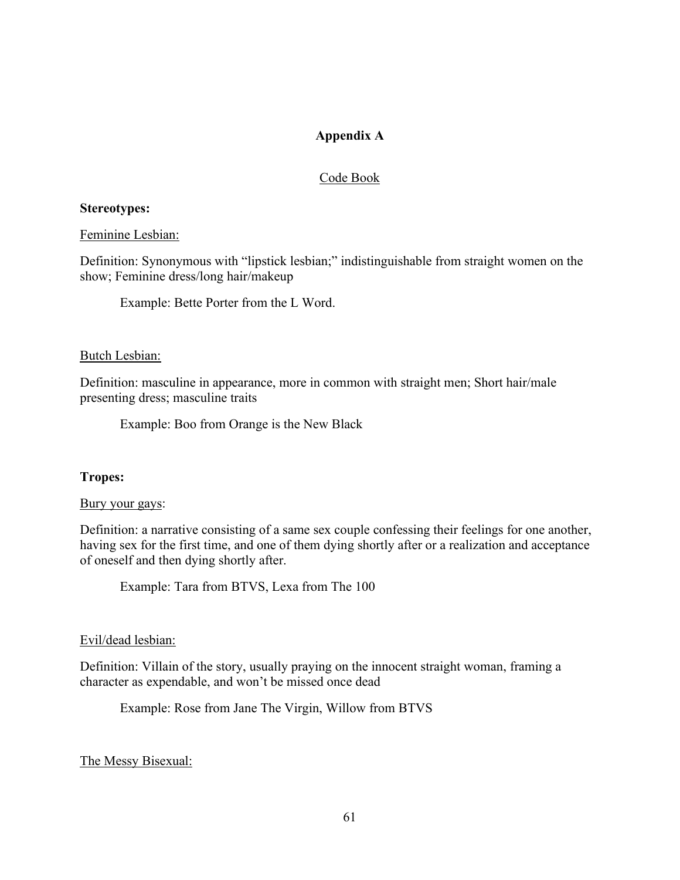# **Appendix A**

# Code Book

## <span id="page-65-0"></span>**Stereotypes:**

## Feminine Lesbian:

Definition: Synonymous with "lipstick lesbian;" indistinguishable from straight women on the show; Feminine dress/long hair/makeup

Example: Bette Porter from the L Word.

## Butch Lesbian:

Definition: masculine in appearance, more in common with straight men; Short hair/male presenting dress; masculine traits

Example: Boo from Orange is the New Black

## **Tropes:**

## Bury your gays:

Definition: a narrative consisting of a same sex couple confessing their feelings for one another, having sex for the first time, and one of them dying shortly after or a realization and acceptance of oneself and then dying shortly after.

Example: Tara from BTVS, Lexa from The 100

## Evil/dead lesbian:

Definition: Villain of the story, usually praying on the innocent straight woman, framing a character as expendable, and won't be missed once dead

Example: Rose from Jane The Virgin, Willow from BTVS

# The Messy Bisexual: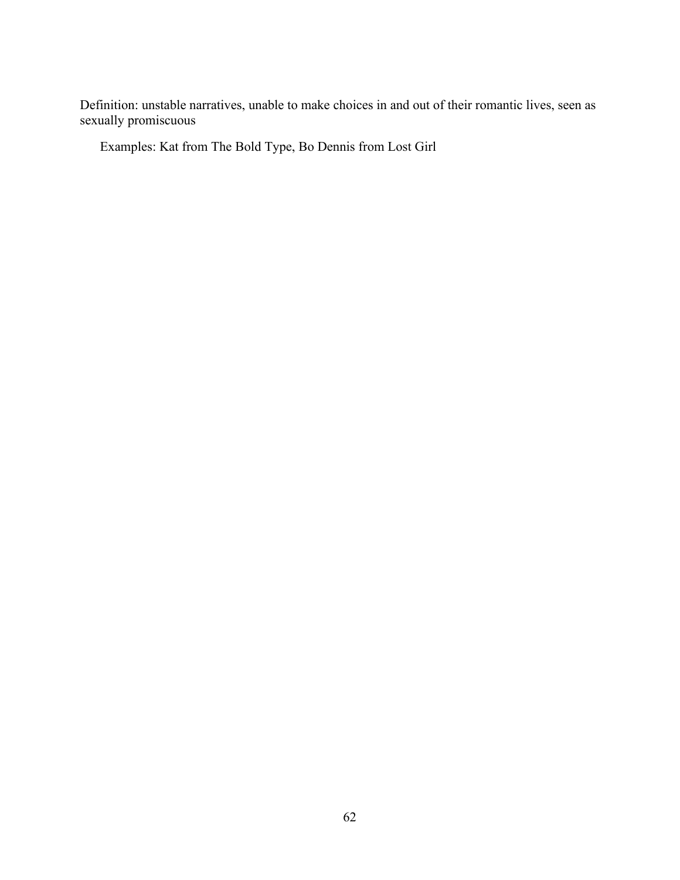Definition: unstable narratives, unable to make choices in and out of their romantic lives, seen as sexually promiscuous

Examples: Kat from The Bold Type, Bo Dennis from Lost Girl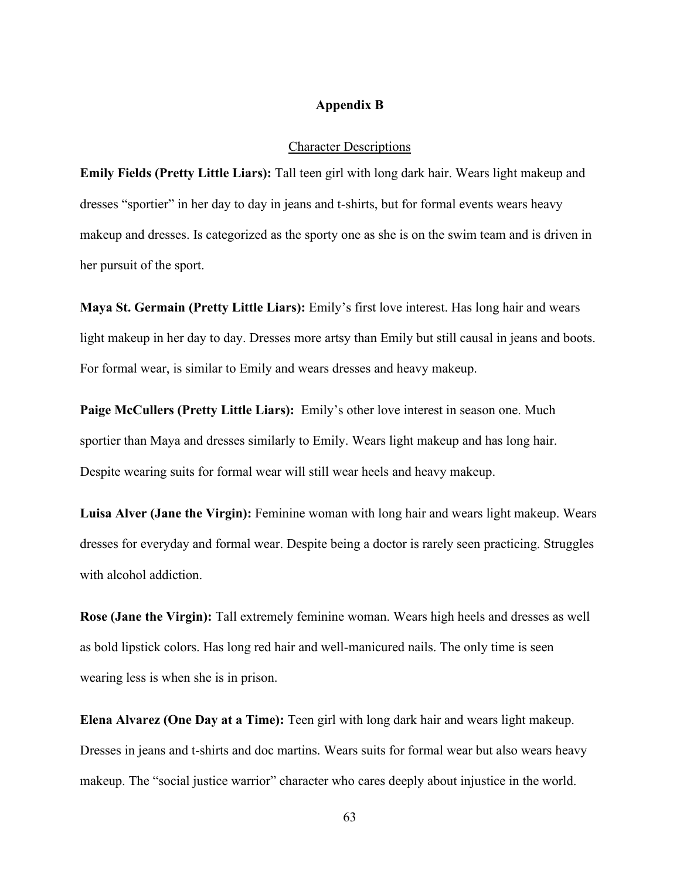## **Appendix B**

#### Character Descriptions

<span id="page-67-0"></span>**Emily Fields (Pretty Little Liars):** Tall teen girl with long dark hair. Wears light makeup and dresses "sportier" in her day to day in jeans and t-shirts, but for formal events wears heavy makeup and dresses. Is categorized as the sporty one as she is on the swim team and is driven in her pursuit of the sport.

**Maya St. Germain (Pretty Little Liars):** Emily's first love interest. Has long hair and wears light makeup in her day to day. Dresses more artsy than Emily but still causal in jeans and boots. For formal wear, is similar to Emily and wears dresses and heavy makeup.

**Paige McCullers (Pretty Little Liars):** Emily's other love interest in season one. Much sportier than Maya and dresses similarly to Emily. Wears light makeup and has long hair. Despite wearing suits for formal wear will still wear heels and heavy makeup.

**Luisa Alver (Jane the Virgin):** Feminine woman with long hair and wears light makeup. Wears dresses for everyday and formal wear. Despite being a doctor is rarely seen practicing. Struggles with alcohol addiction.

**Rose (Jane the Virgin):** Tall extremely feminine woman. Wears high heels and dresses as well as bold lipstick colors. Has long red hair and well-manicured nails. The only time is seen wearing less is when she is in prison.

**Elena Alvarez (One Day at a Time):** Teen girl with long dark hair and wears light makeup. Dresses in jeans and t-shirts and doc martins. Wears suits for formal wear but also wears heavy makeup. The "social justice warrior" character who cares deeply about injustice in the world.